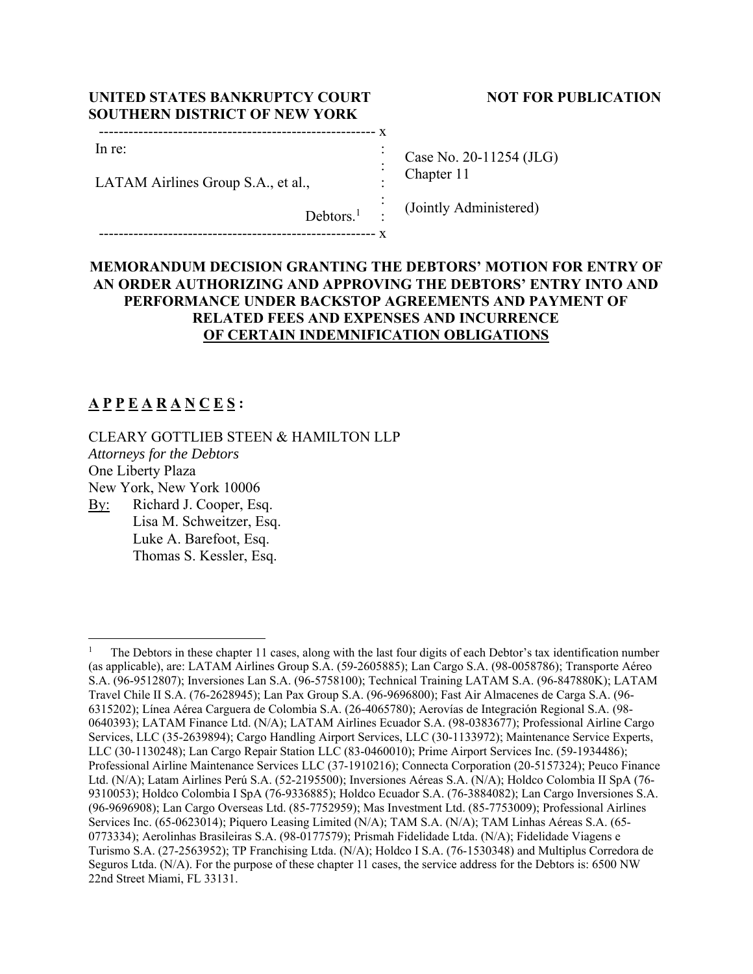## UNITED STATES BANKRUPTCY COURT NOT FOR PUBLICATION **SOUTHERN DISTRICT OF NEW YORK**

| in : |  |
|------|--|

-------------------------------------------------------- x

In re:

LATAM Airlines Group S.A., et al.,

Case No. 20-11254 (JLG) Chapter 11

(Jointly Administered)

## **MEMORANDUM DECISION GRANTING THE DEBTORS' MOTION FOR ENTRY OF AN ORDER AUTHORIZING AND APPROVING THE DEBTORS' ENTRY INTO AND PERFORMANCE UNDER BACKSTOP AGREEMENTS AND PAYMENT OF RELATED FEES AND EXPENSES AND INCURRENCE OF CERTAIN INDEMNIFICATION OBLIGATIONS**

 : : : :

 $Debtors.<sup>1</sup>$ 

# **A P P E A R A N C E S :**

CLEARY GOTTLIEB STEEN & HAMILTON LLP *Attorneys for the Debtors* 

One Liberty Plaza

New York, New York 10006

By: Richard J. Cooper, Esq. Lisa M. Schweitzer, Esq. Luke A. Barefoot, Esq. Thomas S. Kessler, Esq.

<sup>1</sup> The Debtors in these chapter 11 cases, along with the last four digits of each Debtor's tax identification number (as applicable), are: LATAM Airlines Group S.A. (59-2605885); Lan Cargo S.A. (98-0058786); Transporte Aéreo S.A. (96-9512807); Inversiones Lan S.A. (96-5758100); Technical Training LATAM S.A. (96-847880K); LATAM Travel Chile II S.A. (76-2628945); Lan Pax Group S.A. (96-9696800); Fast Air Almacenes de Carga S.A. (96- 6315202); Línea Aérea Carguera de Colombia S.A. (26-4065780); Aerovías de Integración Regional S.A. (98- 0640393); LATAM Finance Ltd. (N/A); LATAM Airlines Ecuador S.A. (98-0383677); Professional Airline Cargo Services, LLC (35-2639894); Cargo Handling Airport Services, LLC (30-1133972); Maintenance Service Experts, LLC (30-1130248); Lan Cargo Repair Station LLC (83-0460010); Prime Airport Services Inc. (59-1934486); Professional Airline Maintenance Services LLC (37-1910216); Connecta Corporation (20-5157324); Peuco Finance Ltd. (N/A); Latam Airlines Perú S.A. (52-2195500); Inversiones Aéreas S.A. (N/A); Holdco Colombia II SpA (76- 9310053); Holdco Colombia I SpA (76-9336885); Holdco Ecuador S.A. (76-3884082); Lan Cargo Inversiones S.A. (96-9696908); Lan Cargo Overseas Ltd. (85-7752959); Mas Investment Ltd. (85-7753009); Professional Airlines Services Inc. (65-0623014); Piquero Leasing Limited (N/A); TAM S.A. (N/A); TAM Linhas Aéreas S.A. (65- 0773334); Aerolinhas Brasileiras S.A. (98-0177579); Prismah Fidelidade Ltda. (N/A); Fidelidade Viagens e Turismo S.A. (27-2563952); TP Franchising Ltda. (N/A); Holdco I S.A. (76-1530348) and Multiplus Corredora de Seguros Ltda. (N/A). For the purpose of these chapter 11 cases, the service address for the Debtors is: 6500 NW 22nd Street Miami, FL 33131.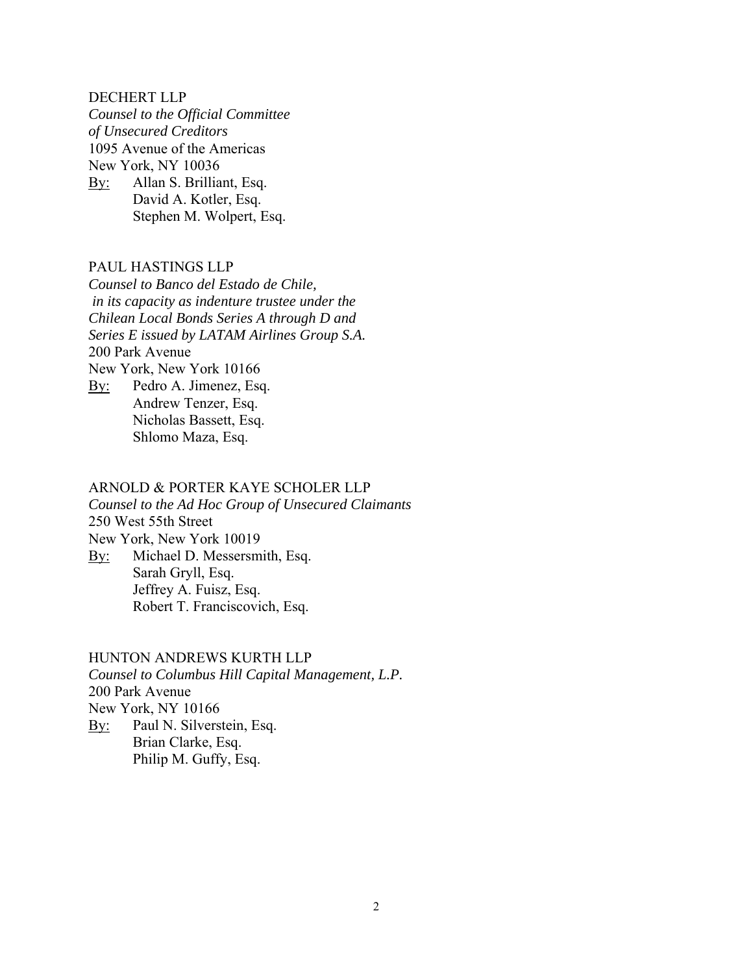#### DECHERT LLP

*Counsel to the Official Committee of Unsecured Creditors*  1095 Avenue of the Americas New York, NY 10036 By: Allan S. Brilliant, Esq. David A. Kotler, Esq. Stephen M. Wolpert, Esq.

### PAUL HASTINGS LLP

*Counsel to Banco del Estado de Chile, in its capacity as indenture trustee under the Chilean Local Bonds Series A through D and Series E issued by LATAM Airlines Group S.A.*  200 Park Avenue New York, New York 10166 By: Pedro A. Jimenez, Esq. Andrew Tenzer, Esq.

Nicholas Bassett, Esq. Shlomo Maza, Esq.

## ARNOLD & PORTER KAYE SCHOLER LLP

*Counsel to the Ad Hoc Group of Unsecured Claimants*  250 West 55th Street New York, New York 10019

By: Michael D. Messersmith, Esq. Sarah Gryll, Esq. Jeffrey A. Fuisz, Esq. Robert T. Franciscovich, Esq.

### HUNTON ANDREWS KURTH LLP

*Counsel to Columbus Hill Capital Management, L.P.*  200 Park Avenue New York, NY 10166 By: Paul N. Silverstein, Esq. Brian Clarke, Esq. Philip M. Guffy, Esq.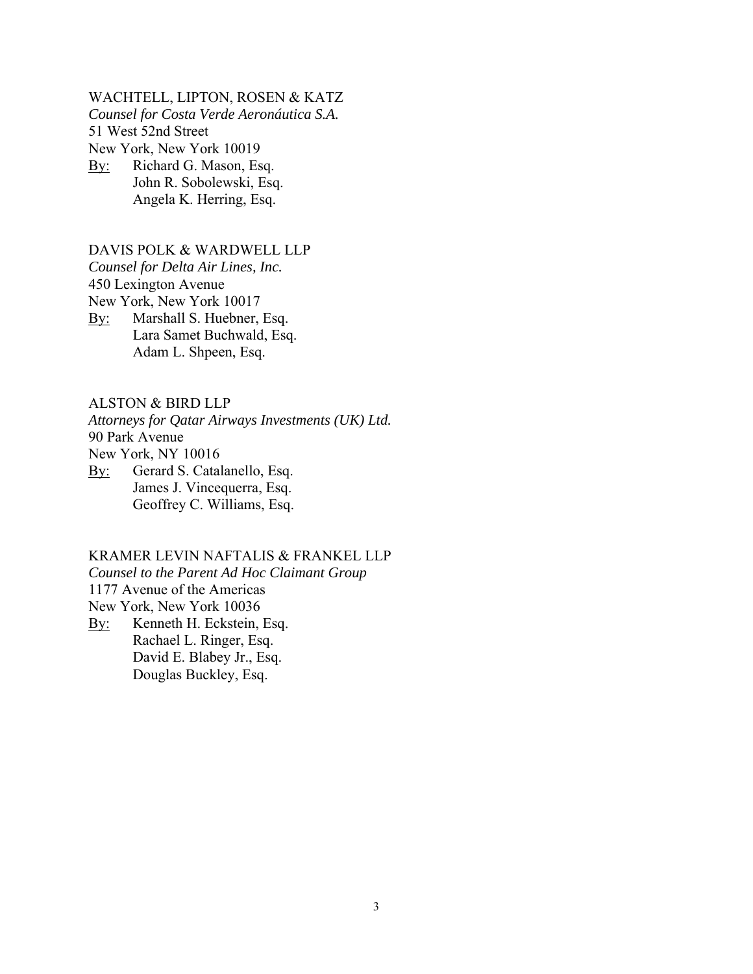WACHTELL, LIPTON, ROSEN & KATZ *Counsel for Costa Verde Aeronáutica S.A.*  51 West 52nd Street New York, New York 10019 By: Richard G. Mason, Esq.

John R. Sobolewski, Esq. Angela K. Herring, Esq.

## DAVIS POLK & WARDWELL LLP

*Counsel for Delta Air Lines, Inc.* 

450 Lexington Avenue

New York, New York 10017

By: Marshall S. Huebner, Esq. Lara Samet Buchwald, Esq. Adam L. Shpeen, Esq.

#### ALSTON & BIRD LLP

*Attorneys for Qatar Airways Investments (UK) Ltd.*  90 Park Avenue New York, NY 10016

By: Gerard S. Catalanello, Esq. James J. Vincequerra, Esq. Geoffrey C. Williams, Esq.

### KRAMER LEVIN NAFTALIS & FRANKEL LLP

*Counsel to the Parent Ad Hoc Claimant Group* 

1177 Avenue of the Americas

New York, New York 10036

By: Kenneth H. Eckstein, Esq. Rachael L. Ringer, Esq. David E. Blabey Jr., Esq. Douglas Buckley, Esq.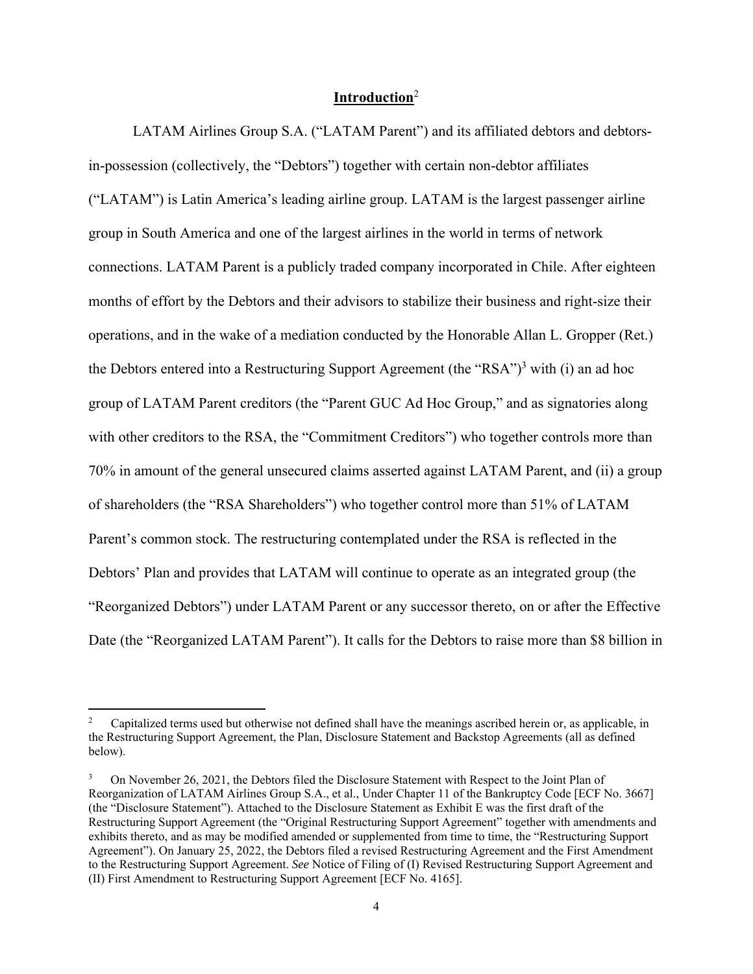## **Introduction**<sup>2</sup>

 LATAM Airlines Group S.A. ("LATAM Parent") and its affiliated debtors and debtorsin-possession (collectively, the "Debtors") together with certain non-debtor affiliates ("LATAM") is Latin America's leading airline group. LATAM is the largest passenger airline group in South America and one of the largest airlines in the world in terms of network connections. LATAM Parent is a publicly traded company incorporated in Chile. After eighteen months of effort by the Debtors and their advisors to stabilize their business and right-size their operations, and in the wake of a mediation conducted by the Honorable Allan L. Gropper (Ret.) the Debtors entered into a Restructuring Support Agreement (the "RSA")<sup>3</sup> with (i) an ad hoc group of LATAM Parent creditors (the "Parent GUC Ad Hoc Group," and as signatories along with other creditors to the RSA, the "Commitment Creditors") who together controls more than 70% in amount of the general unsecured claims asserted against LATAM Parent, and (ii) a group of shareholders (the "RSA Shareholders") who together control more than 51% of LATAM Parent's common stock. The restructuring contemplated under the RSA is reflected in the Debtors' Plan and provides that LATAM will continue to operate as an integrated group (the "Reorganized Debtors") under LATAM Parent or any successor thereto, on or after the Effective Date (the "Reorganized LATAM Parent"). It calls for the Debtors to raise more than \$8 billion in

<sup>2</sup> Capitalized terms used but otherwise not defined shall have the meanings ascribed herein or, as applicable, in the Restructuring Support Agreement, the Plan, Disclosure Statement and Backstop Agreements (all as defined below).

<sup>3</sup> On November 26, 2021, the Debtors filed the Disclosure Statement with Respect to the Joint Plan of Reorganization of LATAM Airlines Group S.A., et al., Under Chapter 11 of the Bankruptcy Code [ECF No. 3667] (the "Disclosure Statement"). Attached to the Disclosure Statement as Exhibit E was the first draft of the Restructuring Support Agreement (the "Original Restructuring Support Agreement" together with amendments and exhibits thereto, and as may be modified amended or supplemented from time to time, the "Restructuring Support Agreement"). On January 25, 2022, the Debtors filed a revised Restructuring Agreement and the First Amendment to the Restructuring Support Agreement. *See* Notice of Filing of (I) Revised Restructuring Support Agreement and (II) First Amendment to Restructuring Support Agreement [ECF No. 4165].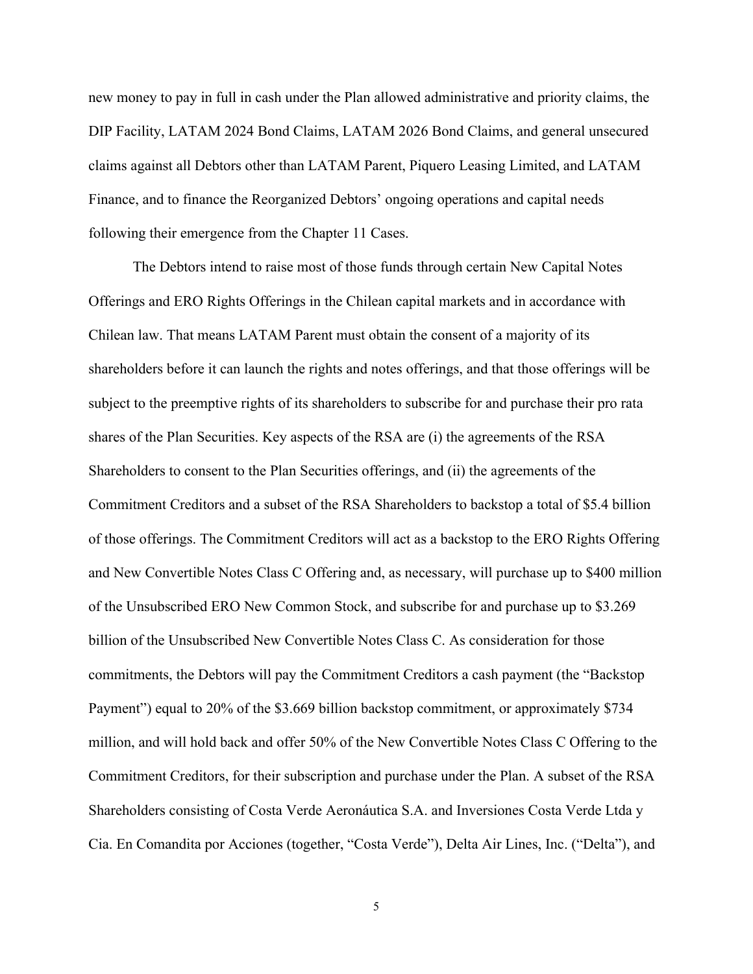new money to pay in full in cash under the Plan allowed administrative and priority claims, the DIP Facility, LATAM 2024 Bond Claims, LATAM 2026 Bond Claims, and general unsecured claims against all Debtors other than LATAM Parent, Piquero Leasing Limited, and LATAM Finance, and to finance the Reorganized Debtors' ongoing operations and capital needs following their emergence from the Chapter 11 Cases.

 The Debtors intend to raise most of those funds through certain New Capital Notes Offerings and ERO Rights Offerings in the Chilean capital markets and in accordance with Chilean law. That means LATAM Parent must obtain the consent of a majority of its shareholders before it can launch the rights and notes offerings, and that those offerings will be subject to the preemptive rights of its shareholders to subscribe for and purchase their pro rata shares of the Plan Securities. Key aspects of the RSA are (i) the agreements of the RSA Shareholders to consent to the Plan Securities offerings, and (ii) the agreements of the Commitment Creditors and a subset of the RSA Shareholders to backstop a total of \$5.4 billion of those offerings. The Commitment Creditors will act as a backstop to the ERO Rights Offering and New Convertible Notes Class C Offering and, as necessary, will purchase up to \$400 million of the Unsubscribed ERO New Common Stock, and subscribe for and purchase up to \$3.269 billion of the Unsubscribed New Convertible Notes Class C. As consideration for those commitments, the Debtors will pay the Commitment Creditors a cash payment (the "Backstop Payment") equal to 20% of the \$3.669 billion backstop commitment, or approximately \$734 million, and will hold back and offer 50% of the New Convertible Notes Class C Offering to the Commitment Creditors, for their subscription and purchase under the Plan. A subset of the RSA Shareholders consisting of Costa Verde Aeronáutica S.A. and Inversiones Costa Verde Ltda y Cia. En Comandita por Acciones (together, "Costa Verde"), Delta Air Lines, Inc. ("Delta"), and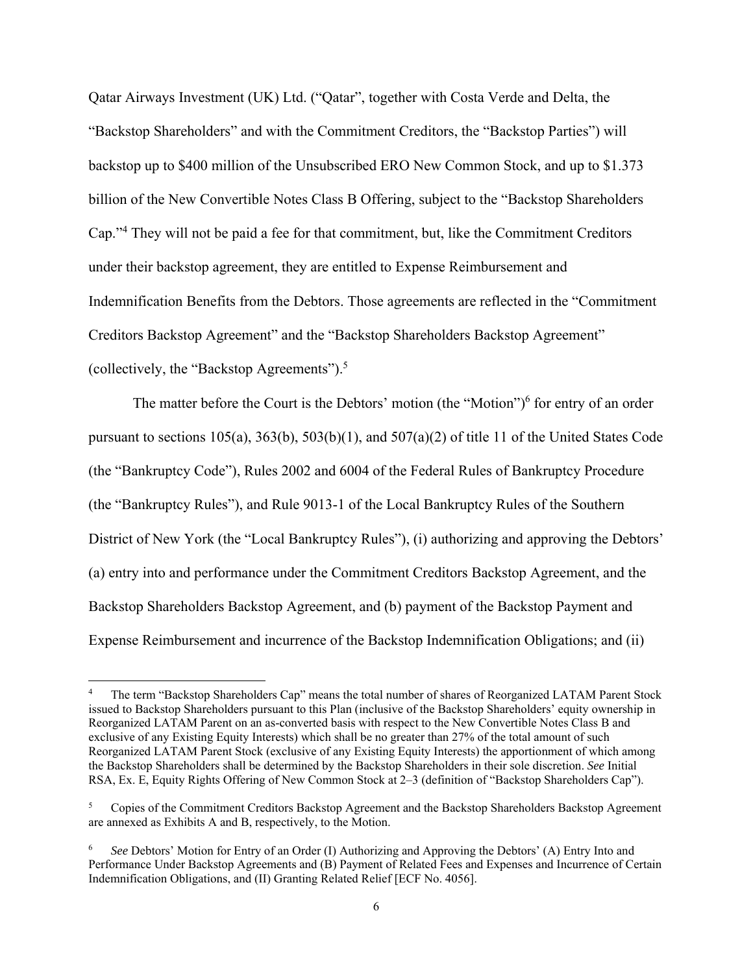Qatar Airways Investment (UK) Ltd. ("Qatar", together with Costa Verde and Delta, the "Backstop Shareholders" and with the Commitment Creditors, the "Backstop Parties") will backstop up to \$400 million of the Unsubscribed ERO New Common Stock, and up to \$1.373 billion of the New Convertible Notes Class B Offering, subject to the "Backstop Shareholders Cap."<sup>4</sup> They will not be paid a fee for that commitment, but, like the Commitment Creditors under their backstop agreement, they are entitled to Expense Reimbursement and Indemnification Benefits from the Debtors. Those agreements are reflected in the "Commitment Creditors Backstop Agreement" and the "Backstop Shareholders Backstop Agreement" (collectively, the "Backstop Agreements").5

The matter before the Court is the Debtors' motion (the "Motion") $<sup>6</sup>$  for entry of an order</sup> pursuant to sections 105(a), 363(b), 503(b)(1), and 507(a)(2) of title 11 of the United States Code (the "Bankruptcy Code"), Rules 2002 and 6004 of the Federal Rules of Bankruptcy Procedure (the "Bankruptcy Rules"), and Rule 9013-1 of the Local Bankruptcy Rules of the Southern District of New York (the "Local Bankruptcy Rules"), (i) authorizing and approving the Debtors' (a) entry into and performance under the Commitment Creditors Backstop Agreement, and the Backstop Shareholders Backstop Agreement, and (b) payment of the Backstop Payment and Expense Reimbursement and incurrence of the Backstop Indemnification Obligations; and (ii)

<sup>4</sup> The term "Backstop Shareholders Cap" means the total number of shares of Reorganized LATAM Parent Stock issued to Backstop Shareholders pursuant to this Plan (inclusive of the Backstop Shareholders' equity ownership in Reorganized LATAM Parent on an as-converted basis with respect to the New Convertible Notes Class B and exclusive of any Existing Equity Interests) which shall be no greater than 27% of the total amount of such Reorganized LATAM Parent Stock (exclusive of any Existing Equity Interests) the apportionment of which among the Backstop Shareholders shall be determined by the Backstop Shareholders in their sole discretion. *See* Initial RSA, Ex. E, Equity Rights Offering of New Common Stock at 2–3 (definition of "Backstop Shareholders Cap").

<sup>5</sup> Copies of the Commitment Creditors Backstop Agreement and the Backstop Shareholders Backstop Agreement are annexed as Exhibits A and B, respectively, to the Motion.

<sup>6</sup> *See* Debtors' Motion for Entry of an Order (I) Authorizing and Approving the Debtors' (A) Entry Into and Performance Under Backstop Agreements and (B) Payment of Related Fees and Expenses and Incurrence of Certain Indemnification Obligations, and (II) Granting Related Relief [ECF No. 4056].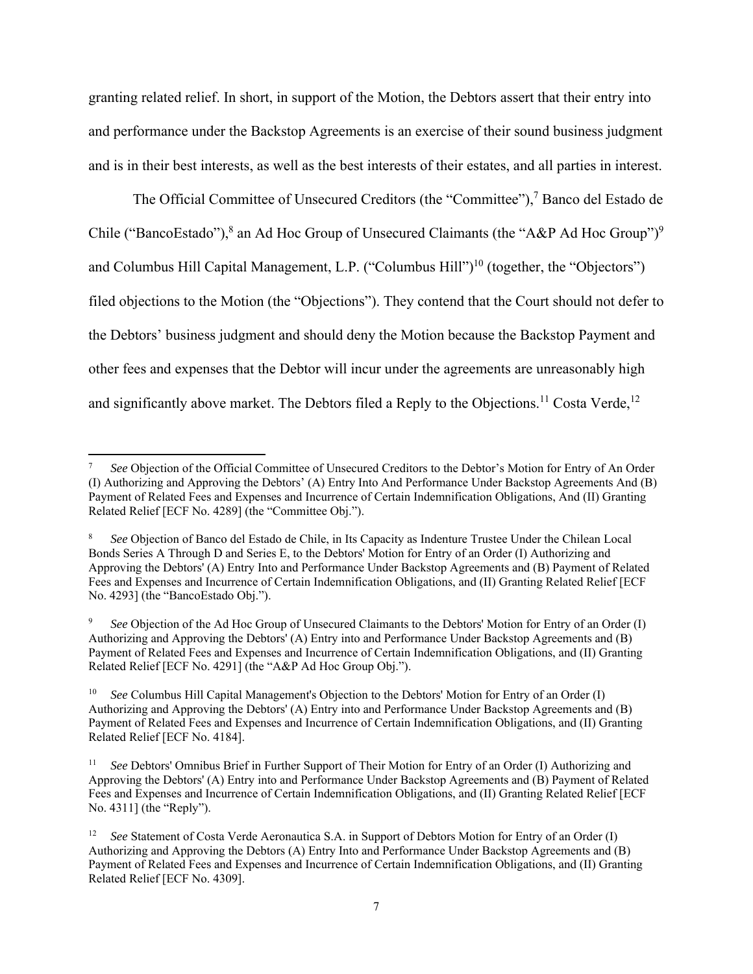granting related relief. In short, in support of the Motion, the Debtors assert that their entry into and performance under the Backstop Agreements is an exercise of their sound business judgment and is in their best interests, as well as the best interests of their estates, and all parties in interest.

The Official Committee of Unsecured Creditors (the "Committee"),<sup>7</sup> Banco del Estado de Chile ("BancoEstado"),<sup>8</sup> an Ad Hoc Group of Unsecured Claimants (the "A&P Ad Hoc Group")<sup>9</sup> and Columbus Hill Capital Management, L.P. ("Columbus Hill")<sup>10</sup> (together, the "Objectors") filed objections to the Motion (the "Objections"). They contend that the Court should not defer to the Debtors' business judgment and should deny the Motion because the Backstop Payment and other fees and expenses that the Debtor will incur under the agreements are unreasonably high and significantly above market. The Debtors filed a Reply to the Objections.<sup>11</sup> Costa Verde,<sup>12</sup>

<sup>7</sup> *See* Objection of the Official Committee of Unsecured Creditors to the Debtor's Motion for Entry of An Order (I) Authorizing and Approving the Debtors' (A) Entry Into And Performance Under Backstop Agreements And (B) Payment of Related Fees and Expenses and Incurrence of Certain Indemnification Obligations, And (II) Granting Related Relief [ECF No. 4289] (the "Committee Obj.").

<sup>8</sup> *See* Objection of Banco del Estado de Chile, in Its Capacity as Indenture Trustee Under the Chilean Local Bonds Series A Through D and Series E, to the Debtors' Motion for Entry of an Order (I) Authorizing and Approving the Debtors' (A) Entry Into and Performance Under Backstop Agreements and (B) Payment of Related Fees and Expenses and Incurrence of Certain Indemnification Obligations, and (II) Granting Related Relief [ECF No. 4293] (the "BancoEstado Obj.").

<sup>9</sup> *See* Objection of the Ad Hoc Group of Unsecured Claimants to the Debtors' Motion for Entry of an Order (I) Authorizing and Approving the Debtors' (A) Entry into and Performance Under Backstop Agreements and (B) Payment of Related Fees and Expenses and Incurrence of Certain Indemnification Obligations, and (II) Granting Related Relief [ECF No. 4291] (the "A&P Ad Hoc Group Obj.").

<sup>10</sup> *See* Columbus Hill Capital Management's Objection to the Debtors' Motion for Entry of an Order (I) Authorizing and Approving the Debtors' (A) Entry into and Performance Under Backstop Agreements and (B) Payment of Related Fees and Expenses and Incurrence of Certain Indemnification Obligations, and (II) Granting Related Relief [ECF No. 4184].

<sup>11</sup> *See* Debtors' Omnibus Brief in Further Support of Their Motion for Entry of an Order (I) Authorizing and Approving the Debtors' (A) Entry into and Performance Under Backstop Agreements and (B) Payment of Related Fees and Expenses and Incurrence of Certain Indemnification Obligations, and (II) Granting Related Relief [ECF No. 4311] (the "Reply").

<sup>&</sup>lt;sup>12</sup> *See* Statement of Costa Verde Aeronautica S.A. in Support of Debtors Motion for Entry of an Order (I) Authorizing and Approving the Debtors (A) Entry Into and Performance Under Backstop Agreements and (B) Payment of Related Fees and Expenses and Incurrence of Certain Indemnification Obligations, and (II) Granting Related Relief [ECF No. 4309].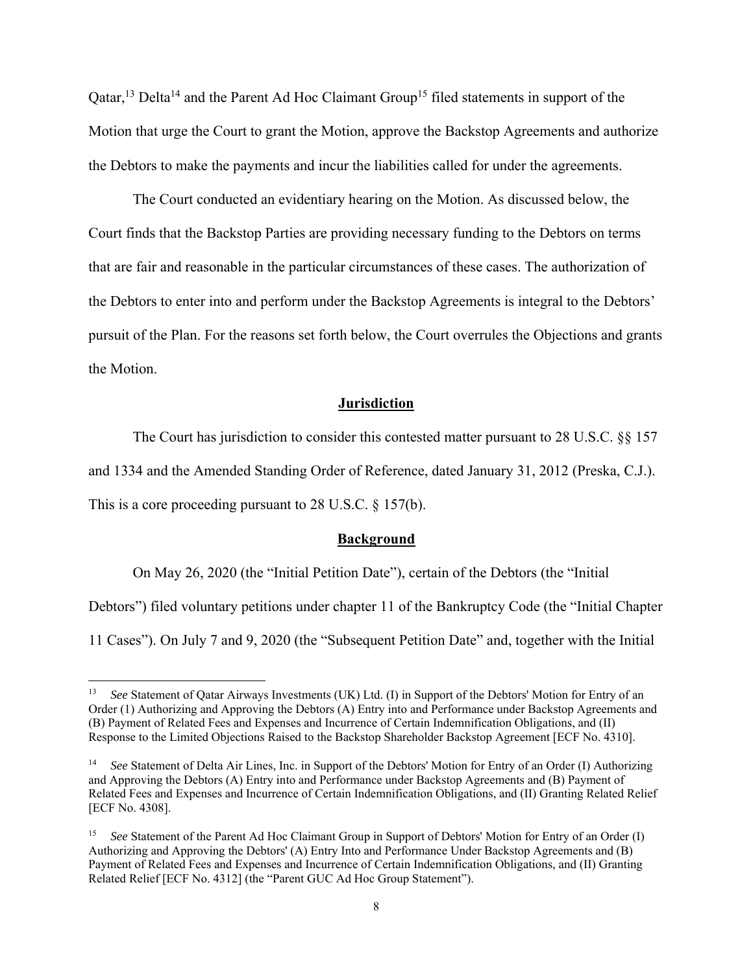Qatar,<sup>13</sup> Delta<sup>14</sup> and the Parent Ad Hoc Claimant Group<sup>15</sup> filed statements in support of the Motion that urge the Court to grant the Motion, approve the Backstop Agreements and authorize the Debtors to make the payments and incur the liabilities called for under the agreements.

 The Court conducted an evidentiary hearing on the Motion. As discussed below, the Court finds that the Backstop Parties are providing necessary funding to the Debtors on terms that are fair and reasonable in the particular circumstances of these cases. The authorization of the Debtors to enter into and perform under the Backstop Agreements is integral to the Debtors' pursuit of the Plan. For the reasons set forth below, the Court overrules the Objections and grants the Motion.

#### **Jurisdiction**

The Court has jurisdiction to consider this contested matter pursuant to 28 U.S.C. §§ 157

and 1334 and the Amended Standing Order of Reference, dated January 31, 2012 (Preska, C.J.).

This is a core proceeding pursuant to 28 U.S.C. § 157(b).

#### **Background**

On May 26, 2020 (the "Initial Petition Date"), certain of the Debtors (the "Initial

Debtors") filed voluntary petitions under chapter 11 of the Bankruptcy Code (the "Initial Chapter

11 Cases"). On July 7 and 9, 2020 (the "Subsequent Petition Date" and, together with the Initial

<sup>&</sup>lt;sup>13</sup> *See* Statement of Qatar Airways Investments (UK) Ltd. (I) in Support of the Debtors' Motion for Entry of an Order (1) Authorizing and Approving the Debtors (A) Entry into and Performance under Backstop Agreements and (B) Payment of Related Fees and Expenses and Incurrence of Certain Indemnification Obligations, and (II) Response to the Limited Objections Raised to the Backstop Shareholder Backstop Agreement [ECF No. 4310].

<sup>14</sup> *See* Statement of Delta Air Lines, Inc. in Support of the Debtors' Motion for Entry of an Order (I) Authorizing and Approving the Debtors (A) Entry into and Performance under Backstop Agreements and (B) Payment of Related Fees and Expenses and Incurrence of Certain Indemnification Obligations, and (II) Granting Related Relief [ECF No. 4308].

<sup>15</sup> *See* Statement of the Parent Ad Hoc Claimant Group in Support of Debtors' Motion for Entry of an Order (I) Authorizing and Approving the Debtors' (A) Entry Into and Performance Under Backstop Agreements and (B) Payment of Related Fees and Expenses and Incurrence of Certain Indemnification Obligations, and (II) Granting Related Relief [ECF No. 4312] (the "Parent GUC Ad Hoc Group Statement").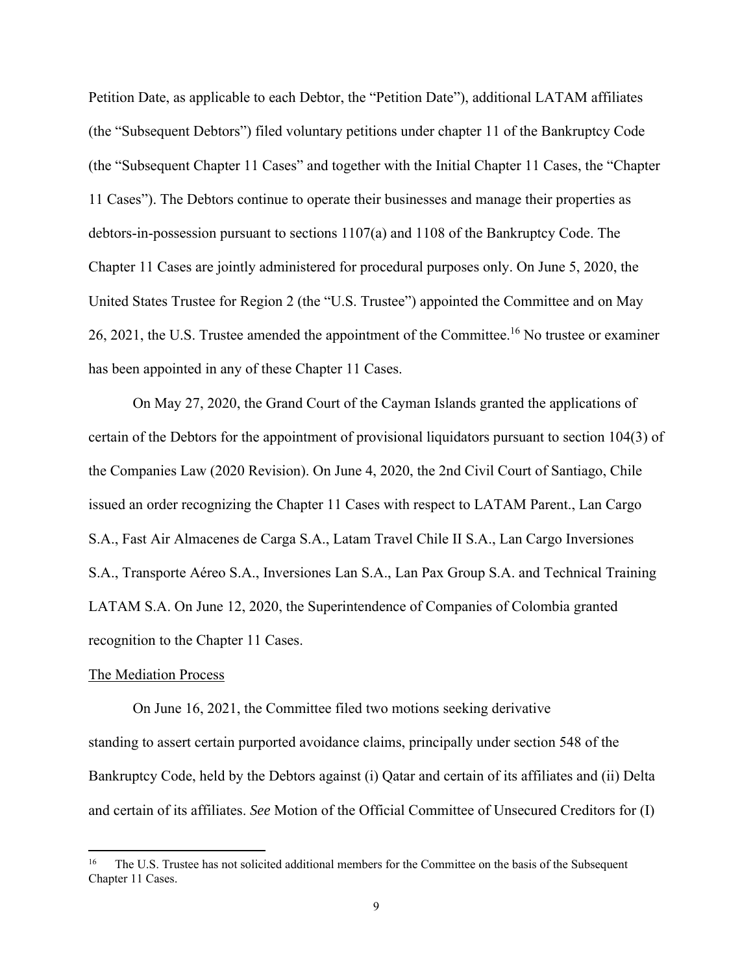Petition Date, as applicable to each Debtor, the "Petition Date"), additional LATAM affiliates (the "Subsequent Debtors") filed voluntary petitions under chapter 11 of the Bankruptcy Code (the "Subsequent Chapter 11 Cases" and together with the Initial Chapter 11 Cases, the "Chapter 11 Cases"). The Debtors continue to operate their businesses and manage their properties as debtors-in-possession pursuant to sections 1107(a) and 1108 of the Bankruptcy Code. The Chapter 11 Cases are jointly administered for procedural purposes only. On June 5, 2020, the United States Trustee for Region 2 (the "U.S. Trustee") appointed the Committee and on May 26, 2021, the U.S. Trustee amended the appointment of the Committee.<sup>16</sup> No trustee or examiner has been appointed in any of these Chapter 11 Cases.

 On May 27, 2020, the Grand Court of the Cayman Islands granted the applications of certain of the Debtors for the appointment of provisional liquidators pursuant to section 104(3) of the Companies Law (2020 Revision). On June 4, 2020, the 2nd Civil Court of Santiago, Chile issued an order recognizing the Chapter 11 Cases with respect to LATAM Parent., Lan Cargo S.A., Fast Air Almacenes de Carga S.A., Latam Travel Chile II S.A., Lan Cargo Inversiones S.A., Transporte Aéreo S.A., Inversiones Lan S.A., Lan Pax Group S.A. and Technical Training LATAM S.A. On June 12, 2020, the Superintendence of Companies of Colombia granted recognition to the Chapter 11 Cases.

#### The Mediation Process

 On June 16, 2021, the Committee filed two motions seeking derivative standing to assert certain purported avoidance claims, principally under section 548 of the Bankruptcy Code, held by the Debtors against (i) Qatar and certain of its affiliates and (ii) Delta and certain of its affiliates. *See* Motion of the Official Committee of Unsecured Creditors for (I)

<sup>16</sup> The U.S. Trustee has not solicited additional members for the Committee on the basis of the Subsequent Chapter 11 Cases.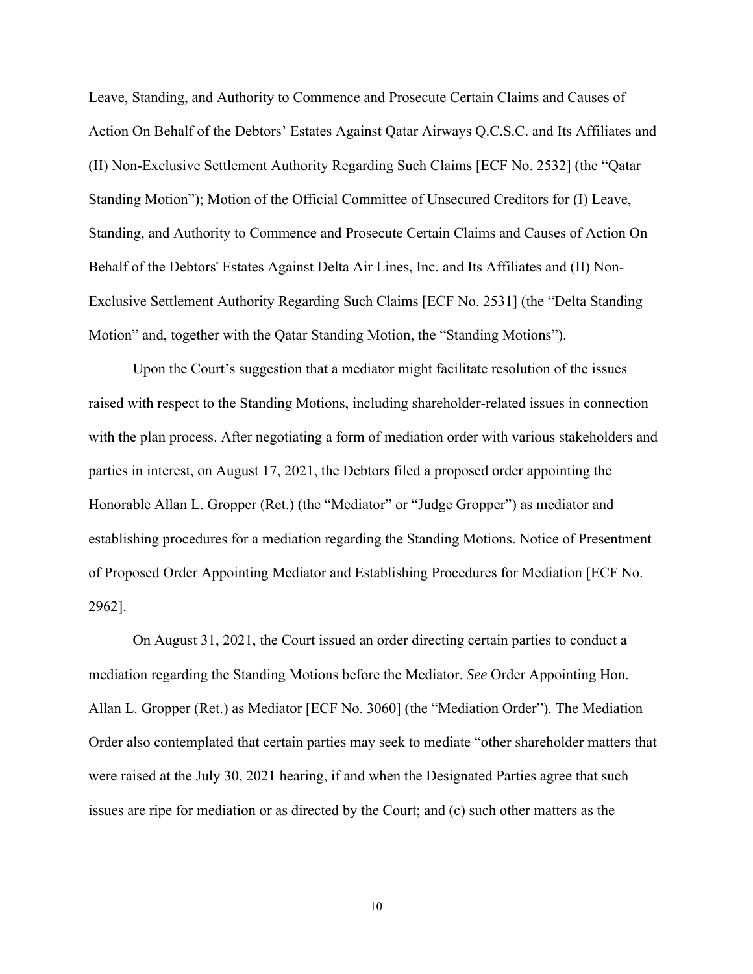Leave, Standing, and Authority to Commence and Prosecute Certain Claims and Causes of Action On Behalf of the Debtors' Estates Against Qatar Airways Q.C.S.C. and Its Affiliates and (II) Non-Exclusive Settlement Authority Regarding Such Claims [ECF No. 2532] (the "Qatar Standing Motion"); Motion of the Official Committee of Unsecured Creditors for (I) Leave, Standing, and Authority to Commence and Prosecute Certain Claims and Causes of Action On Behalf of the Debtors' Estates Against Delta Air Lines, Inc. and Its Affiliates and (II) Non-Exclusive Settlement Authority Regarding Such Claims [ECF No. 2531] (the "Delta Standing Motion" and, together with the Qatar Standing Motion, the "Standing Motions").

 Upon the Court's suggestion that a mediator might facilitate resolution of the issues raised with respect to the Standing Motions, including shareholder-related issues in connection with the plan process. After negotiating a form of mediation order with various stakeholders and parties in interest, on August 17, 2021, the Debtors filed a proposed order appointing the Honorable Allan L. Gropper (Ret.) (the "Mediator" or "Judge Gropper") as mediator and establishing procedures for a mediation regarding the Standing Motions. Notice of Presentment of Proposed Order Appointing Mediator and Establishing Procedures for Mediation [ECF No. 2962].

 On August 31, 2021, the Court issued an order directing certain parties to conduct a mediation regarding the Standing Motions before the Mediator. *See* Order Appointing Hon. Allan L. Gropper (Ret.) as Mediator [ECF No. 3060] (the "Mediation Order"). The Mediation Order also contemplated that certain parties may seek to mediate "other shareholder matters that were raised at the July 30, 2021 hearing, if and when the Designated Parties agree that such issues are ripe for mediation or as directed by the Court; and (c) such other matters as the

10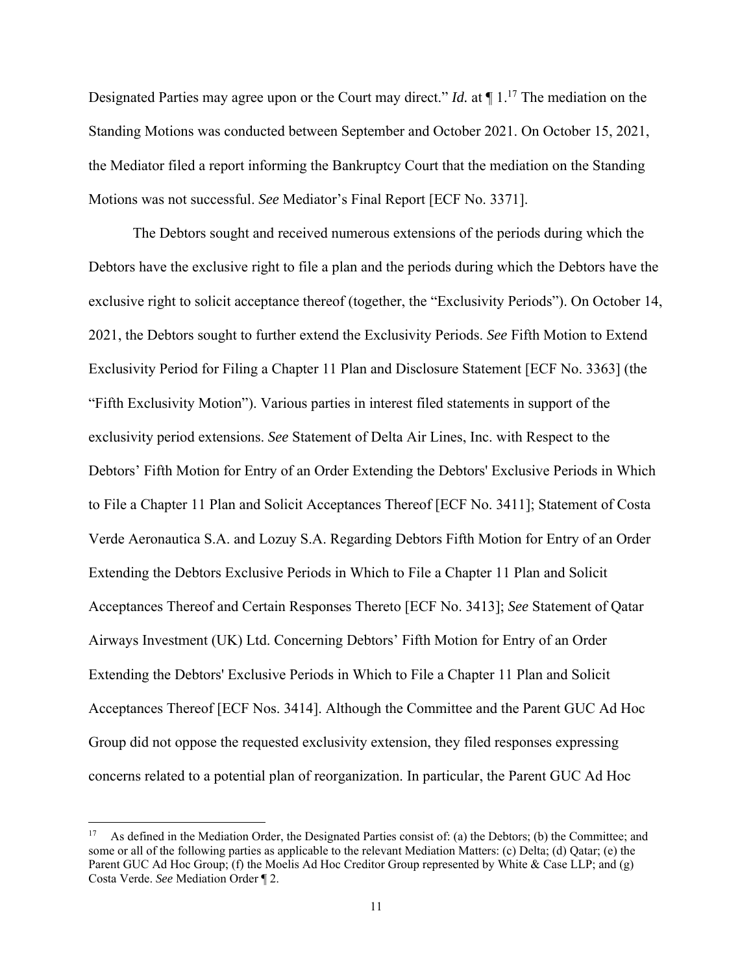Designated Parties may agree upon or the Court may direct." *Id.* at ¶ 1.17 The mediation on the Standing Motions was conducted between September and October 2021. On October 15, 2021, the Mediator filed a report informing the Bankruptcy Court that the mediation on the Standing Motions was not successful. *See* Mediator's Final Report [ECF No. 3371].

 The Debtors sought and received numerous extensions of the periods during which the Debtors have the exclusive right to file a plan and the periods during which the Debtors have the exclusive right to solicit acceptance thereof (together, the "Exclusivity Periods"). On October 14, 2021, the Debtors sought to further extend the Exclusivity Periods. *See* Fifth Motion to Extend Exclusivity Period for Filing a Chapter 11 Plan and Disclosure Statement [ECF No. 3363] (the "Fifth Exclusivity Motion"). Various parties in interest filed statements in support of the exclusivity period extensions. *See* Statement of Delta Air Lines, Inc. with Respect to the Debtors' Fifth Motion for Entry of an Order Extending the Debtors' Exclusive Periods in Which to File a Chapter 11 Plan and Solicit Acceptances Thereof [ECF No. 3411]; Statement of Costa Verde Aeronautica S.A. and Lozuy S.A. Regarding Debtors Fifth Motion for Entry of an Order Extending the Debtors Exclusive Periods in Which to File a Chapter 11 Plan and Solicit Acceptances Thereof and Certain Responses Thereto [ECF No. 3413]; *See* Statement of Qatar Airways Investment (UK) Ltd. Concerning Debtors' Fifth Motion for Entry of an Order Extending the Debtors' Exclusive Periods in Which to File a Chapter 11 Plan and Solicit Acceptances Thereof [ECF Nos. 3414]. Although the Committee and the Parent GUC Ad Hoc Group did not oppose the requested exclusivity extension, they filed responses expressing concerns related to a potential plan of reorganization. In particular, the Parent GUC Ad Hoc

<sup>&</sup>lt;sup>17</sup> As defined in the Mediation Order, the Designated Parties consist of: (a) the Debtors; (b) the Committee; and some or all of the following parties as applicable to the relevant Mediation Matters: (c) Delta; (d) Qatar; (e) the Parent GUC Ad Hoc Group; (f) the Moelis Ad Hoc Creditor Group represented by White & Case LLP; and (g) Costa Verde. *See* Mediation Order ¶ 2.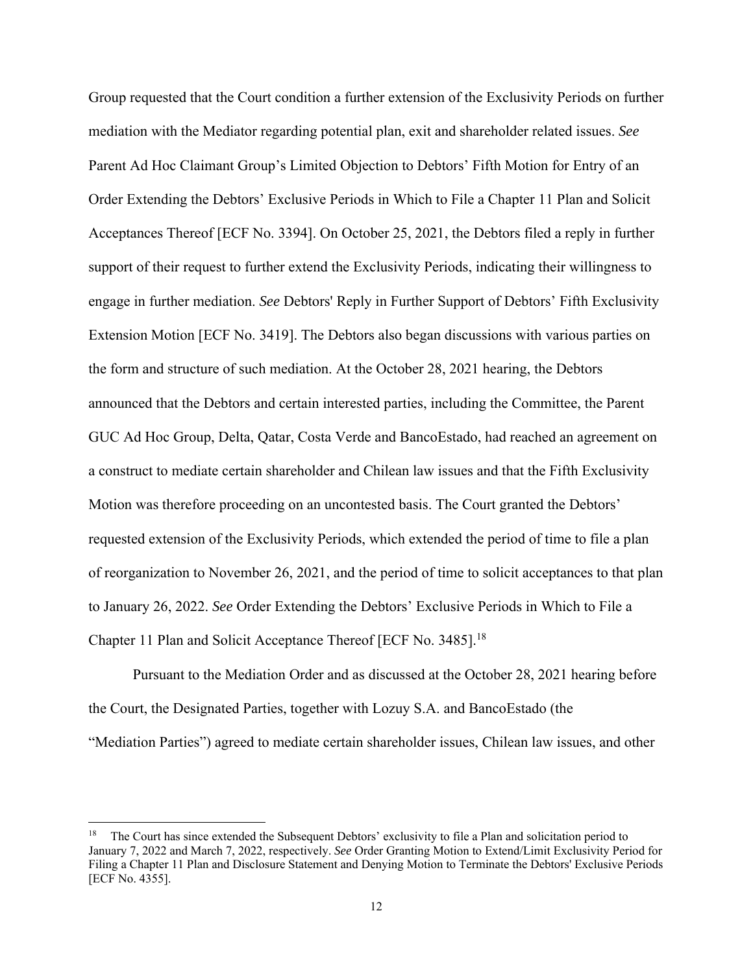Group requested that the Court condition a further extension of the Exclusivity Periods on further mediation with the Mediator regarding potential plan, exit and shareholder related issues. *See*  Parent Ad Hoc Claimant Group's Limited Objection to Debtors' Fifth Motion for Entry of an Order Extending the Debtors' Exclusive Periods in Which to File a Chapter 11 Plan and Solicit Acceptances Thereof [ECF No. 3394]. On October 25, 2021, the Debtors filed a reply in further support of their request to further extend the Exclusivity Periods, indicating their willingness to engage in further mediation. *See* Debtors' Reply in Further Support of Debtors' Fifth Exclusivity Extension Motion [ECF No. 3419]. The Debtors also began discussions with various parties on the form and structure of such mediation. At the October 28, 2021 hearing, the Debtors announced that the Debtors and certain interested parties, including the Committee, the Parent GUC Ad Hoc Group, Delta, Qatar, Costa Verde and BancoEstado, had reached an agreement on a construct to mediate certain shareholder and Chilean law issues and that the Fifth Exclusivity Motion was therefore proceeding on an uncontested basis. The Court granted the Debtors' requested extension of the Exclusivity Periods, which extended the period of time to file a plan of reorganization to November 26, 2021, and the period of time to solicit acceptances to that plan to January 26, 2022. *See* Order Extending the Debtors' Exclusive Periods in Which to File a Chapter 11 Plan and Solicit Acceptance Thereof [ECF No. 3485].<sup>18</sup>

Pursuant to the Mediation Order and as discussed at the October 28, 2021 hearing before the Court, the Designated Parties, together with Lozuy S.A. and BancoEstado (the "Mediation Parties") agreed to mediate certain shareholder issues, Chilean law issues, and other

<sup>18</sup> The Court has since extended the Subsequent Debtors' exclusivity to file a Plan and solicitation period to January 7, 2022 and March 7, 2022, respectively. *See* Order Granting Motion to Extend/Limit Exclusivity Period for Filing a Chapter 11 Plan and Disclosure Statement and Denying Motion to Terminate the Debtors' Exclusive Periods [ECF No. 4355].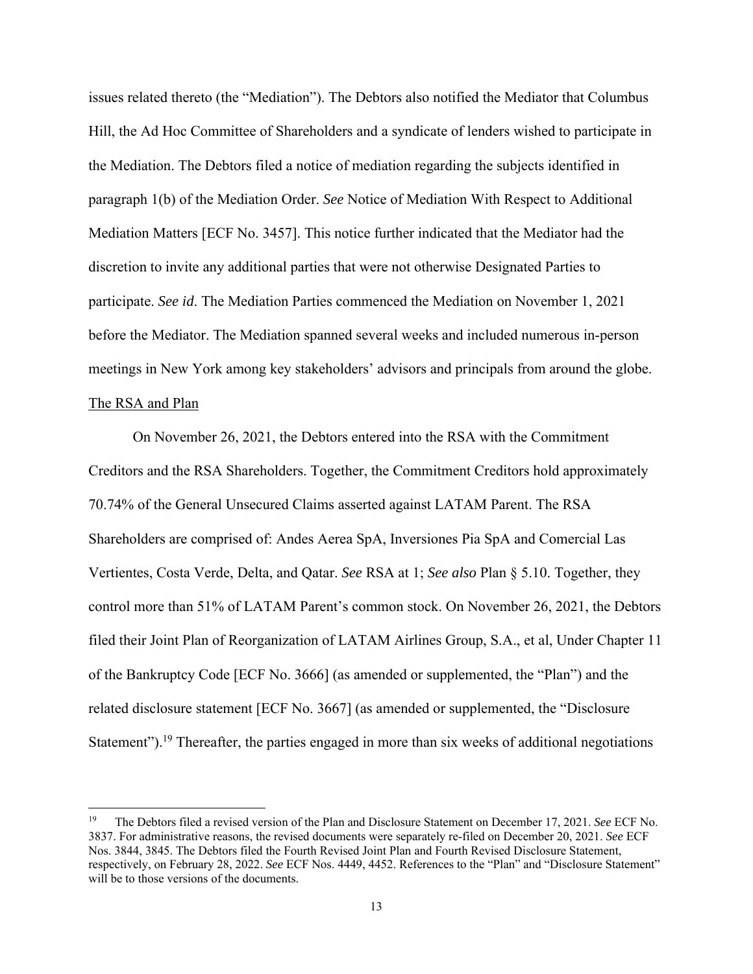issues related thereto (the "Mediation"). The Debtors also notified the Mediator that Columbus Hill, the Ad Hoc Committee of Shareholders and a syndicate of lenders wished to participate in the Mediation. The Debtors filed a notice of mediation regarding the subjects identified in paragraph 1(b) of the Mediation Order. *See* Notice of Mediation With Respect to Additional Mediation Matters [ECF No. 3457]. This notice further indicated that the Mediator had the discretion to invite any additional parties that were not otherwise Designated Parties to participate. *See id*. The Mediation Parties commenced the Mediation on November 1, 2021 before the Mediator. The Mediation spanned several weeks and included numerous in-person meetings in New York among key stakeholders' advisors and principals from around the globe. The RSA and Plan

 On November 26, 2021, the Debtors entered into the RSA with the Commitment Creditors and the RSA Shareholders. Together, the Commitment Creditors hold approximately 70.74% of the General Unsecured Claims asserted against LATAM Parent. The RSA Shareholders are comprised of: Andes Aerea SpA, Inversiones Pia SpA and Comercial Las Vertientes, Costa Verde, Delta, and Qatar. *See* RSA at 1; *See also* Plan § 5.10. Together, they control more than 51% of LATAM Parent's common stock. On November 26, 2021, the Debtors filed their Joint Plan of Reorganization of LATAM Airlines Group, S.A., et al, Under Chapter 11 of the Bankruptcy Code [ECF No. 3666] (as amended or supplemented, the "Plan") and the related disclosure statement [ECF No. 3667] (as amended or supplemented, the "Disclosure Statement").<sup>19</sup> Thereafter, the parties engaged in more than six weeks of additional negotiations

<sup>19</sup> The Debtors filed a revised version of the Plan and Disclosure Statement on December 17, 2021. *See* ECF No. 3837. For administrative reasons, the revised documents were separately re-filed on December 20, 2021. *See* ECF Nos. 3844, 3845. The Debtors filed the Fourth Revised Joint Plan and Fourth Revised Disclosure Statement, respectively, on February 28, 2022. *See* ECF Nos. 4449, 4452. References to the "Plan" and "Disclosure Statement" will be to those versions of the documents.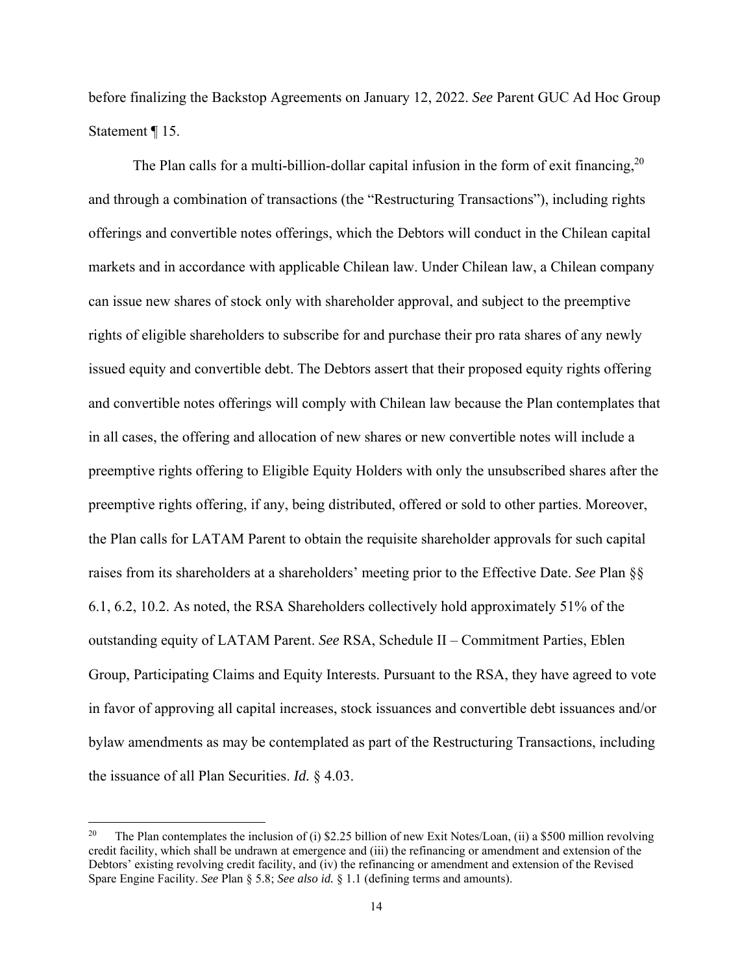before finalizing the Backstop Agreements on January 12, 2022. *See* Parent GUC Ad Hoc Group Statement ¶ 15.

The Plan calls for a multi-billion-dollar capital infusion in the form of exit financing,  $2^0$ and through a combination of transactions (the "Restructuring Transactions"), including rights offerings and convertible notes offerings, which the Debtors will conduct in the Chilean capital markets and in accordance with applicable Chilean law. Under Chilean law, a Chilean company can issue new shares of stock only with shareholder approval, and subject to the preemptive rights of eligible shareholders to subscribe for and purchase their pro rata shares of any newly issued equity and convertible debt. The Debtors assert that their proposed equity rights offering and convertible notes offerings will comply with Chilean law because the Plan contemplates that in all cases, the offering and allocation of new shares or new convertible notes will include a preemptive rights offering to Eligible Equity Holders with only the unsubscribed shares after the preemptive rights offering, if any, being distributed, offered or sold to other parties. Moreover, the Plan calls for LATAM Parent to obtain the requisite shareholder approvals for such capital raises from its shareholders at a shareholders' meeting prior to the Effective Date. *See* Plan §§ 6.1, 6.2, 10.2. As noted, the RSA Shareholders collectively hold approximately 51% of the outstanding equity of LATAM Parent. *See* RSA, Schedule II – Commitment Parties, Eblen Group, Participating Claims and Equity Interests. Pursuant to the RSA, they have agreed to vote in favor of approving all capital increases, stock issuances and convertible debt issuances and/or bylaw amendments as may be contemplated as part of the Restructuring Transactions, including the issuance of all Plan Securities. *Id.* § 4.03.

<sup>&</sup>lt;sup>20</sup> The Plan contemplates the inclusion of (i) \$2.25 billion of new Exit Notes/Loan, (ii) a \$500 million revolving credit facility, which shall be undrawn at emergence and (iii) the refinancing or amendment and extension of the Debtors' existing revolving credit facility, and (iv) the refinancing or amendment and extension of the Revised Spare Engine Facility. *See* Plan § 5.8; *See also id.* § 1.1 (defining terms and amounts).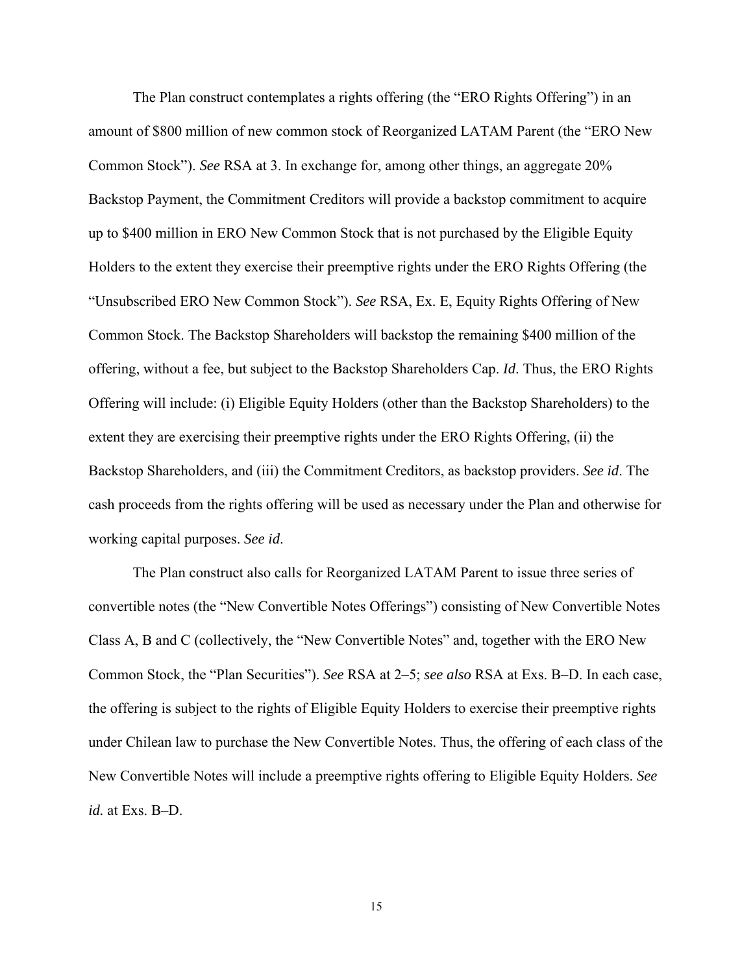The Plan construct contemplates a rights offering (the "ERO Rights Offering") in an amount of \$800 million of new common stock of Reorganized LATAM Parent (the "ERO New Common Stock"). *See* RSA at 3. In exchange for, among other things, an aggregate 20% Backstop Payment, the Commitment Creditors will provide a backstop commitment to acquire up to \$400 million in ERO New Common Stock that is not purchased by the Eligible Equity Holders to the extent they exercise their preemptive rights under the ERO Rights Offering (the "Unsubscribed ERO New Common Stock"). *See* RSA, Ex. E, Equity Rights Offering of New Common Stock. The Backstop Shareholders will backstop the remaining \$400 million of the offering, without a fee, but subject to the Backstop Shareholders Cap. *Id*. Thus, the ERO Rights Offering will include: (i) Eligible Equity Holders (other than the Backstop Shareholders) to the extent they are exercising their preemptive rights under the ERO Rights Offering, (ii) the Backstop Shareholders, and (iii) the Commitment Creditors, as backstop providers. *See id*. The cash proceeds from the rights offering will be used as necessary under the Plan and otherwise for working capital purposes. *See id*.

 The Plan construct also calls for Reorganized LATAM Parent to issue three series of convertible notes (the "New Convertible Notes Offerings") consisting of New Convertible Notes Class A, B and C (collectively, the "New Convertible Notes" and, together with the ERO New Common Stock, the "Plan Securities"). *See* RSA at 2–5; *see also* RSA at Exs. B–D. In each case, the offering is subject to the rights of Eligible Equity Holders to exercise their preemptive rights under Chilean law to purchase the New Convertible Notes. Thus, the offering of each class of the New Convertible Notes will include a preemptive rights offering to Eligible Equity Holders. *See id.* at Exs. B–D.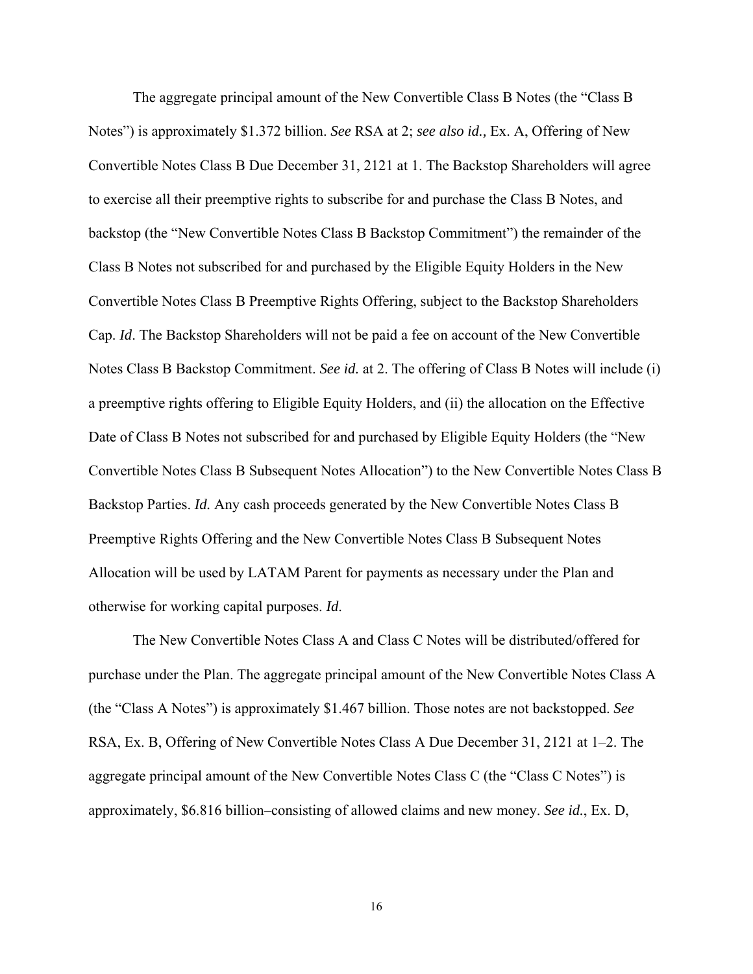The aggregate principal amount of the New Convertible Class B Notes (the "Class B Notes") is approximately \$1.372 billion. *See* RSA at 2; *see also id.,* Ex. A, Offering of New Convertible Notes Class B Due December 31, 2121 at 1. The Backstop Shareholders will agree to exercise all their preemptive rights to subscribe for and purchase the Class B Notes, and backstop (the "New Convertible Notes Class B Backstop Commitment") the remainder of the Class B Notes not subscribed for and purchased by the Eligible Equity Holders in the New Convertible Notes Class B Preemptive Rights Offering, subject to the Backstop Shareholders Cap. *Id*. The Backstop Shareholders will not be paid a fee on account of the New Convertible Notes Class B Backstop Commitment. *See id.* at 2. The offering of Class B Notes will include (i) a preemptive rights offering to Eligible Equity Holders, and (ii) the allocation on the Effective Date of Class B Notes not subscribed for and purchased by Eligible Equity Holders (the "New Convertible Notes Class B Subsequent Notes Allocation") to the New Convertible Notes Class B Backstop Parties. *Id.* Any cash proceeds generated by the New Convertible Notes Class B Preemptive Rights Offering and the New Convertible Notes Class B Subsequent Notes Allocation will be used by LATAM Parent for payments as necessary under the Plan and otherwise for working capital purposes. *Id*.

The New Convertible Notes Class A and Class C Notes will be distributed/offered for purchase under the Plan. The aggregate principal amount of the New Convertible Notes Class A (the "Class A Notes") is approximately \$1.467 billion. Those notes are not backstopped. *See* RSA, Ex. B, Offering of New Convertible Notes Class A Due December 31, 2121 at 1–2. The aggregate principal amount of the New Convertible Notes Class C (the "Class C Notes") is approximately, \$6.816 billion–consisting of allowed claims and new money. *See id.*, Ex. D,

16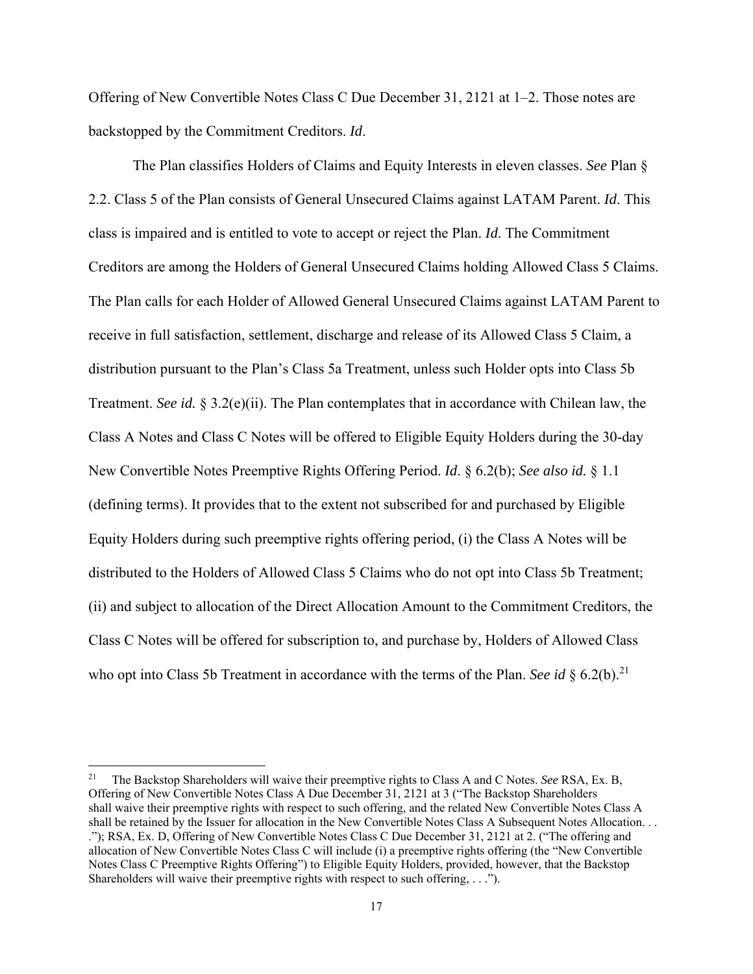Offering of New Convertible Notes Class C Due December 31, 2121 at 1–2. Those notes are backstopped by the Commitment Creditors. *Id*.

 The Plan classifies Holders of Claims and Equity Interests in eleven classes. *See* Plan § 2.2. Class 5 of the Plan consists of General Unsecured Claims against LATAM Parent. *Id*. This class is impaired and is entitled to vote to accept or reject the Plan. *Id*. The Commitment Creditors are among the Holders of General Unsecured Claims holding Allowed Class 5 Claims. The Plan calls for each Holder of Allowed General Unsecured Claims against LATAM Parent to receive in full satisfaction, settlement, discharge and release of its Allowed Class 5 Claim, a distribution pursuant to the Plan's Class 5a Treatment, unless such Holder opts into Class 5b Treatment. *See id.* § 3.2(e)(ii). The Plan contemplates that in accordance with Chilean law, the Class A Notes and Class C Notes will be offered to Eligible Equity Holders during the 30-day New Convertible Notes Preemptive Rights Offering Period. *Id*. § 6.2(b); *See also id.* § 1.1 (defining terms). It provides that to the extent not subscribed for and purchased by Eligible Equity Holders during such preemptive rights offering period, (i) the Class A Notes will be distributed to the Holders of Allowed Class 5 Claims who do not opt into Class 5b Treatment; (ii) and subject to allocation of the Direct Allocation Amount to the Commitment Creditors, the Class C Notes will be offered for subscription to, and purchase by, Holders of Allowed Class who opt into Class 5b Treatment in accordance with the terms of the Plan. *See id*  $\S$  6.2(b).<sup>21</sup>

<sup>21</sup> The Backstop Shareholders will waive their preemptive rights to Class A and C Notes. *See* RSA, Ex. B, Offering of New Convertible Notes Class A Due December 31, 2121 at 3 ("The Backstop Shareholders shall waive their preemptive rights with respect to such offering, and the related New Convertible Notes Class A shall be retained by the Issuer for allocation in the New Convertible Notes Class A Subsequent Notes Allocation. . . ."); RSA, Ex. D, Offering of New Convertible Notes Class C Due December 31, 2121 at 2. ("The offering and allocation of New Convertible Notes Class C will include (i) a preemptive rights offering (the "New Convertible Notes Class C Preemptive Rights Offering") to Eligible Equity Holders, provided, however, that the Backstop Shareholders will waive their preemptive rights with respect to such offering, . . .").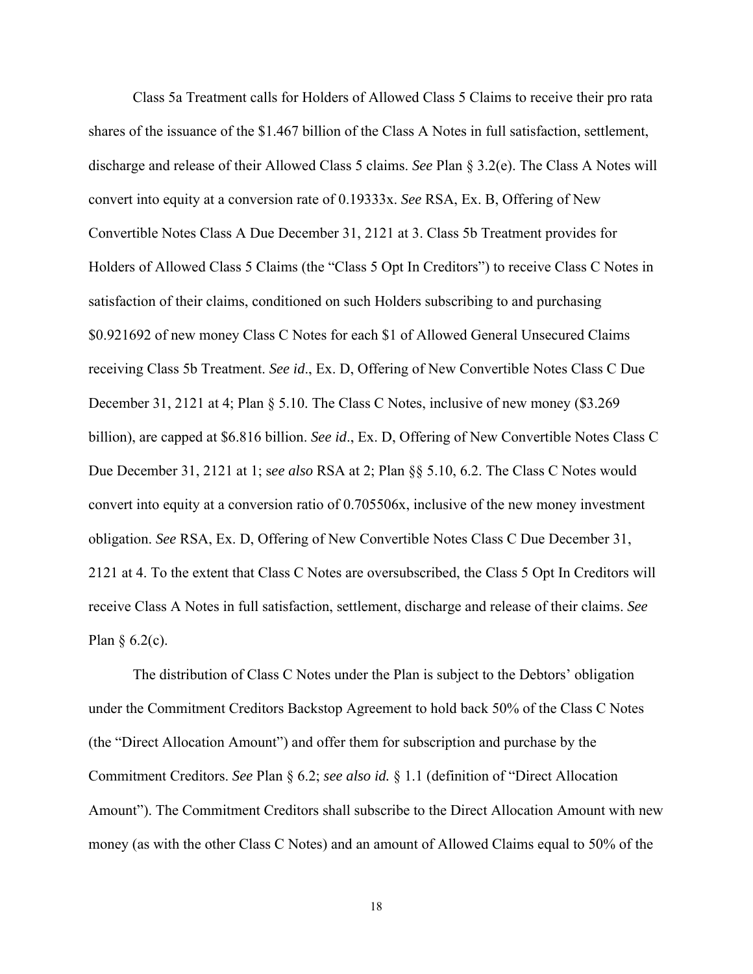Class 5a Treatment calls for Holders of Allowed Class 5 Claims to receive their pro rata shares of the issuance of the \$1.467 billion of the Class A Notes in full satisfaction, settlement, discharge and release of their Allowed Class 5 claims. *See* Plan § 3.2(e). The Class A Notes will convert into equity at a conversion rate of 0.19333x. *See* RSA, Ex. B, Offering of New Convertible Notes Class A Due December 31, 2121 at 3. Class 5b Treatment provides for Holders of Allowed Class 5 Claims (the "Class 5 Opt In Creditors") to receive Class C Notes in satisfaction of their claims, conditioned on such Holders subscribing to and purchasing \$0.921692 of new money Class C Notes for each \$1 of Allowed General Unsecured Claims receiving Class 5b Treatment. *See id*., Ex. D, Offering of New Convertible Notes Class C Due December 31, 2121 at 4; Plan § 5.10. The Class C Notes, inclusive of new money (\$3.269 billion), are capped at \$6.816 billion. *See id*., Ex. D, Offering of New Convertible Notes Class C Due December 31, 2121 at 1; s*ee also* RSA at 2; Plan §§ 5.10, 6.2. The Class C Notes would convert into equity at a conversion ratio of 0.705506x, inclusive of the new money investment obligation. *See* RSA, Ex. D, Offering of New Convertible Notes Class C Due December 31, 2121 at 4. To the extent that Class C Notes are oversubscribed, the Class 5 Opt In Creditors will receive Class A Notes in full satisfaction, settlement, discharge and release of their claims. *See* Plan § 6.2(c).

 The distribution of Class C Notes under the Plan is subject to the Debtors' obligation under the Commitment Creditors Backstop Agreement to hold back 50% of the Class C Notes (the "Direct Allocation Amount") and offer them for subscription and purchase by the Commitment Creditors. *See* Plan § 6.2; *see also id.* § 1.1 (definition of "Direct Allocation Amount"). The Commitment Creditors shall subscribe to the Direct Allocation Amount with new money (as with the other Class C Notes) and an amount of Allowed Claims equal to 50% of the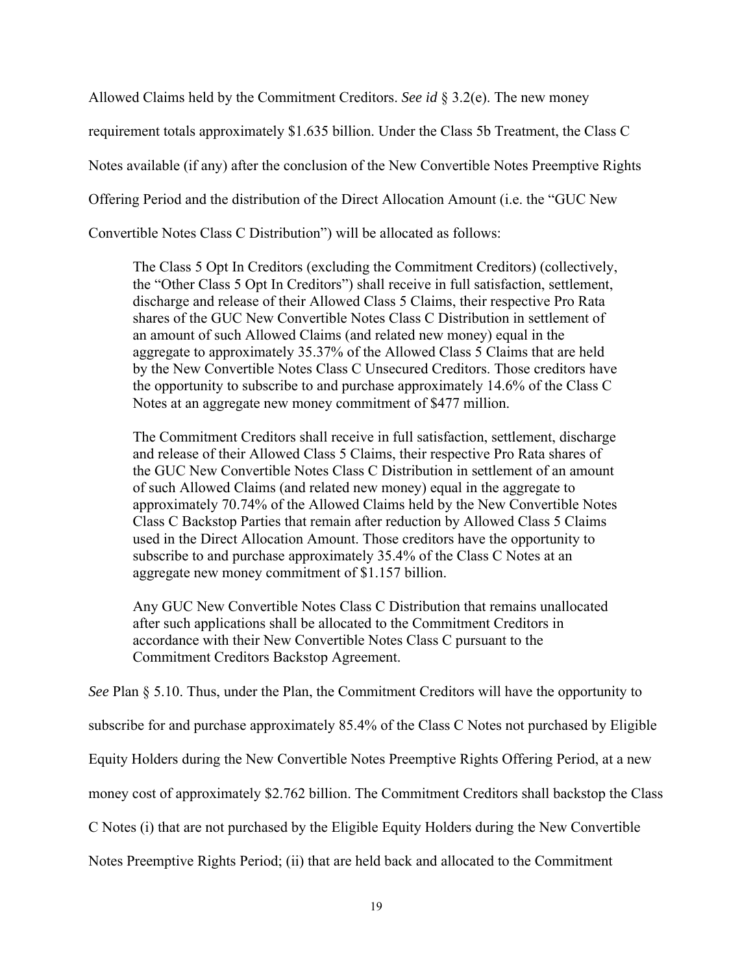Allowed Claims held by the Commitment Creditors. *See id* § 3.2(e). The new money

requirement totals approximately \$1.635 billion. Under the Class 5b Treatment, the Class C

Notes available (if any) after the conclusion of the New Convertible Notes Preemptive Rights

Offering Period and the distribution of the Direct Allocation Amount (i.e. the "GUC New

Convertible Notes Class C Distribution") will be allocated as follows:

The Class 5 Opt In Creditors (excluding the Commitment Creditors) (collectively, the "Other Class 5 Opt In Creditors") shall receive in full satisfaction, settlement, discharge and release of their Allowed Class 5 Claims, their respective Pro Rata shares of the GUC New Convertible Notes Class C Distribution in settlement of an amount of such Allowed Claims (and related new money) equal in the aggregate to approximately 35.37% of the Allowed Class 5 Claims that are held by the New Convertible Notes Class C Unsecured Creditors. Those creditors have the opportunity to subscribe to and purchase approximately 14.6% of the Class C Notes at an aggregate new money commitment of \$477 million.

The Commitment Creditors shall receive in full satisfaction, settlement, discharge and release of their Allowed Class 5 Claims, their respective Pro Rata shares of the GUC New Convertible Notes Class C Distribution in settlement of an amount of such Allowed Claims (and related new money) equal in the aggregate to approximately 70.74% of the Allowed Claims held by the New Convertible Notes Class C Backstop Parties that remain after reduction by Allowed Class 5 Claims used in the Direct Allocation Amount. Those creditors have the opportunity to subscribe to and purchase approximately 35.4% of the Class C Notes at an aggregate new money commitment of \$1.157 billion.

Any GUC New Convertible Notes Class C Distribution that remains unallocated after such applications shall be allocated to the Commitment Creditors in accordance with their New Convertible Notes Class C pursuant to the Commitment Creditors Backstop Agreement.

*See* Plan § 5.10. Thus, under the Plan, the Commitment Creditors will have the opportunity to

subscribe for and purchase approximately 85.4% of the Class C Notes not purchased by Eligible

Equity Holders during the New Convertible Notes Preemptive Rights Offering Period, at a new

money cost of approximately \$2.762 billion. The Commitment Creditors shall backstop the Class

C Notes (i) that are not purchased by the Eligible Equity Holders during the New Convertible

Notes Preemptive Rights Period; (ii) that are held back and allocated to the Commitment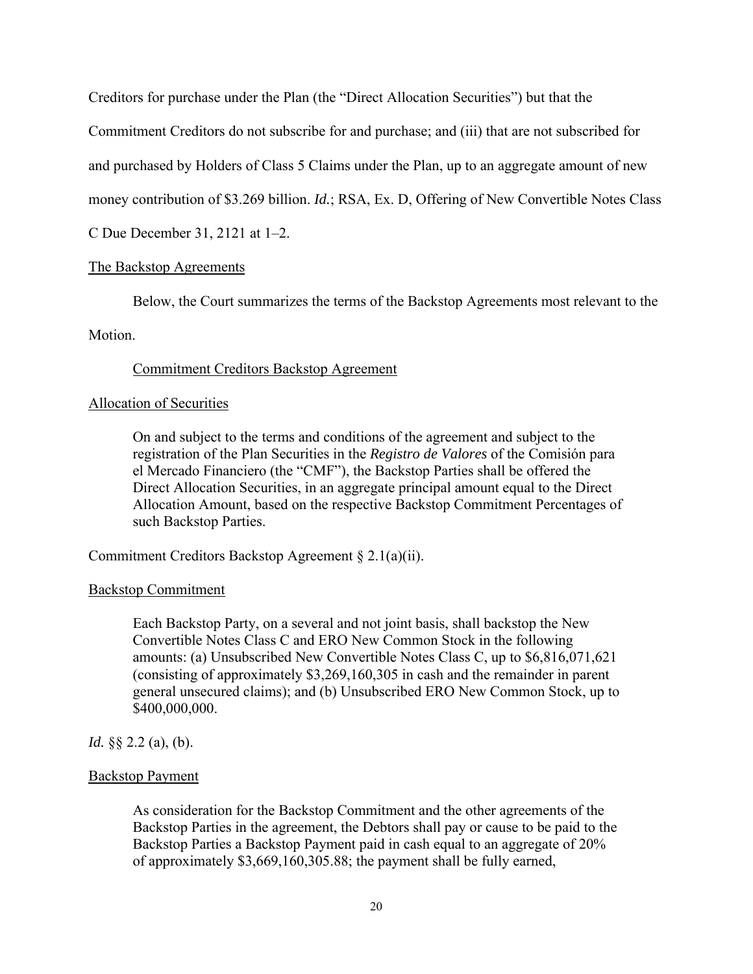Creditors for purchase under the Plan (the "Direct Allocation Securities") but that the

Commitment Creditors do not subscribe for and purchase; and (iii) that are not subscribed for

and purchased by Holders of Class 5 Claims under the Plan, up to an aggregate amount of new

money contribution of \$3.269 billion. *Id.*; RSA, Ex. D, Offering of New Convertible Notes Class

C Due December 31, 2121 at 1–2.

## The Backstop Agreements

Below, the Court summarizes the terms of the Backstop Agreements most relevant to the

## Motion.

## Commitment Creditors Backstop Agreement

## Allocation of Securities

On and subject to the terms and conditions of the agreement and subject to the registration of the Plan Securities in the *Registro de Valores* of the Comisión para el Mercado Financiero (the "CMF"), the Backstop Parties shall be offered the Direct Allocation Securities, in an aggregate principal amount equal to the Direct Allocation Amount, based on the respective Backstop Commitment Percentages of such Backstop Parties.

Commitment Creditors Backstop Agreement § 2.1(a)(ii).

## Backstop Commitment

Each Backstop Party, on a several and not joint basis, shall backstop the New Convertible Notes Class C and ERO New Common Stock in the following amounts: (a) Unsubscribed New Convertible Notes Class C, up to \$6,816,071,621 (consisting of approximately \$3,269,160,305 in cash and the remainder in parent general unsecured claims); and (b) Unsubscribed ERO New Common Stock, up to \$400,000,000.

## *Id.* §§ 2.2 (a), (b).

## Backstop Payment

As consideration for the Backstop Commitment and the other agreements of the Backstop Parties in the agreement, the Debtors shall pay or cause to be paid to the Backstop Parties a Backstop Payment paid in cash equal to an aggregate of 20% of approximately \$3,669,160,305.88; the payment shall be fully earned,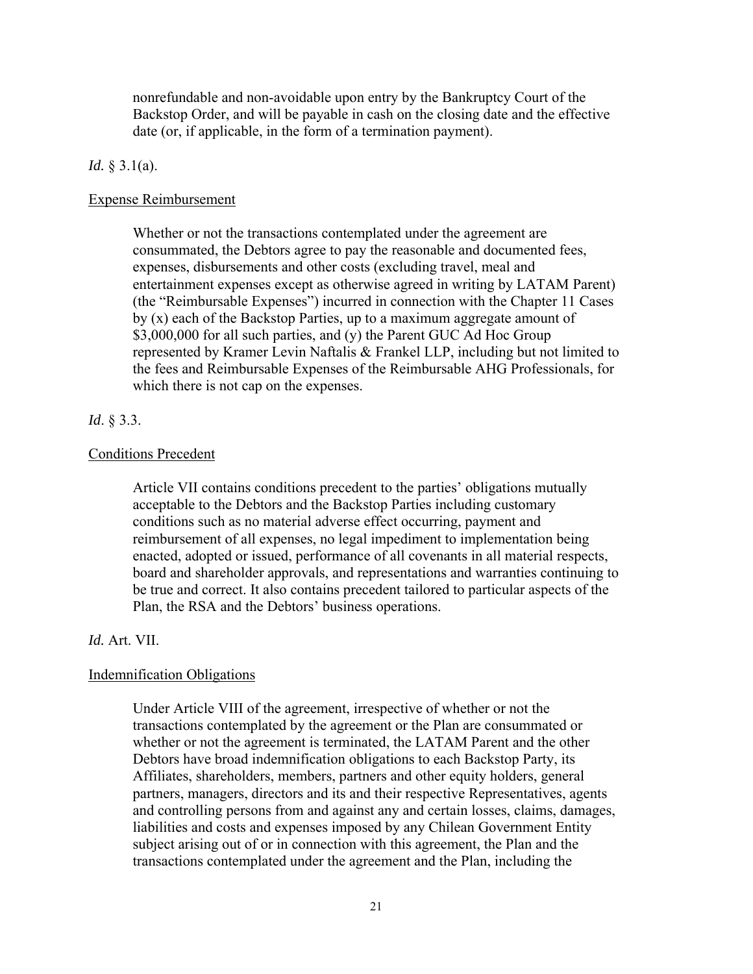nonrefundable and non-avoidable upon entry by the Bankruptcy Court of the Backstop Order, and will be payable in cash on the closing date and the effective date (or, if applicable, in the form of a termination payment).

#### *Id.* § 3.1(a).

#### Expense Reimbursement

Whether or not the transactions contemplated under the agreement are consummated, the Debtors agree to pay the reasonable and documented fees, expenses, disbursements and other costs (excluding travel, meal and entertainment expenses except as otherwise agreed in writing by LATAM Parent) (the "Reimbursable Expenses") incurred in connection with the Chapter 11 Cases by (x) each of the Backstop Parties, up to a maximum aggregate amount of \$3,000,000 for all such parties, and (y) the Parent GUC Ad Hoc Group represented by Kramer Levin Naftalis & Frankel LLP, including but not limited to the fees and Reimbursable Expenses of the Reimbursable AHG Professionals, for which there is not cap on the expenses.

#### *Id*. § 3.3.

### Conditions Precedent

Article VII contains conditions precedent to the parties' obligations mutually acceptable to the Debtors and the Backstop Parties including customary conditions such as no material adverse effect occurring, payment and reimbursement of all expenses, no legal impediment to implementation being enacted, adopted or issued, performance of all covenants in all material respects, board and shareholder approvals, and representations and warranties continuing to be true and correct. It also contains precedent tailored to particular aspects of the Plan, the RSA and the Debtors' business operations.

#### *Id.* Art. VII.

#### Indemnification Obligations

Under Article VIII of the agreement, irrespective of whether or not the transactions contemplated by the agreement or the Plan are consummated or whether or not the agreement is terminated, the LATAM Parent and the other Debtors have broad indemnification obligations to each Backstop Party, its Affiliates, shareholders, members, partners and other equity holders, general partners, managers, directors and its and their respective Representatives, agents and controlling persons from and against any and certain losses, claims, damages, liabilities and costs and expenses imposed by any Chilean Government Entity subject arising out of or in connection with this agreement, the Plan and the transactions contemplated under the agreement and the Plan, including the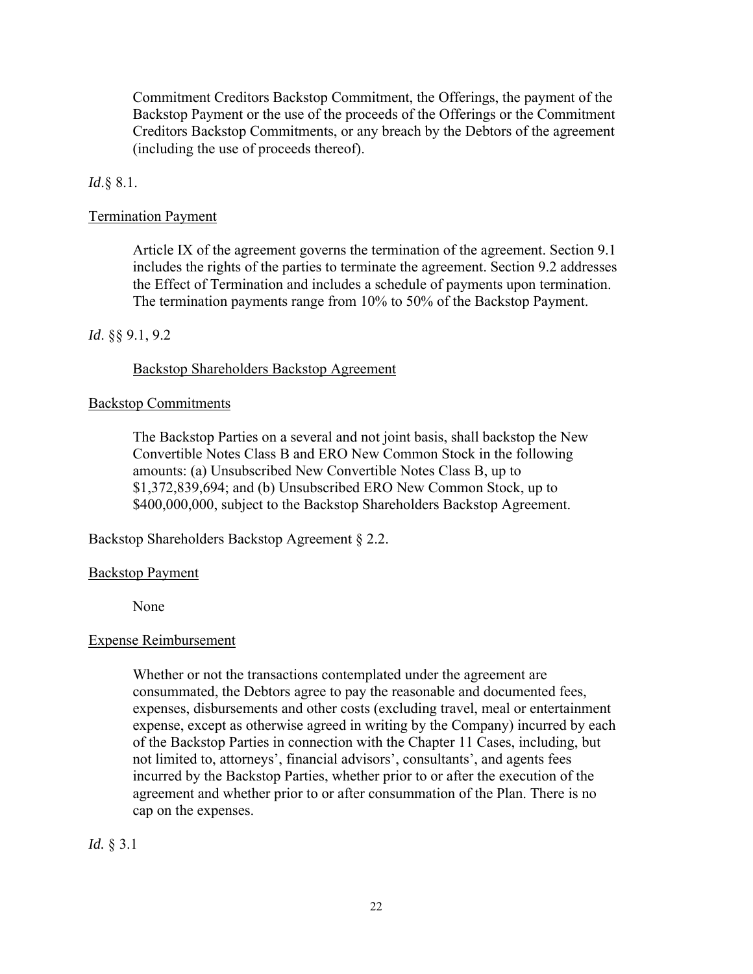Commitment Creditors Backstop Commitment, the Offerings, the payment of the Backstop Payment or the use of the proceeds of the Offerings or the Commitment Creditors Backstop Commitments, or any breach by the Debtors of the agreement (including the use of proceeds thereof).

## *Id*.§ 8.1.

## Termination Payment

Article IX of the agreement governs the termination of the agreement. Section 9.1 includes the rights of the parties to terminate the agreement. Section 9.2 addresses the Effect of Termination and includes a schedule of payments upon termination. The termination payments range from 10% to 50% of the Backstop Payment.

### *Id*. §§ 9.1, 9.2

### Backstop Shareholders Backstop Agreement

### Backstop Commitments

The Backstop Parties on a several and not joint basis, shall backstop the New Convertible Notes Class B and ERO New Common Stock in the following amounts: (a) Unsubscribed New Convertible Notes Class B, up to \$1,372,839,694; and (b) Unsubscribed ERO New Common Stock, up to \$400,000,000, subject to the Backstop Shareholders Backstop Agreement.

Backstop Shareholders Backstop Agreement § 2.2.

### Backstop Payment

None

### Expense Reimbursement

Whether or not the transactions contemplated under the agreement are consummated, the Debtors agree to pay the reasonable and documented fees, expenses, disbursements and other costs (excluding travel, meal or entertainment expense, except as otherwise agreed in writing by the Company) incurred by each of the Backstop Parties in connection with the Chapter 11 Cases, including, but not limited to, attorneys', financial advisors', consultants', and agents fees incurred by the Backstop Parties, whether prior to or after the execution of the agreement and whether prior to or after consummation of the Plan. There is no cap on the expenses.

*Id.* § 3.1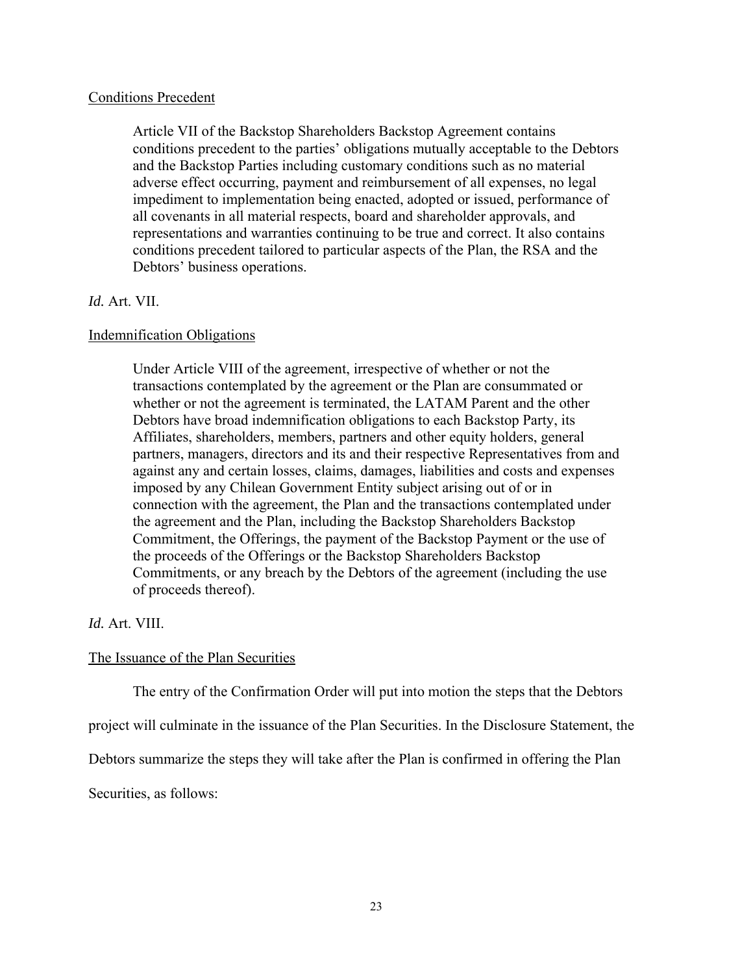### Conditions Precedent

Article VII of the Backstop Shareholders Backstop Agreement contains conditions precedent to the parties' obligations mutually acceptable to the Debtors and the Backstop Parties including customary conditions such as no material adverse effect occurring, payment and reimbursement of all expenses, no legal impediment to implementation being enacted, adopted or issued, performance of all covenants in all material respects, board and shareholder approvals, and representations and warranties continuing to be true and correct. It also contains conditions precedent tailored to particular aspects of the Plan, the RSA and the Debtors' business operations.

## *Id.* Art. VII.

### Indemnification Obligations

Under Article VIII of the agreement, irrespective of whether or not the transactions contemplated by the agreement or the Plan are consummated or whether or not the agreement is terminated, the LATAM Parent and the other Debtors have broad indemnification obligations to each Backstop Party, its Affiliates, shareholders, members, partners and other equity holders, general partners, managers, directors and its and their respective Representatives from and against any and certain losses, claims, damages, liabilities and costs and expenses imposed by any Chilean Government Entity subject arising out of or in connection with the agreement, the Plan and the transactions contemplated under the agreement and the Plan, including the Backstop Shareholders Backstop Commitment, the Offerings, the payment of the Backstop Payment or the use of the proceeds of the Offerings or the Backstop Shareholders Backstop Commitments, or any breach by the Debtors of the agreement (including the use of proceeds thereof).

## *Id.* Art. VIII.

### The Issuance of the Plan Securities

The entry of the Confirmation Order will put into motion the steps that the Debtors

project will culminate in the issuance of the Plan Securities. In the Disclosure Statement, the

Debtors summarize the steps they will take after the Plan is confirmed in offering the Plan

Securities, as follows: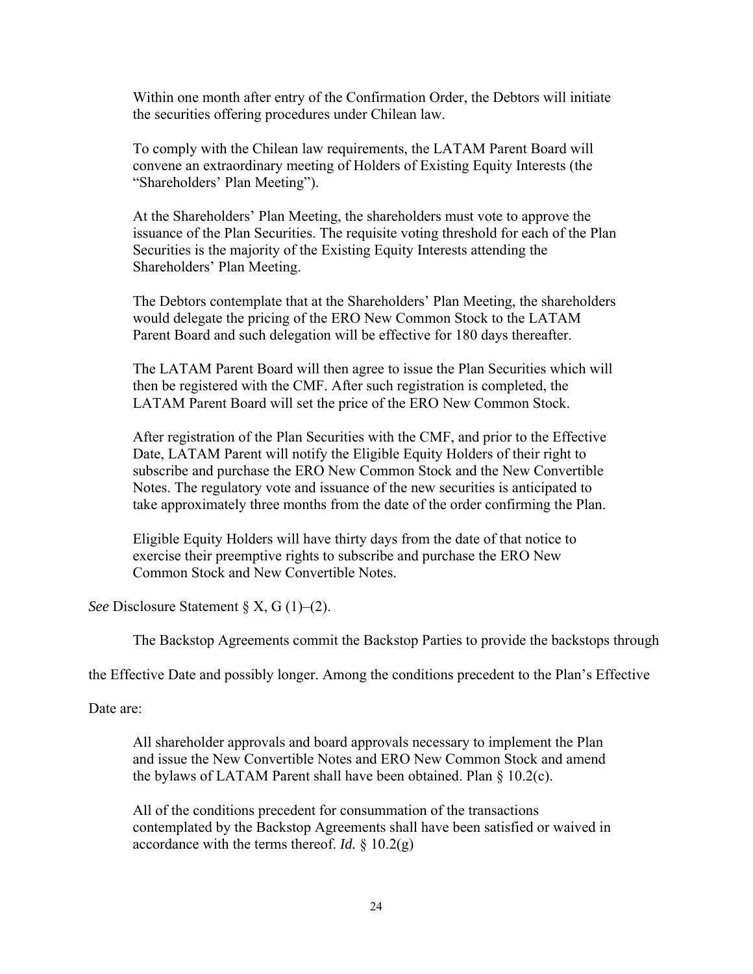Within one month after entry of the Confirmation Order, the Debtors will initiate the securities offering procedures under Chilean law.

To comply with the Chilean law requirements, the LATAM Parent Board will convene an extraordinary meeting of Holders of Existing Equity Interests (the "Shareholders' Plan Meeting").

At the Shareholders' Plan Meeting, the shareholders must vote to approve the issuance of the Plan Securities. The requisite voting threshold for each of the Plan Securities is the majority of the Existing Equity Interests attending the Shareholders' Plan Meeting.

The Debtors contemplate that at the Shareholders' Plan Meeting, the shareholders would delegate the pricing of the ERO New Common Stock to the LATAM Parent Board and such delegation will be effective for 180 days thereafter.

The LATAM Parent Board will then agree to issue the Plan Securities which will then be registered with the CMF. After such registration is completed, the LATAM Parent Board will set the price of the ERO New Common Stock.

After registration of the Plan Securities with the CMF, and prior to the Effective Date, LATAM Parent will notify the Eligible Equity Holders of their right to subscribe and purchase the ERO New Common Stock and the New Convertible Notes. The regulatory vote and issuance of the new securities is anticipated to take approximately three months from the date of the order confirming the Plan.

Eligible Equity Holders will have thirty days from the date of that notice to exercise their preemptive rights to subscribe and purchase the ERO New Common Stock and New Convertible Notes.

*See* Disclosure Statement § X, G (1)–(2).

The Backstop Agreements commit the Backstop Parties to provide the backstops through

the Effective Date and possibly longer. Among the conditions precedent to the Plan's Effective

Date are:

All shareholder approvals and board approvals necessary to implement the Plan and issue the New Convertible Notes and ERO New Common Stock and amend the bylaws of LATAM Parent shall have been obtained. Plan § 10.2(c).

All of the conditions precedent for consummation of the transactions contemplated by the Backstop Agreements shall have been satisfied or waived in accordance with the terms thereof. *Id.* § 10.2(g)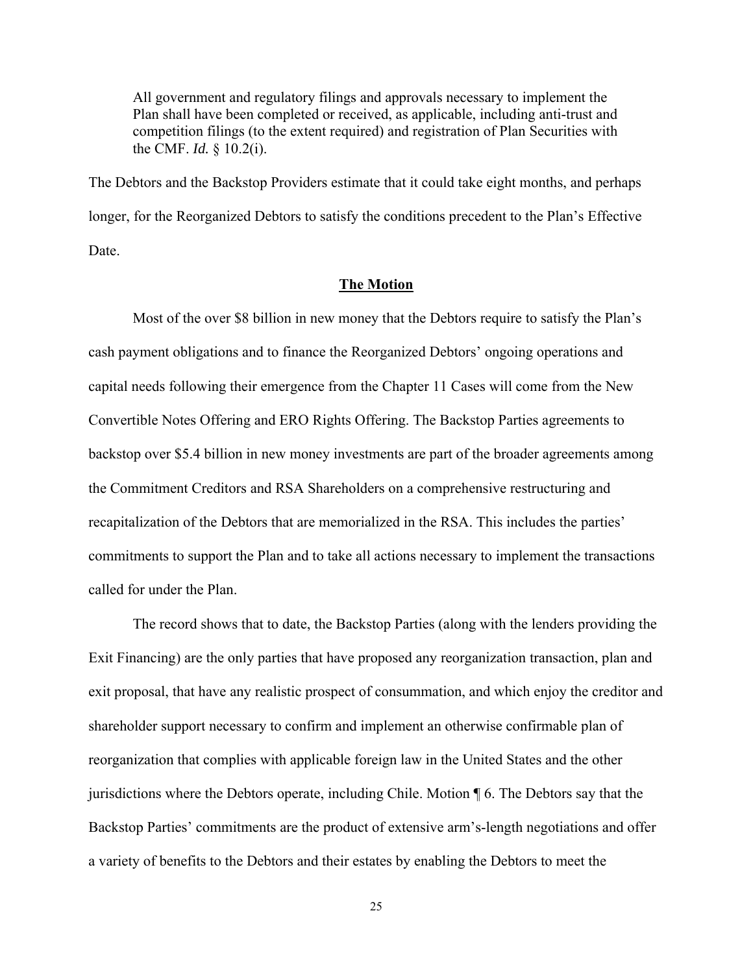All government and regulatory filings and approvals necessary to implement the Plan shall have been completed or received, as applicable, including anti-trust and competition filings (to the extent required) and registration of Plan Securities with the CMF. *Id.* § 10.2(i).

The Debtors and the Backstop Providers estimate that it could take eight months, and perhaps longer, for the Reorganized Debtors to satisfy the conditions precedent to the Plan's Effective Date.

#### **The Motion**

 Most of the over \$8 billion in new money that the Debtors require to satisfy the Plan's cash payment obligations and to finance the Reorganized Debtors' ongoing operations and capital needs following their emergence from the Chapter 11 Cases will come from the New Convertible Notes Offering and ERO Rights Offering. The Backstop Parties agreements to backstop over \$5.4 billion in new money investments are part of the broader agreements among the Commitment Creditors and RSA Shareholders on a comprehensive restructuring and recapitalization of the Debtors that are memorialized in the RSA. This includes the parties' commitments to support the Plan and to take all actions necessary to implement the transactions called for under the Plan.

 The record shows that to date, the Backstop Parties (along with the lenders providing the Exit Financing) are the only parties that have proposed any reorganization transaction, plan and exit proposal, that have any realistic prospect of consummation, and which enjoy the creditor and shareholder support necessary to confirm and implement an otherwise confirmable plan of reorganization that complies with applicable foreign law in the United States and the other jurisdictions where the Debtors operate, including Chile. Motion ¶ 6. The Debtors say that the Backstop Parties' commitments are the product of extensive arm's-length negotiations and offer a variety of benefits to the Debtors and their estates by enabling the Debtors to meet the

25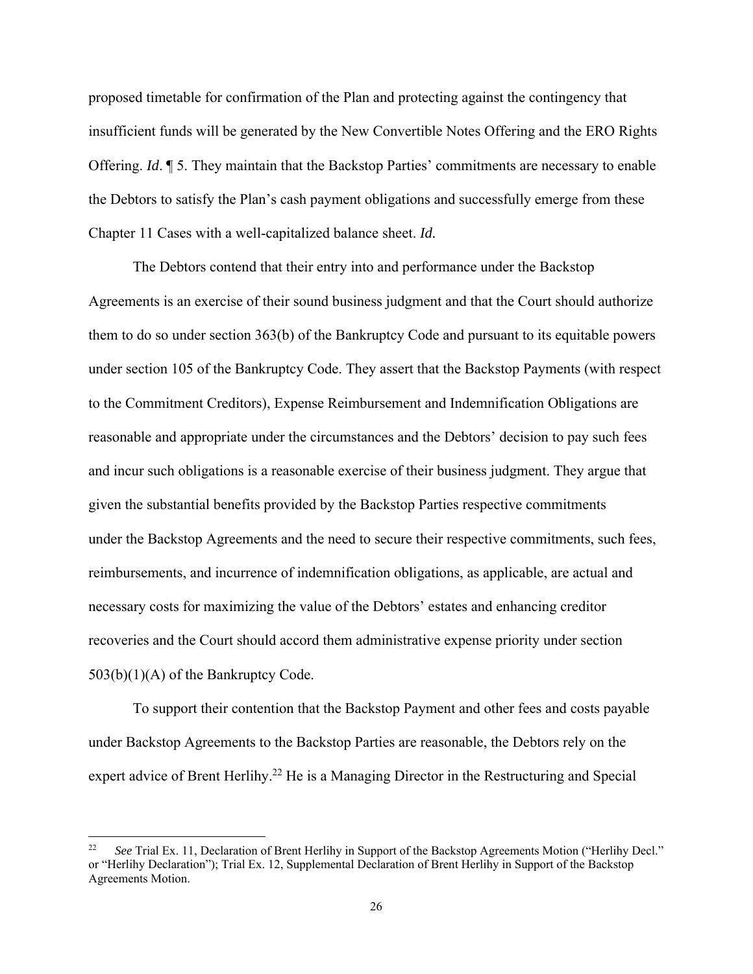proposed timetable for confirmation of the Plan and protecting against the contingency that insufficient funds will be generated by the New Convertible Notes Offering and the ERO Rights Offering. *Id*. ¶ 5. They maintain that the Backstop Parties' commitments are necessary to enable the Debtors to satisfy the Plan's cash payment obligations and successfully emerge from these Chapter 11 Cases with a well-capitalized balance sheet. *Id.*

 The Debtors contend that their entry into and performance under the Backstop Agreements is an exercise of their sound business judgment and that the Court should authorize them to do so under section 363(b) of the Bankruptcy Code and pursuant to its equitable powers under section 105 of the Bankruptcy Code. They assert that the Backstop Payments (with respect to the Commitment Creditors), Expense Reimbursement and Indemnification Obligations are reasonable and appropriate under the circumstances and the Debtors' decision to pay such fees and incur such obligations is a reasonable exercise of their business judgment. They argue that given the substantial benefits provided by the Backstop Parties respective commitments under the Backstop Agreements and the need to secure their respective commitments, such fees, reimbursements, and incurrence of indemnification obligations, as applicable, are actual and necessary costs for maximizing the value of the Debtors' estates and enhancing creditor recoveries and the Court should accord them administrative expense priority under section 503(b)(1)(A) of the Bankruptcy Code.

To support their contention that the Backstop Payment and other fees and costs payable under Backstop Agreements to the Backstop Parties are reasonable, the Debtors rely on the expert advice of Brent Herlihy.<sup>22</sup> He is a Managing Director in the Restructuring and Special

<sup>22</sup> *See* Trial Ex. 11, Declaration of Brent Herlihy in Support of the Backstop Agreements Motion ("Herlihy Decl." or "Herlihy Declaration"); Trial Ex. 12, Supplemental Declaration of Brent Herlihy in Support of the Backstop Agreements Motion.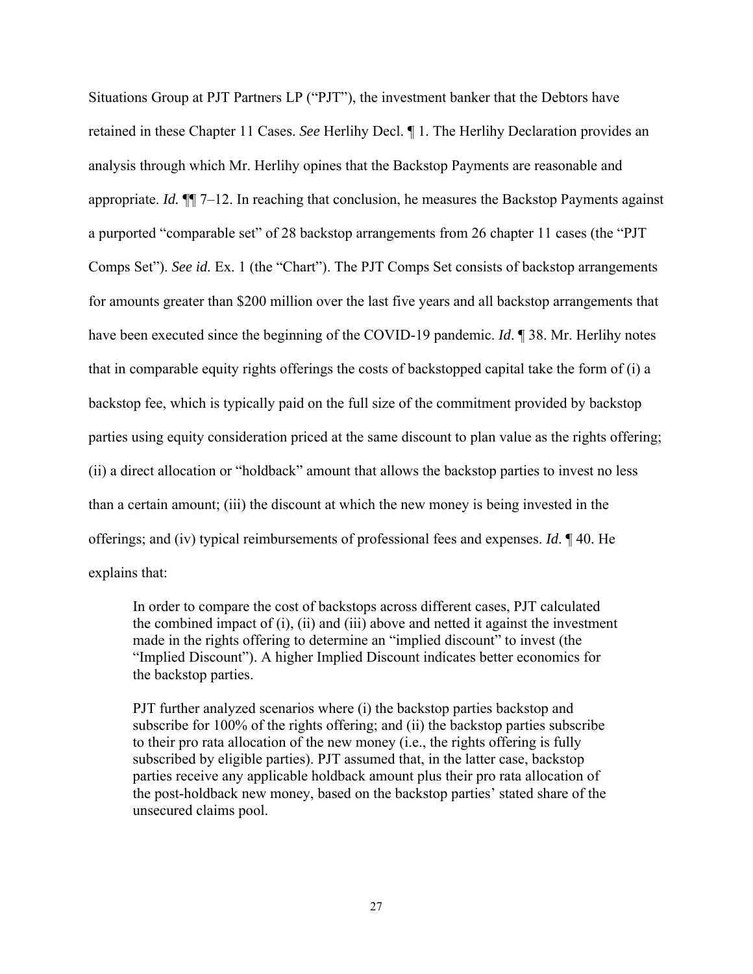Situations Group at PJT Partners LP ("PJT"), the investment banker that the Debtors have retained in these Chapter 11 Cases. *See* Herlihy Decl. ¶ 1. The Herlihy Declaration provides an analysis through which Mr. Herlihy opines that the Backstop Payments are reasonable and appropriate. *Id.* ¶¶ 7–12. In reaching that conclusion, he measures the Backstop Payments against a purported "comparable set" of 28 backstop arrangements from 26 chapter 11 cases (the "PJT Comps Set"). *See id.* Ex. 1 (the "Chart"). The PJT Comps Set consists of backstop arrangements for amounts greater than \$200 million over the last five years and all backstop arrangements that have been executed since the beginning of the COVID-19 pandemic. *Id*. ¶ 38. Mr. Herlihy notes that in comparable equity rights offerings the costs of backstopped capital take the form of (i) a backstop fee, which is typically paid on the full size of the commitment provided by backstop parties using equity consideration priced at the same discount to plan value as the rights offering; (ii) a direct allocation or "holdback" amount that allows the backstop parties to invest no less than a certain amount; (iii) the discount at which the new money is being invested in the offerings; and (iv) typical reimbursements of professional fees and expenses. *Id*. ¶ 40. He explains that:

In order to compare the cost of backstops across different cases, PJT calculated the combined impact of (i), (ii) and (iii) above and netted it against the investment made in the rights offering to determine an "implied discount" to invest (the "Implied Discount"). A higher Implied Discount indicates better economics for the backstop parties.

PJT further analyzed scenarios where (i) the backstop parties backstop and subscribe for 100% of the rights offering; and (ii) the backstop parties subscribe to their pro rata allocation of the new money (i.e., the rights offering is fully subscribed by eligible parties). PJT assumed that, in the latter case, backstop parties receive any applicable holdback amount plus their pro rata allocation of the post-holdback new money, based on the backstop parties' stated share of the unsecured claims pool.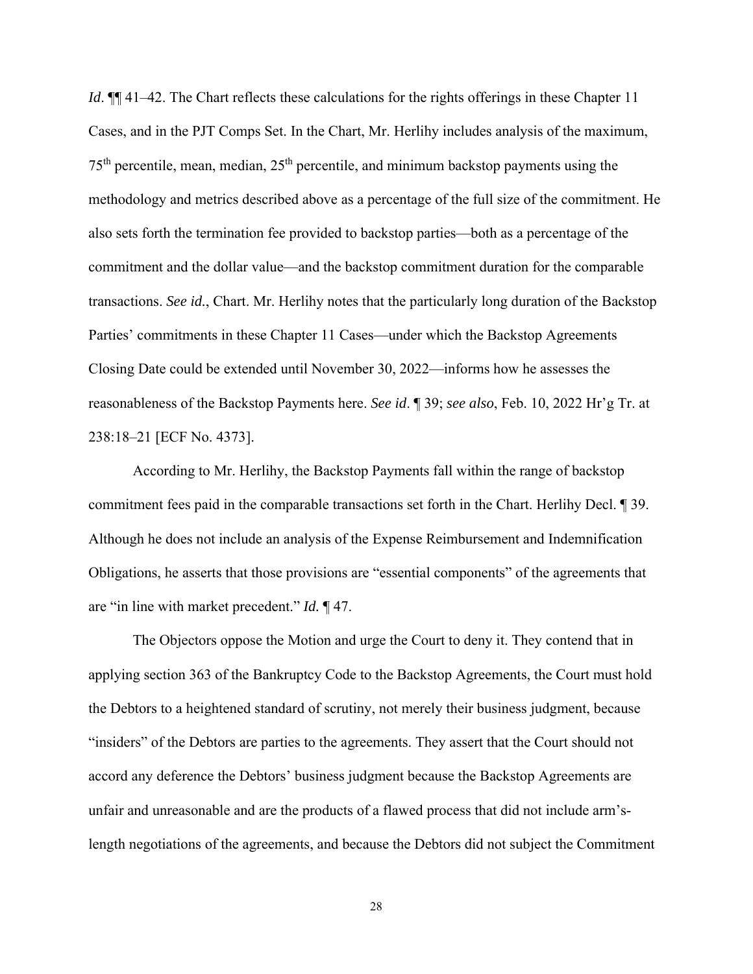*Id*.  $\P$  41–42. The Chart reflects these calculations for the rights offerings in these Chapter 11 Cases, and in the PJT Comps Set. In the Chart, Mr. Herlihy includes analysis of the maximum,  $75<sup>th</sup>$  percentile, mean, median,  $25<sup>th</sup>$  percentile, and minimum backstop payments using the methodology and metrics described above as a percentage of the full size of the commitment. He also sets forth the termination fee provided to backstop parties—both as a percentage of the commitment and the dollar value—and the backstop commitment duration for the comparable transactions. *See id.*, Chart. Mr. Herlihy notes that the particularly long duration of the Backstop Parties' commitments in these Chapter 11 Cases—under which the Backstop Agreements Closing Date could be extended until November 30, 2022—informs how he assesses the reasonableness of the Backstop Payments here. *See id*. ¶ 39; *see also*, Feb. 10, 2022 Hr'g Tr. at 238:18–21 [ECF No. 4373].

 According to Mr. Herlihy, the Backstop Payments fall within the range of backstop commitment fees paid in the comparable transactions set forth in the Chart. Herlihy Decl. ¶ 39. Although he does not include an analysis of the Expense Reimbursement and Indemnification Obligations, he asserts that those provisions are "essential components" of the agreements that are "in line with market precedent." *Id.* ¶ 47.

 The Objectors oppose the Motion and urge the Court to deny it. They contend that in applying section 363 of the Bankruptcy Code to the Backstop Agreements, the Court must hold the Debtors to a heightened standard of scrutiny, not merely their business judgment, because "insiders" of the Debtors are parties to the agreements. They assert that the Court should not accord any deference the Debtors' business judgment because the Backstop Agreements are unfair and unreasonable and are the products of a flawed process that did not include arm'slength negotiations of the agreements, and because the Debtors did not subject the Commitment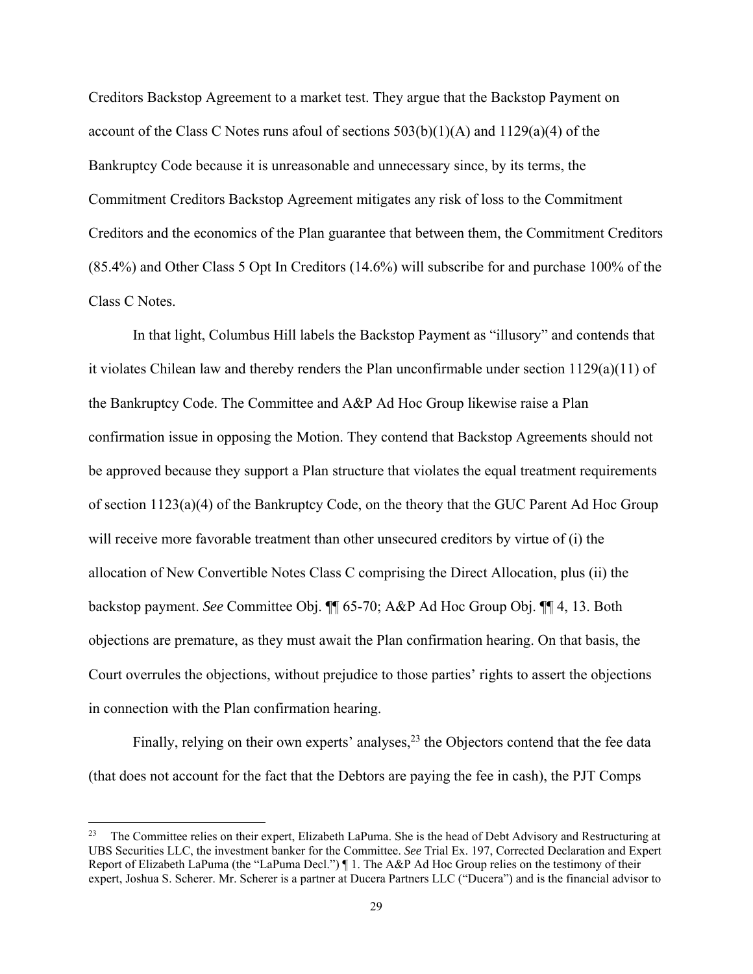Creditors Backstop Agreement to a market test. They argue that the Backstop Payment on account of the Class C Notes runs afoul of sections  $503(b)(1)(A)$  and  $1129(a)(4)$  of the Bankruptcy Code because it is unreasonable and unnecessary since, by its terms, the Commitment Creditors Backstop Agreement mitigates any risk of loss to the Commitment Creditors and the economics of the Plan guarantee that between them, the Commitment Creditors (85.4%) and Other Class 5 Opt In Creditors (14.6%) will subscribe for and purchase 100% of the Class C Notes.

In that light, Columbus Hill labels the Backstop Payment as "illusory" and contends that it violates Chilean law and thereby renders the Plan unconfirmable under section 1129(a)(11) of the Bankruptcy Code. The Committee and A&P Ad Hoc Group likewise raise a Plan confirmation issue in opposing the Motion. They contend that Backstop Agreements should not be approved because they support a Plan structure that violates the equal treatment requirements of section 1123(a)(4) of the Bankruptcy Code, on the theory that the GUC Parent Ad Hoc Group will receive more favorable treatment than other unsecured creditors by virtue of (i) the allocation of New Convertible Notes Class C comprising the Direct Allocation, plus (ii) the backstop payment. *See* Committee Obj. ¶¶ 65-70; A&P Ad Hoc Group Obj. ¶¶ 4, 13. Both objections are premature, as they must await the Plan confirmation hearing. On that basis, the Court overrules the objections, without prejudice to those parties' rights to assert the objections in connection with the Plan confirmation hearing.

Finally, relying on their own experts' analyses,  $^{23}$  the Objectors contend that the fee data (that does not account for the fact that the Debtors are paying the fee in cash), the PJT Comps

<sup>&</sup>lt;sup>23</sup> The Committee relies on their expert, Elizabeth LaPuma. She is the head of Debt Advisory and Restructuring at UBS Securities LLC, the investment banker for the Committee. *See* Trial Ex. 197, Corrected Declaration and Expert Report of Elizabeth LaPuma (the "LaPuma Decl.") ¶ 1. The A&P Ad Hoc Group relies on the testimony of their expert, Joshua S. Scherer. Mr. Scherer is a partner at Ducera Partners LLC ("Ducera") and is the financial advisor to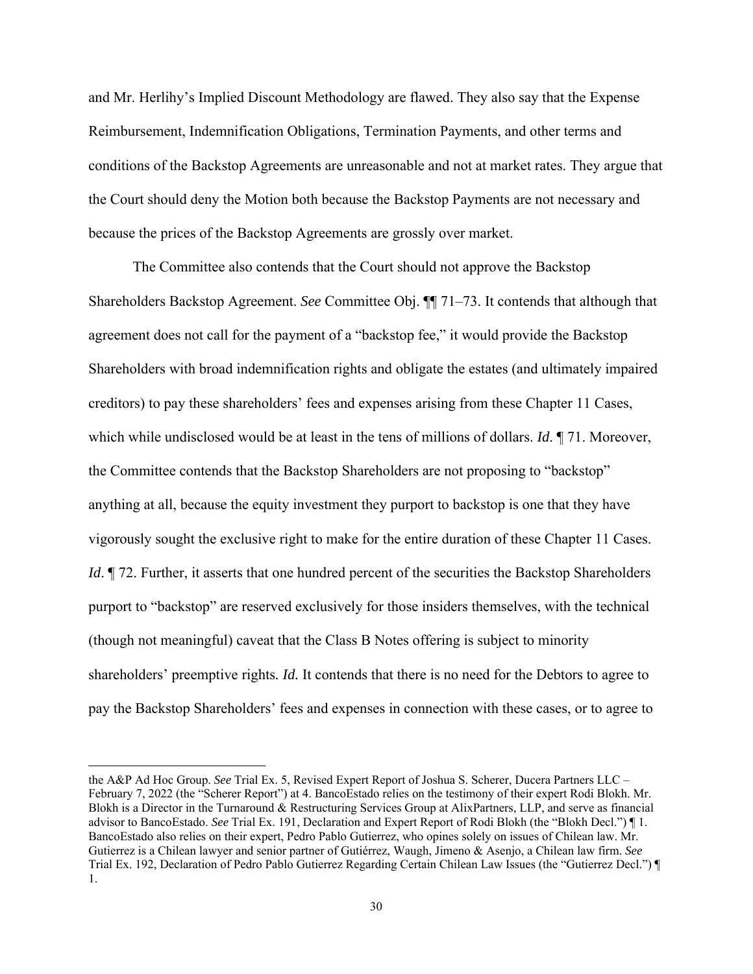and Mr. Herlihy's Implied Discount Methodology are flawed. They also say that the Expense Reimbursement, Indemnification Obligations, Termination Payments, and other terms and conditions of the Backstop Agreements are unreasonable and not at market rates. They argue that the Court should deny the Motion both because the Backstop Payments are not necessary and because the prices of the Backstop Agreements are grossly over market.

 The Committee also contends that the Court should not approve the Backstop Shareholders Backstop Agreement. *See* Committee Obj. ¶¶ 71–73. It contends that although that agreement does not call for the payment of a "backstop fee," it would provide the Backstop Shareholders with broad indemnification rights and obligate the estates (and ultimately impaired creditors) to pay these shareholders' fees and expenses arising from these Chapter 11 Cases, which while undisclosed would be at least in the tens of millions of dollars. *Id*. ¶ 71. Moreover, the Committee contends that the Backstop Shareholders are not proposing to "backstop" anything at all, because the equity investment they purport to backstop is one that they have vigorously sought the exclusive right to make for the entire duration of these Chapter 11 Cases. *Id*. ¶ 72. Further, it asserts that one hundred percent of the securities the Backstop Shareholders purport to "backstop" are reserved exclusively for those insiders themselves, with the technical (though not meaningful) caveat that the Class B Notes offering is subject to minority shareholders' preemptive rights*. Id.* It contends that there is no need for the Debtors to agree to pay the Backstop Shareholders' fees and expenses in connection with these cases, or to agree to

the A&P Ad Hoc Group. *See* Trial Ex. 5, Revised Expert Report of Joshua S. Scherer, Ducera Partners LLC – February 7, 2022 (the "Scherer Report") at 4. BancoEstado relies on the testimony of their expert Rodi Blokh. Mr. Blokh is a Director in the Turnaround & Restructuring Services Group at AlixPartners, LLP, and serve as financial advisor to BancoEstado. *See* Trial Ex. 191, Declaration and Expert Report of Rodi Blokh (the "Blokh Decl.") ¶ 1. BancoEstado also relies on their expert, Pedro Pablo Gutierrez, who opines solely on issues of Chilean law. Mr. Gutierrez is a Chilean lawyer and senior partner of Gutiérrez, Waugh, Jimeno & Asenjo, a Chilean law firm. *See*  Trial Ex. 192, Declaration of Pedro Pablo Gutierrez Regarding Certain Chilean Law Issues (the "Gutierrez Decl.") ¶ 1.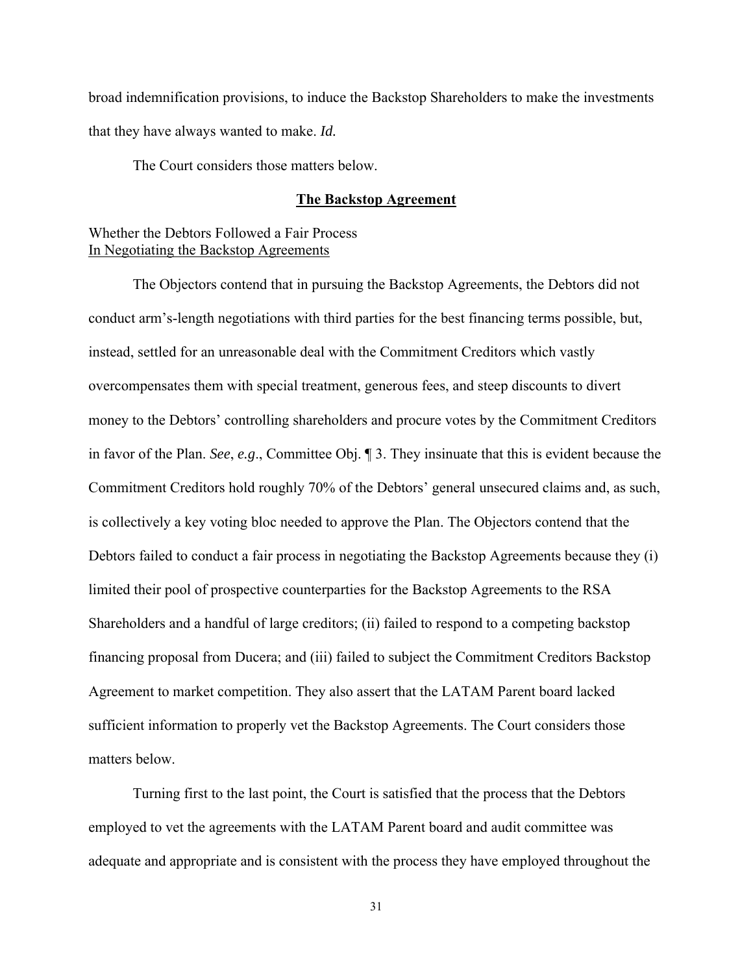broad indemnification provisions, to induce the Backstop Shareholders to make the investments that they have always wanted to make. *Id.*

The Court considers those matters below.

#### **The Backstop Agreement**

## Whether the Debtors Followed a Fair Process In Negotiating the Backstop Agreements

 The Objectors contend that in pursuing the Backstop Agreements, the Debtors did not conduct arm's-length negotiations with third parties for the best financing terms possible, but, instead, settled for an unreasonable deal with the Commitment Creditors which vastly overcompensates them with special treatment, generous fees, and steep discounts to divert money to the Debtors' controlling shareholders and procure votes by the Commitment Creditors in favor of the Plan. *See*, *e.g*., Committee Obj. ¶ 3. They insinuate that this is evident because the Commitment Creditors hold roughly 70% of the Debtors' general unsecured claims and, as such, is collectively a key voting bloc needed to approve the Plan. The Objectors contend that the Debtors failed to conduct a fair process in negotiating the Backstop Agreements because they (i) limited their pool of prospective counterparties for the Backstop Agreements to the RSA Shareholders and a handful of large creditors; (ii) failed to respond to a competing backstop financing proposal from Ducera; and (iii) failed to subject the Commitment Creditors Backstop Agreement to market competition. They also assert that the LATAM Parent board lacked sufficient information to properly vet the Backstop Agreements. The Court considers those matters below.

Turning first to the last point, the Court is satisfied that the process that the Debtors employed to vet the agreements with the LATAM Parent board and audit committee was adequate and appropriate and is consistent with the process they have employed throughout the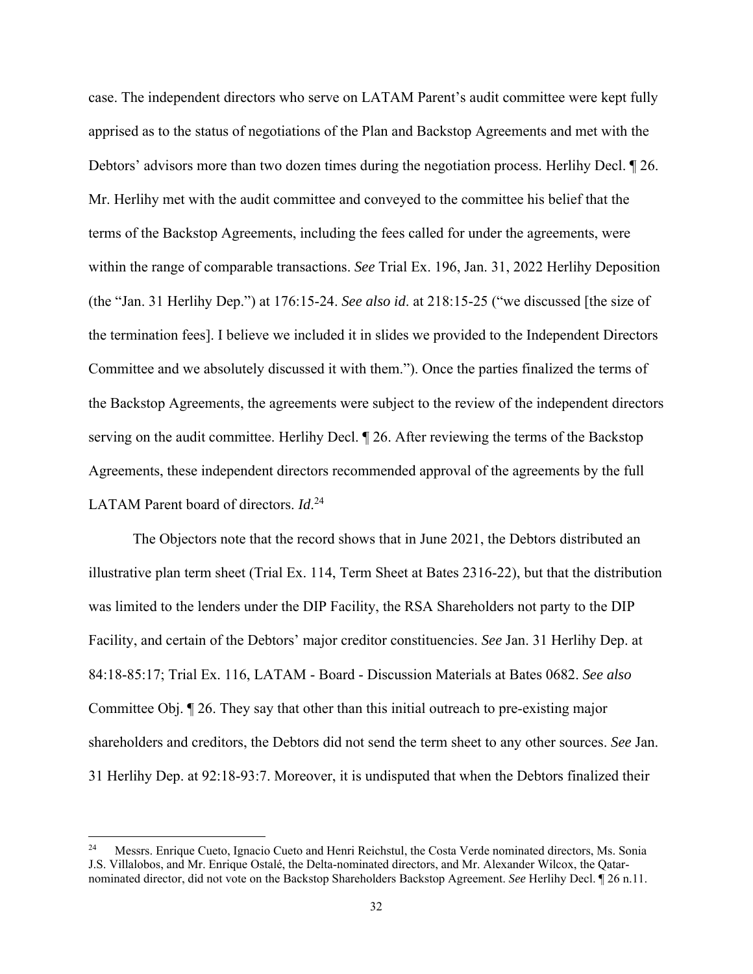case. The independent directors who serve on LATAM Parent's audit committee were kept fully apprised as to the status of negotiations of the Plan and Backstop Agreements and met with the Debtors' advisors more than two dozen times during the negotiation process. Herlihy Decl. ¶ 26. Mr. Herlihy met with the audit committee and conveyed to the committee his belief that the terms of the Backstop Agreements, including the fees called for under the agreements, were within the range of comparable transactions. *See* Trial Ex. 196, Jan. 31, 2022 Herlihy Deposition (the "Jan. 31 Herlihy Dep.") at 176:15-24. *See also id*. at 218:15-25 ("we discussed [the size of the termination fees]. I believe we included it in slides we provided to the Independent Directors Committee and we absolutely discussed it with them."). Once the parties finalized the terms of the Backstop Agreements, the agreements were subject to the review of the independent directors serving on the audit committee. Herlihy Decl. ¶ 26. After reviewing the terms of the Backstop Agreements, these independent directors recommended approval of the agreements by the full LATAM Parent board of directors. *Id*. 24

 The Objectors note that the record shows that in June 2021, the Debtors distributed an illustrative plan term sheet (Trial Ex. 114, Term Sheet at Bates 2316-22), but that the distribution was limited to the lenders under the DIP Facility, the RSA Shareholders not party to the DIP Facility, and certain of the Debtors' major creditor constituencies. *See* Jan. 31 Herlihy Dep. at 84:18-85:17; Trial Ex. 116, LATAM - Board - Discussion Materials at Bates 0682. *See also*  Committee Obj. ¶ 26. They say that other than this initial outreach to pre-existing major shareholders and creditors, the Debtors did not send the term sheet to any other sources. *See* Jan. 31 Herlihy Dep. at 92:18-93:7. Moreover, it is undisputed that when the Debtors finalized their

<sup>&</sup>lt;sup>24</sup> Messrs. Enrique Cueto, Ignacio Cueto and Henri Reichstul, the Costa Verde nominated directors, Ms. Sonia J.S. Villalobos, and Mr. Enrique Ostalé, the Delta-nominated directors, and Mr. Alexander Wilcox, the Qatarnominated director, did not vote on the Backstop Shareholders Backstop Agreement. *See* Herlihy Decl. ¶ 26 n.11.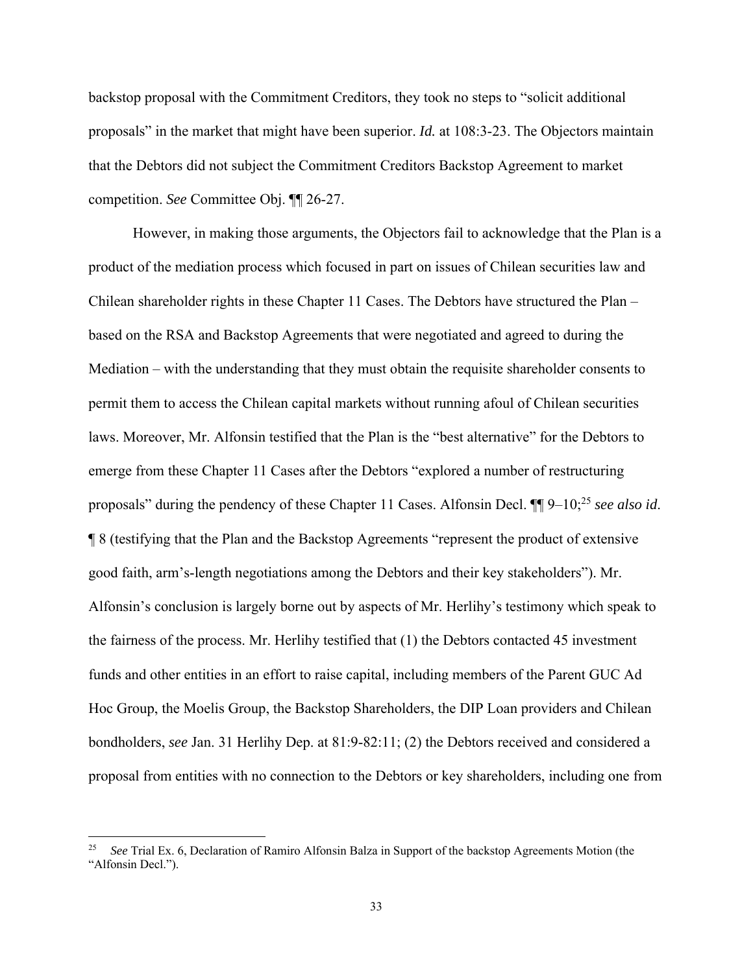backstop proposal with the Commitment Creditors, they took no steps to "solicit additional proposals" in the market that might have been superior. *Id.* at 108:3-23. The Objectors maintain that the Debtors did not subject the Commitment Creditors Backstop Agreement to market competition. *See* Committee Obj. ¶¶ 26-27.

However, in making those arguments, the Objectors fail to acknowledge that the Plan is a product of the mediation process which focused in part on issues of Chilean securities law and Chilean shareholder rights in these Chapter 11 Cases. The Debtors have structured the Plan – based on the RSA and Backstop Agreements that were negotiated and agreed to during the Mediation – with the understanding that they must obtain the requisite shareholder consents to permit them to access the Chilean capital markets without running afoul of Chilean securities laws. Moreover, Mr. Alfonsin testified that the Plan is the "best alternative" for the Debtors to emerge from these Chapter 11 Cases after the Debtors "explored a number of restructuring proposals" during the pendency of these Chapter 11 Cases. Alfonsin Decl. ¶¶ 9–10;25 *see also id*. ¶ 8 (testifying that the Plan and the Backstop Agreements "represent the product of extensive good faith, arm's-length negotiations among the Debtors and their key stakeholders"). Mr. Alfonsin's conclusion is largely borne out by aspects of Mr. Herlihy's testimony which speak to the fairness of the process. Mr. Herlihy testified that (1) the Debtors contacted 45 investment funds and other entities in an effort to raise capital, including members of the Parent GUC Ad Hoc Group, the Moelis Group, the Backstop Shareholders, the DIP Loan providers and Chilean bondholders, *see* Jan. 31 Herlihy Dep. at 81:9-82:11; (2) the Debtors received and considered a proposal from entities with no connection to the Debtors or key shareholders, including one from

<sup>25</sup> *See* Trial Ex. 6, Declaration of Ramiro Alfonsin Balza in Support of the backstop Agreements Motion (the "Alfonsin Decl.").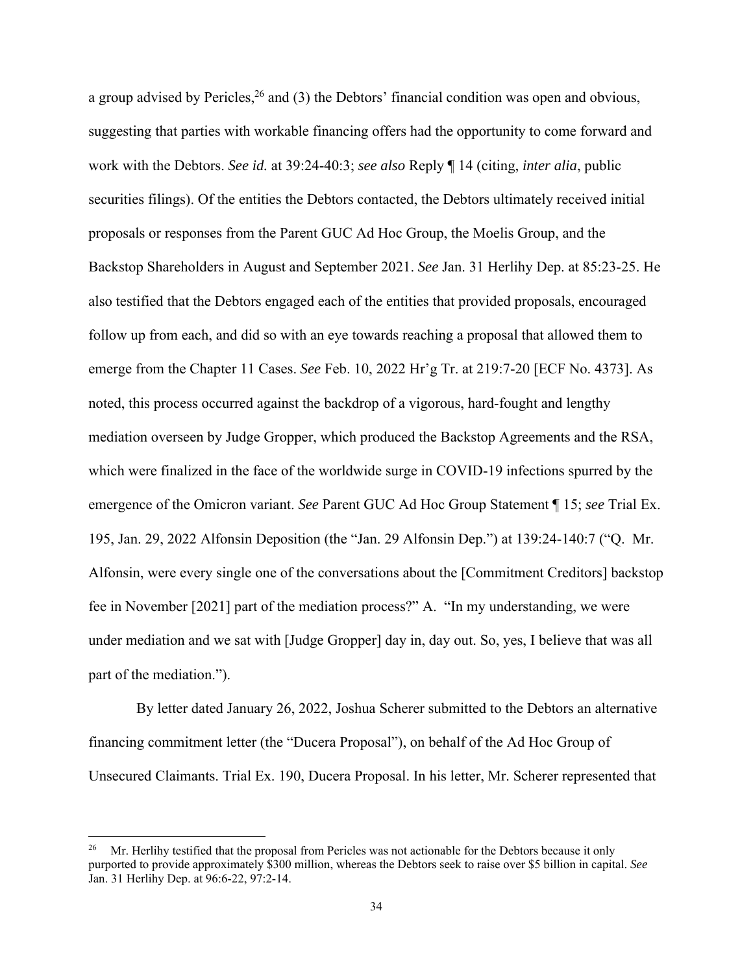a group advised by Pericles,  $^{26}$  and (3) the Debtors' financial condition was open and obvious, suggesting that parties with workable financing offers had the opportunity to come forward and work with the Debtors. *See id.* at 39:24-40:3; *see also* Reply ¶ 14 (citing, *inter alia*, public securities filings). Of the entities the Debtors contacted, the Debtors ultimately received initial proposals or responses from the Parent GUC Ad Hoc Group, the Moelis Group, and the Backstop Shareholders in August and September 2021. *See* Jan. 31 Herlihy Dep. at 85:23-25. He also testified that the Debtors engaged each of the entities that provided proposals, encouraged follow up from each, and did so with an eye towards reaching a proposal that allowed them to emerge from the Chapter 11 Cases. *See* Feb. 10, 2022 Hr'g Tr. at 219:7-20 [ECF No. 4373]. As noted, this process occurred against the backdrop of a vigorous, hard-fought and lengthy mediation overseen by Judge Gropper, which produced the Backstop Agreements and the RSA, which were finalized in the face of the worldwide surge in COVID-19 infections spurred by the emergence of the Omicron variant. *See* Parent GUC Ad Hoc Group Statement ¶ 15; *see* Trial Ex. 195, Jan. 29, 2022 Alfonsin Deposition (the "Jan. 29 Alfonsin Dep.") at 139:24-140:7 ("Q. Mr. Alfonsin, were every single one of the conversations about the [Commitment Creditors] backstop fee in November [2021] part of the mediation process?" A. "In my understanding, we were under mediation and we sat with [Judge Gropper] day in, day out. So, yes, I believe that was all part of the mediation.").

 By letter dated January 26, 2022, Joshua Scherer submitted to the Debtors an alternative financing commitment letter (the "Ducera Proposal"), on behalf of the Ad Hoc Group of Unsecured Claimants. Trial Ex. 190, Ducera Proposal. In his letter, Mr. Scherer represented that

<sup>&</sup>lt;sup>26</sup> Mr. Herlihy testified that the proposal from Pericles was not actionable for the Debtors because it only purported to provide approximately \$300 million, whereas the Debtors seek to raise over \$5 billion in capital. *See*  Jan. 31 Herlihy Dep. at 96:6-22, 97:2-14.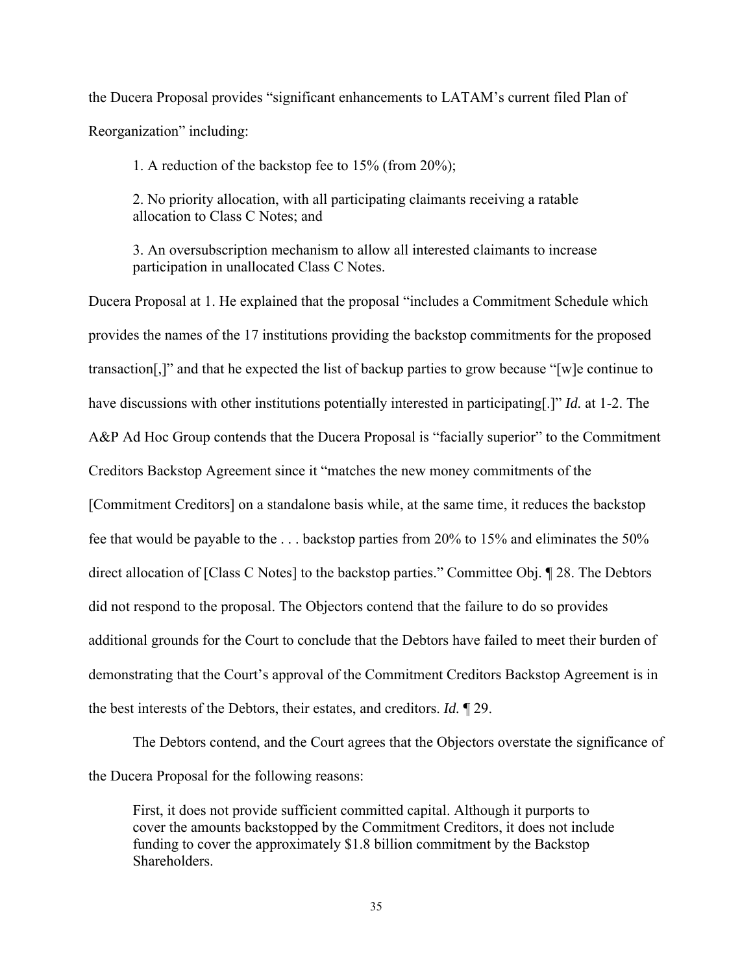the Ducera Proposal provides "significant enhancements to LATAM's current filed Plan of Reorganization" including:

1. A reduction of the backstop fee to 15% (from 20%);

2. No priority allocation, with all participating claimants receiving a ratable allocation to Class C Notes; and

3. An oversubscription mechanism to allow all interested claimants to increase participation in unallocated Class C Notes.

Ducera Proposal at 1. He explained that the proposal "includes a Commitment Schedule which provides the names of the 17 institutions providing the backstop commitments for the proposed transaction[,]" and that he expected the list of backup parties to grow because "[w]e continue to have discussions with other institutions potentially interested in participating[.]" *Id.* at 1-2. The A&P Ad Hoc Group contends that the Ducera Proposal is "facially superior" to the Commitment Creditors Backstop Agreement since it "matches the new money commitments of the [Commitment Creditors] on a standalone basis while, at the same time, it reduces the backstop fee that would be payable to the . . . backstop parties from 20% to 15% and eliminates the 50% direct allocation of [Class C Notes] to the backstop parties." Committee Obj. ¶ 28. The Debtors did not respond to the proposal. The Objectors contend that the failure to do so provides additional grounds for the Court to conclude that the Debtors have failed to meet their burden of demonstrating that the Court's approval of the Commitment Creditors Backstop Agreement is in the best interests of the Debtors, their estates, and creditors. *Id.* ¶ 29.

 The Debtors contend, and the Court agrees that the Objectors overstate the significance of the Ducera Proposal for the following reasons:

First, it does not provide sufficient committed capital. Although it purports to cover the amounts backstopped by the Commitment Creditors, it does not include funding to cover the approximately \$1.8 billion commitment by the Backstop Shareholders.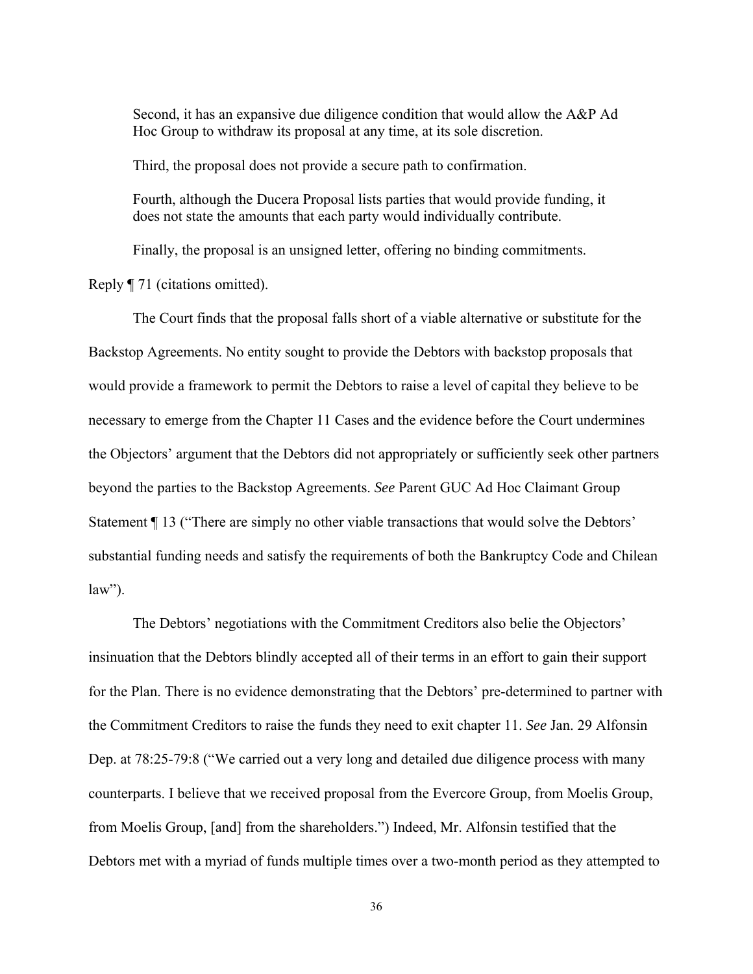Second, it has an expansive due diligence condition that would allow the A&P Ad Hoc Group to withdraw its proposal at any time, at its sole discretion.

Third, the proposal does not provide a secure path to confirmation.

Fourth, although the Ducera Proposal lists parties that would provide funding, it does not state the amounts that each party would individually contribute.

Finally, the proposal is an unsigned letter, offering no binding commitments.

Reply ¶ 71 (citations omitted).

 The Court finds that the proposal falls short of a viable alternative or substitute for the Backstop Agreements. No entity sought to provide the Debtors with backstop proposals that would provide a framework to permit the Debtors to raise a level of capital they believe to be necessary to emerge from the Chapter 11 Cases and the evidence before the Court undermines the Objectors' argument that the Debtors did not appropriately or sufficiently seek other partners beyond the parties to the Backstop Agreements. *See* Parent GUC Ad Hoc Claimant Group Statement ¶ 13 ("There are simply no other viable transactions that would solve the Debtors' substantial funding needs and satisfy the requirements of both the Bankruptcy Code and Chilean  $law$ ").

The Debtors' negotiations with the Commitment Creditors also belie the Objectors' insinuation that the Debtors blindly accepted all of their terms in an effort to gain their support for the Plan. There is no evidence demonstrating that the Debtors' pre-determined to partner with the Commitment Creditors to raise the funds they need to exit chapter 11. *See* Jan. 29 Alfonsin Dep. at 78:25-79:8 ("We carried out a very long and detailed due diligence process with many counterparts. I believe that we received proposal from the Evercore Group, from Moelis Group, from Moelis Group, [and] from the shareholders.") Indeed, Mr. Alfonsin testified that the Debtors met with a myriad of funds multiple times over a two-month period as they attempted to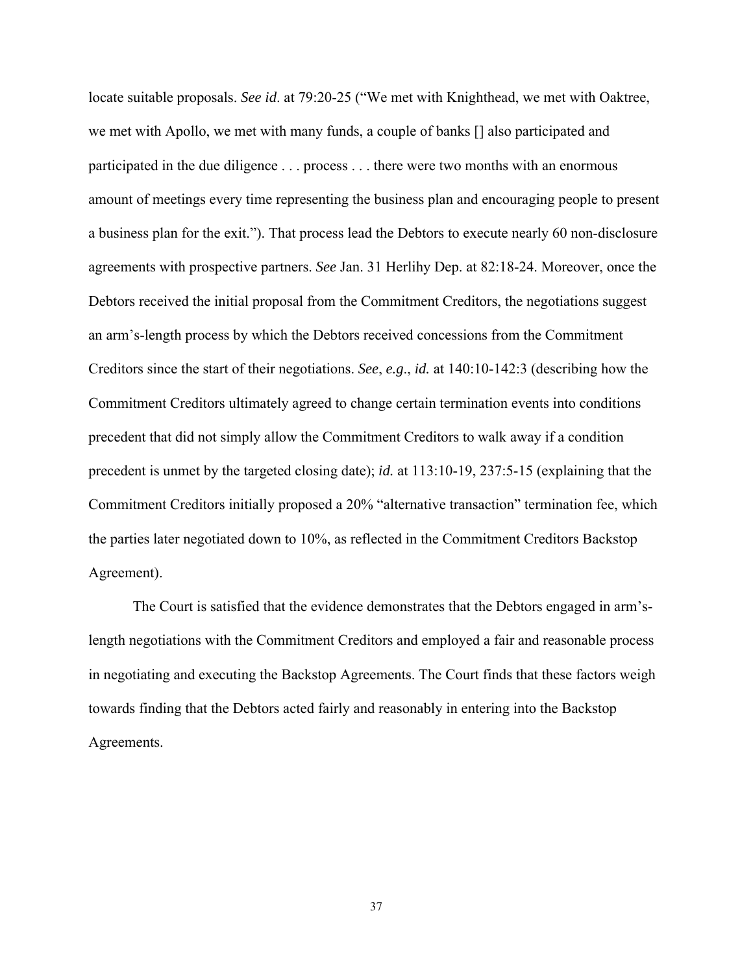locate suitable proposals. *See id*. at 79:20-25 ("We met with Knighthead, we met with Oaktree, we met with Apollo, we met with many funds, a couple of banks [] also participated and participated in the due diligence . . . process . . . there were two months with an enormous amount of meetings every time representing the business plan and encouraging people to present a business plan for the exit."). That process lead the Debtors to execute nearly 60 non-disclosure agreements with prospective partners. *See* Jan. 31 Herlihy Dep. at 82:18-24. Moreover, once the Debtors received the initial proposal from the Commitment Creditors, the negotiations suggest an arm's-length process by which the Debtors received concessions from the Commitment Creditors since the start of their negotiations. *See*, *e.g*., *id.* at 140:10-142:3 (describing how the Commitment Creditors ultimately agreed to change certain termination events into conditions precedent that did not simply allow the Commitment Creditors to walk away if a condition precedent is unmet by the targeted closing date); *id.* at 113:10-19, 237:5-15 (explaining that the Commitment Creditors initially proposed a 20% "alternative transaction" termination fee, which the parties later negotiated down to 10%, as reflected in the Commitment Creditors Backstop Agreement).

The Court is satisfied that the evidence demonstrates that the Debtors engaged in arm'slength negotiations with the Commitment Creditors and employed a fair and reasonable process in negotiating and executing the Backstop Agreements. The Court finds that these factors weigh towards finding that the Debtors acted fairly and reasonably in entering into the Backstop Agreements.

37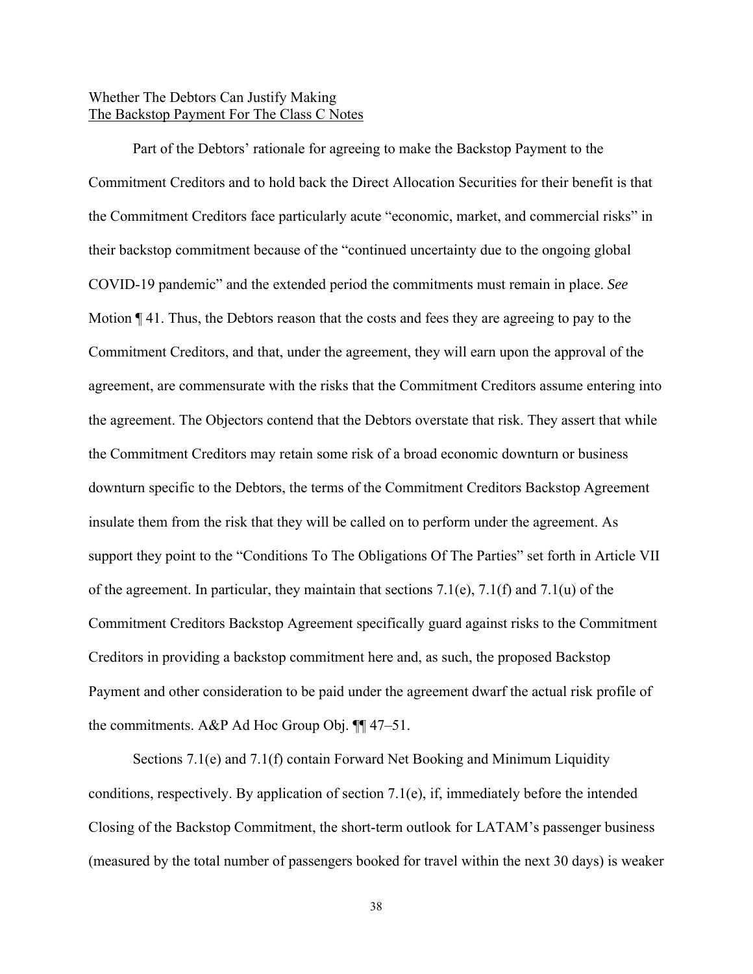# Whether The Debtors Can Justify Making The Backstop Payment For The Class C Notes

 Part of the Debtors' rationale for agreeing to make the Backstop Payment to the Commitment Creditors and to hold back the Direct Allocation Securities for their benefit is that the Commitment Creditors face particularly acute "economic, market, and commercial risks" in their backstop commitment because of the "continued uncertainty due to the ongoing global COVID-19 pandemic" and the extended period the commitments must remain in place. *See*  Motion ¶ 41. Thus, the Debtors reason that the costs and fees they are agreeing to pay to the Commitment Creditors, and that, under the agreement, they will earn upon the approval of the agreement, are commensurate with the risks that the Commitment Creditors assume entering into the agreement. The Objectors contend that the Debtors overstate that risk. They assert that while the Commitment Creditors may retain some risk of a broad economic downturn or business downturn specific to the Debtors, the terms of the Commitment Creditors Backstop Agreement insulate them from the risk that they will be called on to perform under the agreement. As support they point to the "Conditions To The Obligations Of The Parties" set forth in Article VII of the agreement. In particular, they maintain that sections 7.1(e), 7.1(f) and 7.1(u) of the Commitment Creditors Backstop Agreement specifically guard against risks to the Commitment Creditors in providing a backstop commitment here and, as such, the proposed Backstop Payment and other consideration to be paid under the agreement dwarf the actual risk profile of the commitments. A&P Ad Hoc Group Obj. ¶¶ 47–51.

 Sections 7.1(e) and 7.1(f) contain Forward Net Booking and Minimum Liquidity conditions, respectively. By application of section 7.1(e), if, immediately before the intended Closing of the Backstop Commitment, the short-term outlook for LATAM's passenger business (measured by the total number of passengers booked for travel within the next 30 days) is weaker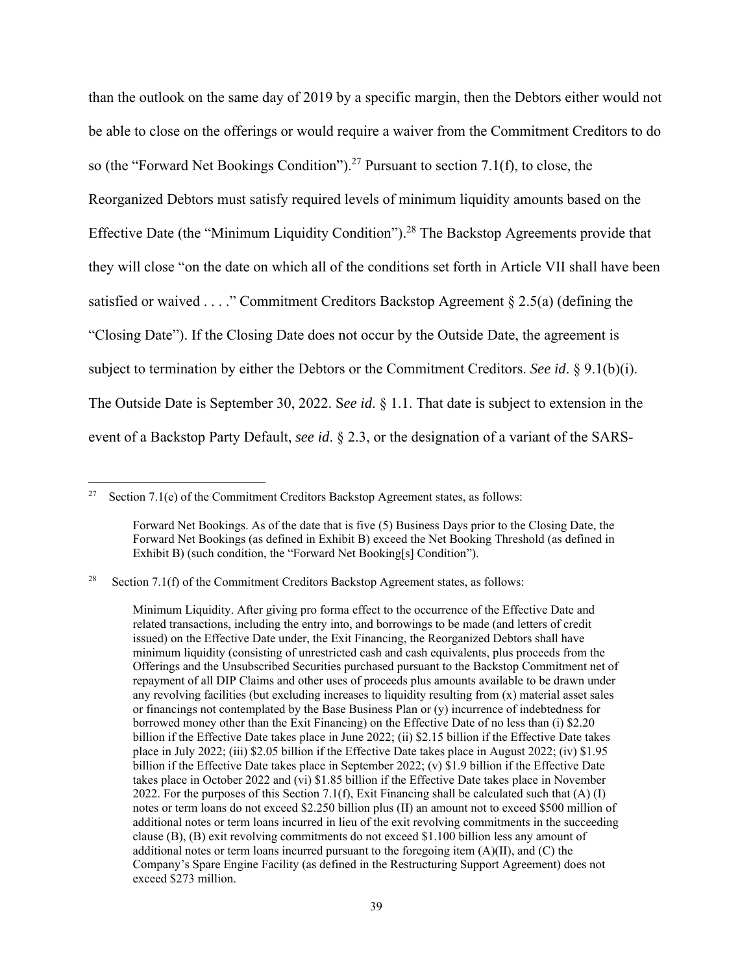than the outlook on the same day of 2019 by a specific margin, then the Debtors either would not be able to close on the offerings or would require a waiver from the Commitment Creditors to do so (the "Forward Net Bookings Condition").<sup>27</sup> Pursuant to section 7.1(f), to close, the Reorganized Debtors must satisfy required levels of minimum liquidity amounts based on the Effective Date (the "Minimum Liquidity Condition").<sup>28</sup> The Backstop Agreements provide that they will close "on the date on which all of the conditions set forth in Article VII shall have been satisfied or waived . . . ." Commitment Creditors Backstop Agreement  $\S 2.5(a)$  (defining the "Closing Date"). If the Closing Date does not occur by the Outside Date, the agreement is subject to termination by either the Debtors or the Commitment Creditors. *See id*. § 9.1(b)(i). The Outside Date is September 30, 2022. S*ee id*. § 1.1. That date is subject to extension in the event of a Backstop Party Default, *see id*. § 2.3, or the designation of a variant of the SARS-

<sup>&</sup>lt;sup>27</sup> Section 7.1(e) of the Commitment Creditors Backstop Agreement states, as follows:

Forward Net Bookings. As of the date that is five (5) Business Days prior to the Closing Date, the Forward Net Bookings (as defined in Exhibit B) exceed the Net Booking Threshold (as defined in Exhibit B) (such condition, the "Forward Net Booking[s] Condition").

<sup>&</sup>lt;sup>28</sup> Section 7.1(f) of the Commitment Creditors Backstop Agreement states, as follows:

Minimum Liquidity. After giving pro forma effect to the occurrence of the Effective Date and related transactions, including the entry into, and borrowings to be made (and letters of credit issued) on the Effective Date under, the Exit Financing, the Reorganized Debtors shall have minimum liquidity (consisting of unrestricted cash and cash equivalents, plus proceeds from the Offerings and the Unsubscribed Securities purchased pursuant to the Backstop Commitment net of repayment of all DIP Claims and other uses of proceeds plus amounts available to be drawn under any revolving facilities (but excluding increases to liquidity resulting from (x) material asset sales or financings not contemplated by the Base Business Plan or (y) incurrence of indebtedness for borrowed money other than the Exit Financing) on the Effective Date of no less than (i) \$2.20 billion if the Effective Date takes place in June 2022; (ii) \$2.15 billion if the Effective Date takes place in July 2022; (iii) \$2.05 billion if the Effective Date takes place in August 2022; (iv) \$1.95 billion if the Effective Date takes place in September 2022; (v) \$1.9 billion if the Effective Date takes place in October 2022 and (vi) \$1.85 billion if the Effective Date takes place in November 2022. For the purposes of this Section 7.1(f), Exit Financing shall be calculated such that  $(A)$  (I) notes or term loans do not exceed \$2.250 billion plus (II) an amount not to exceed \$500 million of additional notes or term loans incurred in lieu of the exit revolving commitments in the succeeding clause (B), (B) exit revolving commitments do not exceed \$1.100 billion less any amount of additional notes or term loans incurred pursuant to the foregoing item  $(A)(II)$ , and  $(C)$  the Company's Spare Engine Facility (as defined in the Restructuring Support Agreement) does not exceed \$273 million.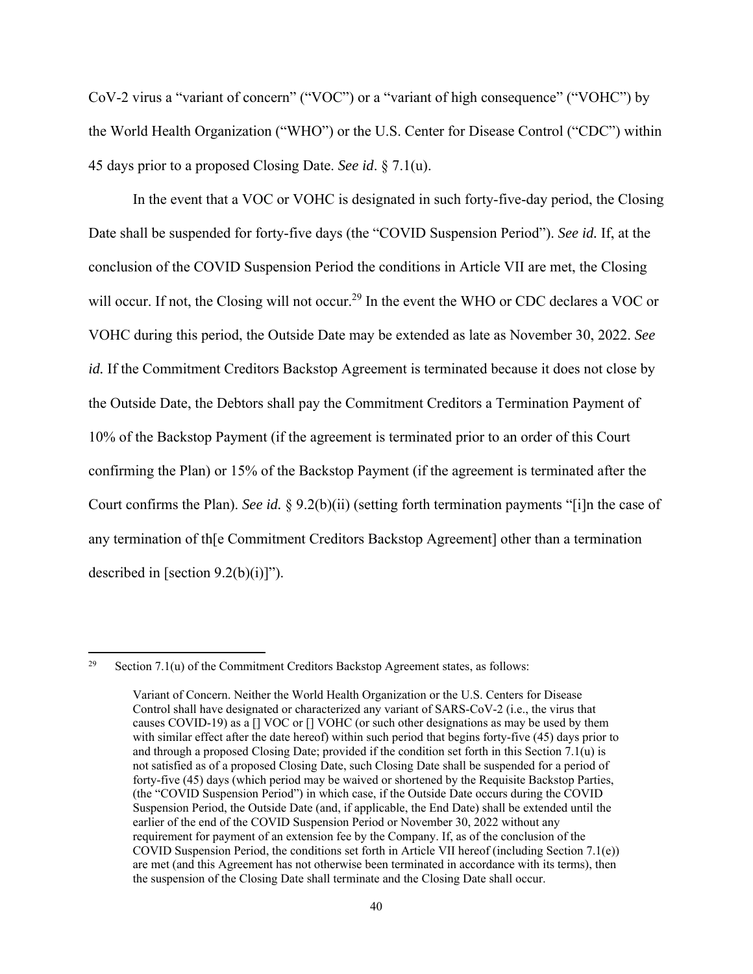CoV-2 virus a "variant of concern" ("VOC") or a "variant of high consequence" ("VOHC") by the World Health Organization ("WHO") or the U.S. Center for Disease Control ("CDC") within 45 days prior to a proposed Closing Date. *See id*. § 7.1(u).

In the event that a VOC or VOHC is designated in such forty-five-day period, the Closing Date shall be suspended for forty-five days (the "COVID Suspension Period"). *See id.* If, at the conclusion of the COVID Suspension Period the conditions in Article VII are met, the Closing will occur. If not, the Closing will not occur.<sup>29</sup> In the event the WHO or CDC declares a VOC or VOHC during this period, the Outside Date may be extended as late as November 30, 2022. *See id.* If the Commitment Creditors Backstop Agreement is terminated because it does not close by the Outside Date, the Debtors shall pay the Commitment Creditors a Termination Payment of 10% of the Backstop Payment (if the agreement is terminated prior to an order of this Court confirming the Plan) or 15% of the Backstop Payment (if the agreement is terminated after the Court confirms the Plan). *See id.* § 9.2(b)(ii) (setting forth termination payments "[i]n the case of any termination of th[e Commitment Creditors Backstop Agreement] other than a termination described in [section  $9.2(b)(i)$ ]").

<sup>&</sup>lt;sup>29</sup> Section 7.1(u) of the Commitment Creditors Backstop Agreement states, as follows:

Variant of Concern. Neither the World Health Organization or the U.S. Centers for Disease Control shall have designated or characterized any variant of SARS-CoV-2 (i.e., the virus that causes COVID-19) as a [] VOC or [] VOHC (or such other designations as may be used by them with similar effect after the date hereof) within such period that begins forty-five (45) days prior to and through a proposed Closing Date; provided if the condition set forth in this Section 7.1(u) is not satisfied as of a proposed Closing Date, such Closing Date shall be suspended for a period of forty-five (45) days (which period may be waived or shortened by the Requisite Backstop Parties, (the "COVID Suspension Period") in which case, if the Outside Date occurs during the COVID Suspension Period, the Outside Date (and, if applicable, the End Date) shall be extended until the earlier of the end of the COVID Suspension Period or November 30, 2022 without any requirement for payment of an extension fee by the Company. If, as of the conclusion of the COVID Suspension Period, the conditions set forth in Article VII hereof (including Section 7.1(e)) are met (and this Agreement has not otherwise been terminated in accordance with its terms), then the suspension of the Closing Date shall terminate and the Closing Date shall occur.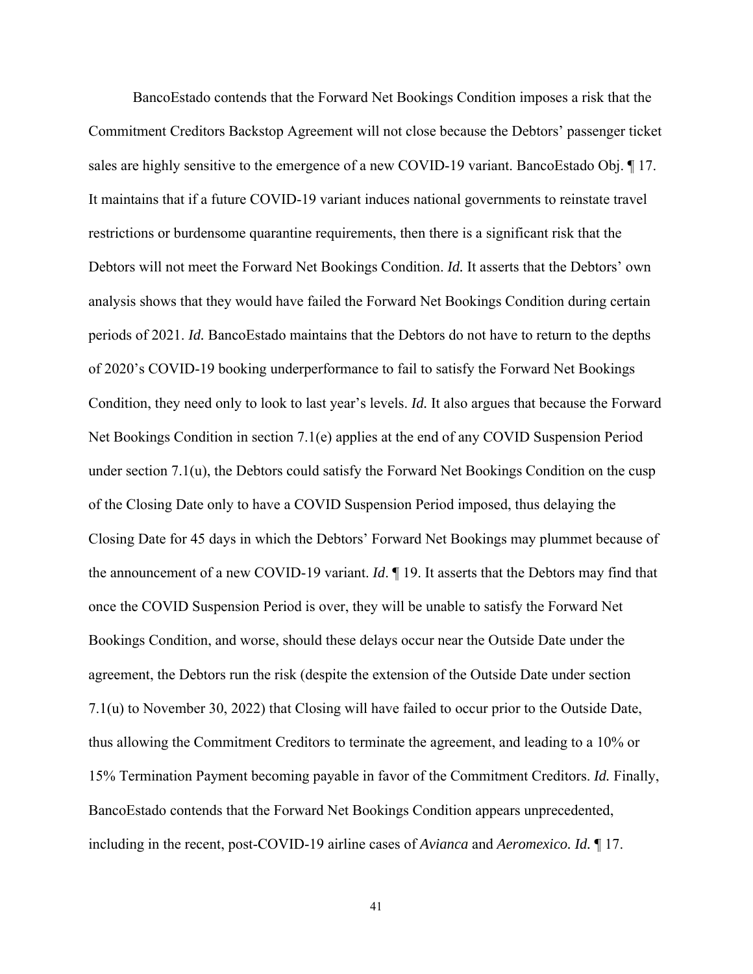BancoEstado contends that the Forward Net Bookings Condition imposes a risk that the Commitment Creditors Backstop Agreement will not close because the Debtors' passenger ticket sales are highly sensitive to the emergence of a new COVID-19 variant. BancoEstado Obj. ¶ 17. It maintains that if a future COVID-19 variant induces national governments to reinstate travel restrictions or burdensome quarantine requirements, then there is a significant risk that the Debtors will not meet the Forward Net Bookings Condition. *Id.* It asserts that the Debtors' own analysis shows that they would have failed the Forward Net Bookings Condition during certain periods of 2021. *Id.* BancoEstado maintains that the Debtors do not have to return to the depths of 2020's COVID-19 booking underperformance to fail to satisfy the Forward Net Bookings Condition, they need only to look to last year's levels. *Id.* It also argues that because the Forward Net Bookings Condition in section 7.1(e) applies at the end of any COVID Suspension Period under section  $7.1(u)$ , the Debtors could satisfy the Forward Net Bookings Condition on the cusp of the Closing Date only to have a COVID Suspension Period imposed, thus delaying the Closing Date for 45 days in which the Debtors' Forward Net Bookings may plummet because of the announcement of a new COVID-19 variant. *Id*. ¶ 19. It asserts that the Debtors may find that once the COVID Suspension Period is over, they will be unable to satisfy the Forward Net Bookings Condition, and worse, should these delays occur near the Outside Date under the agreement, the Debtors run the risk (despite the extension of the Outside Date under section 7.1(u) to November 30, 2022) that Closing will have failed to occur prior to the Outside Date, thus allowing the Commitment Creditors to terminate the agreement, and leading to a 10% or 15% Termination Payment becoming payable in favor of the Commitment Creditors. *Id.* Finally, BancoEstado contends that the Forward Net Bookings Condition appears unprecedented, including in the recent, post-COVID-19 airline cases of *Avianca* and *Aeromexico. Id.* ¶ 17.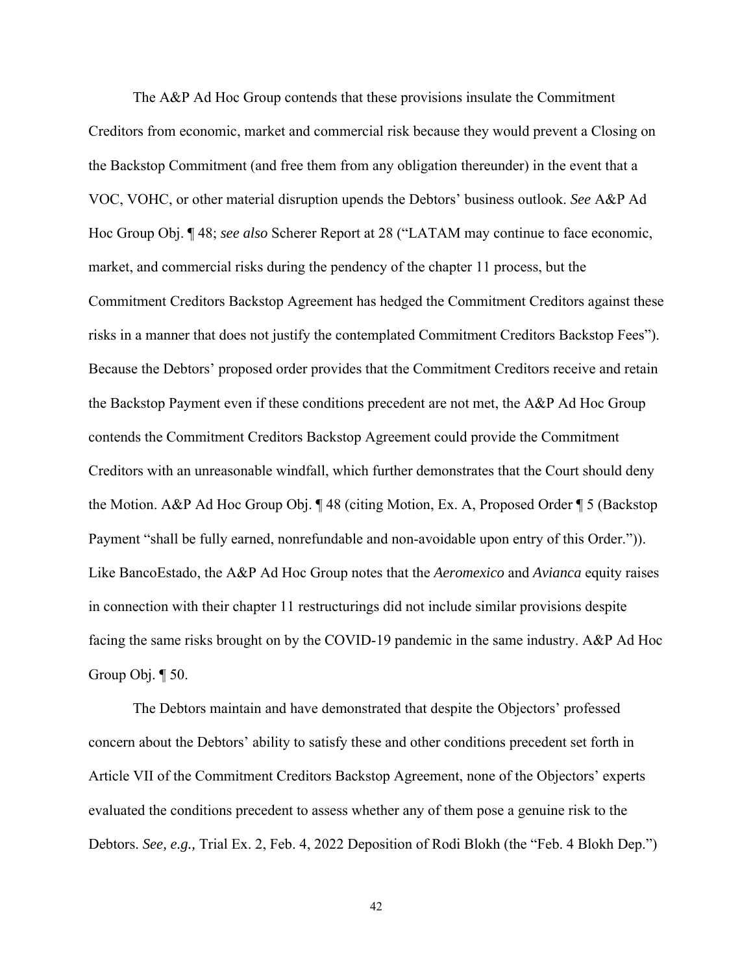The A&P Ad Hoc Group contends that these provisions insulate the Commitment Creditors from economic, market and commercial risk because they would prevent a Closing on the Backstop Commitment (and free them from any obligation thereunder) in the event that a VOC, VOHC, or other material disruption upends the Debtors' business outlook. *See* A&P Ad Hoc Group Obj. ¶ 48; *see also* Scherer Report at 28 ("LATAM may continue to face economic, market, and commercial risks during the pendency of the chapter 11 process, but the Commitment Creditors Backstop Agreement has hedged the Commitment Creditors against these risks in a manner that does not justify the contemplated Commitment Creditors Backstop Fees"). Because the Debtors' proposed order provides that the Commitment Creditors receive and retain the Backstop Payment even if these conditions precedent are not met, the A&P Ad Hoc Group contends the Commitment Creditors Backstop Agreement could provide the Commitment Creditors with an unreasonable windfall, which further demonstrates that the Court should deny the Motion. A&P Ad Hoc Group Obj. ¶ 48 (citing Motion, Ex. A, Proposed Order ¶ 5 (Backstop Payment "shall be fully earned, nonrefundable and non-avoidable upon entry of this Order.")). Like BancoEstado, the A&P Ad Hoc Group notes that the *Aeromexico* and *Avianca* equity raises in connection with their chapter 11 restructurings did not include similar provisions despite facing the same risks brought on by the COVID-19 pandemic in the same industry. A&P Ad Hoc Group Obj.  $\P$  50.

 The Debtors maintain and have demonstrated that despite the Objectors' professed concern about the Debtors' ability to satisfy these and other conditions precedent set forth in Article VII of the Commitment Creditors Backstop Agreement, none of the Objectors' experts evaluated the conditions precedent to assess whether any of them pose a genuine risk to the Debtors. *See, e.g.,* Trial Ex. 2, Feb. 4, 2022 Deposition of Rodi Blokh (the "Feb. 4 Blokh Dep.")

42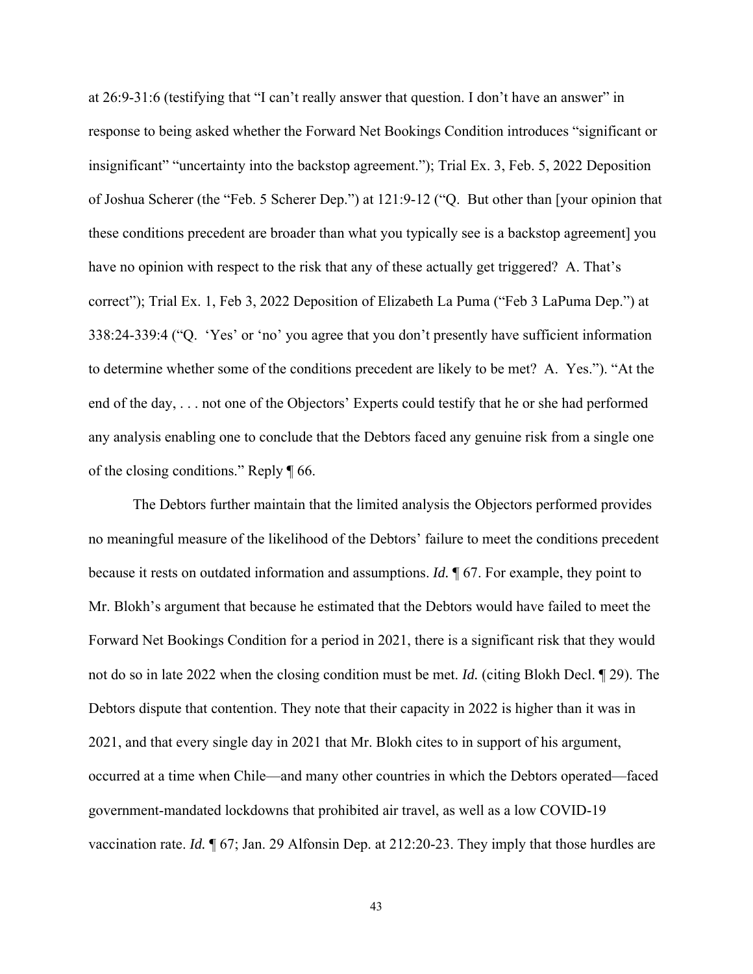at 26:9-31:6 (testifying that "I can't really answer that question. I don't have an answer" in response to being asked whether the Forward Net Bookings Condition introduces "significant or insignificant" "uncertainty into the backstop agreement."); Trial Ex. 3, Feb. 5, 2022 Deposition of Joshua Scherer (the "Feb. 5 Scherer Dep.") at 121:9-12 ("Q. But other than [your opinion that these conditions precedent are broader than what you typically see is a backstop agreement] you have no opinion with respect to the risk that any of these actually get triggered? A. That's correct"); Trial Ex. 1, Feb 3, 2022 Deposition of Elizabeth La Puma ("Feb 3 LaPuma Dep.") at 338:24-339:4 ("Q. 'Yes' or 'no' you agree that you don't presently have sufficient information to determine whether some of the conditions precedent are likely to be met? A. Yes."). "At the end of the day, . . . not one of the Objectors' Experts could testify that he or she had performed any analysis enabling one to conclude that the Debtors faced any genuine risk from a single one of the closing conditions." Reply ¶ 66.

 The Debtors further maintain that the limited analysis the Objectors performed provides no meaningful measure of the likelihood of the Debtors' failure to meet the conditions precedent because it rests on outdated information and assumptions. *Id.* ¶ 67. For example, they point to Mr. Blokh's argument that because he estimated that the Debtors would have failed to meet the Forward Net Bookings Condition for a period in 2021, there is a significant risk that they would not do so in late 2022 when the closing condition must be met. *Id.* (citing Blokh Decl. ¶ 29). The Debtors dispute that contention. They note that their capacity in 2022 is higher than it was in 2021, and that every single day in 2021 that Mr. Blokh cites to in support of his argument, occurred at a time when Chile—and many other countries in which the Debtors operated—faced government-mandated lockdowns that prohibited air travel, as well as a low COVID-19 vaccination rate. *Id.* ¶ 67; Jan. 29 Alfonsin Dep. at 212:20-23. They imply that those hurdles are

43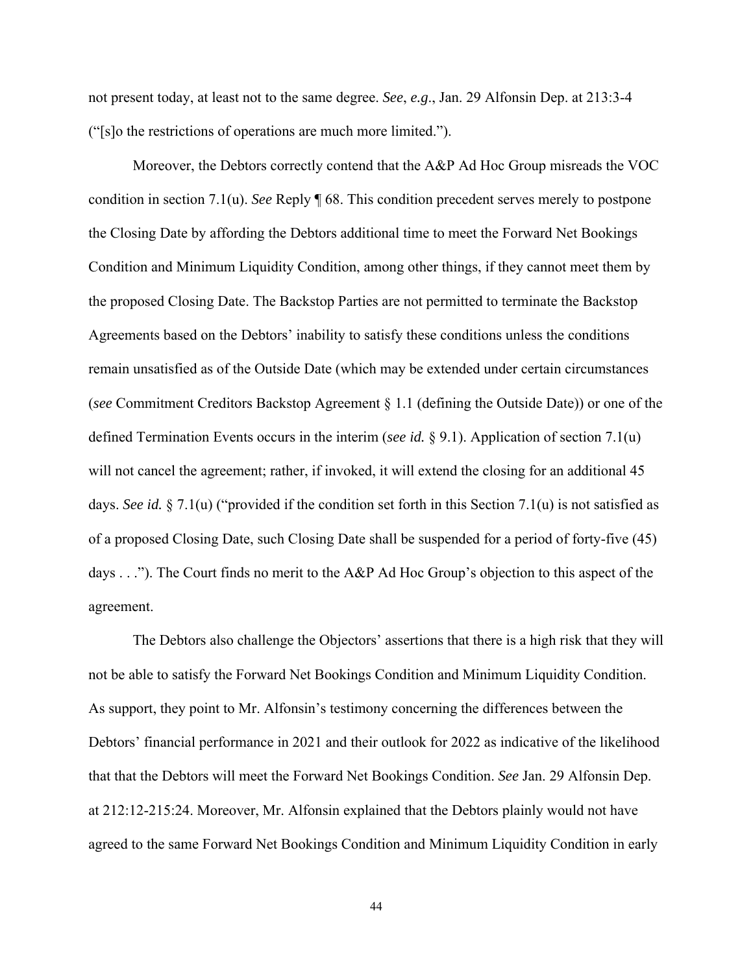not present today, at least not to the same degree. *See*, *e.g*., Jan. 29 Alfonsin Dep. at 213:3-4 ("[s]o the restrictions of operations are much more limited.").

 Moreover, the Debtors correctly contend that the A&P Ad Hoc Group misreads the VOC condition in section 7.1(u). *See* Reply ¶ 68. This condition precedent serves merely to postpone the Closing Date by affording the Debtors additional time to meet the Forward Net Bookings Condition and Minimum Liquidity Condition, among other things, if they cannot meet them by the proposed Closing Date. The Backstop Parties are not permitted to terminate the Backstop Agreements based on the Debtors' inability to satisfy these conditions unless the conditions remain unsatisfied as of the Outside Date (which may be extended under certain circumstances (*see* Commitment Creditors Backstop Agreement § 1.1 (defining the Outside Date)) or one of the defined Termination Events occurs in the interim (*see id.* § 9.1). Application of section 7.1(u) will not cancel the agreement; rather, if invoked, it will extend the closing for an additional 45 days. *See id.* § 7.1(u) ("provided if the condition set forth in this Section 7.1(u) is not satisfied as of a proposed Closing Date, such Closing Date shall be suspended for a period of forty-five (45) days . . ."). The Court finds no merit to the A&P Ad Hoc Group's objection to this aspect of the agreement.

 The Debtors also challenge the Objectors' assertions that there is a high risk that they will not be able to satisfy the Forward Net Bookings Condition and Minimum Liquidity Condition. As support, they point to Mr. Alfonsin's testimony concerning the differences between the Debtors' financial performance in 2021 and their outlook for 2022 as indicative of the likelihood that that the Debtors will meet the Forward Net Bookings Condition. *See* Jan. 29 Alfonsin Dep. at 212:12-215:24. Moreover, Mr. Alfonsin explained that the Debtors plainly would not have agreed to the same Forward Net Bookings Condition and Minimum Liquidity Condition in early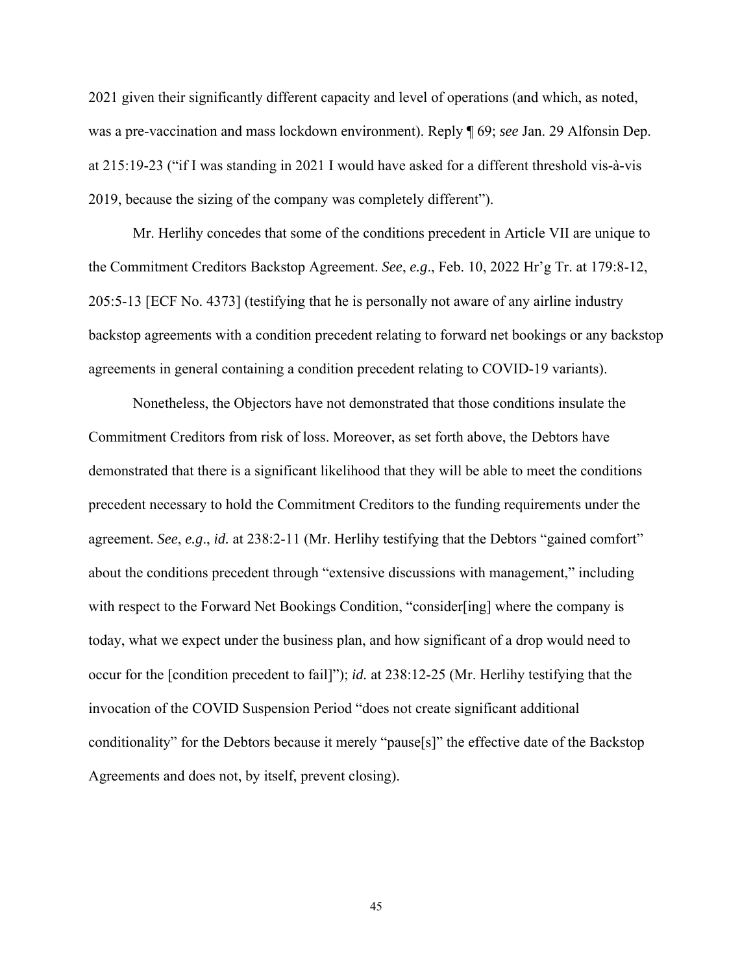2021 given their significantly different capacity and level of operations (and which, as noted, was a pre-vaccination and mass lockdown environment). Reply ¶ 69; *see* Jan. 29 Alfonsin Dep. at 215:19-23 ("if I was standing in 2021 I would have asked for a different threshold vis-à-vis 2019, because the sizing of the company was completely different").

Mr. Herlihy concedes that some of the conditions precedent in Article VII are unique to the Commitment Creditors Backstop Agreement. *See*, *e.g*., Feb. 10, 2022 Hr'g Tr. at 179:8-12, 205:5-13 [ECF No. 4373] (testifying that he is personally not aware of any airline industry backstop agreements with a condition precedent relating to forward net bookings or any backstop agreements in general containing a condition precedent relating to COVID-19 variants).

Nonetheless, the Objectors have not demonstrated that those conditions insulate the Commitment Creditors from risk of loss. Moreover, as set forth above, the Debtors have demonstrated that there is a significant likelihood that they will be able to meet the conditions precedent necessary to hold the Commitment Creditors to the funding requirements under the agreement. *See*, *e.g*., *id.* at 238:2-11 (Mr. Herlihy testifying that the Debtors "gained comfort" about the conditions precedent through "extensive discussions with management," including with respect to the Forward Net Bookings Condition, "consider[ing] where the company is today, what we expect under the business plan, and how significant of a drop would need to occur for the [condition precedent to fail]"); *id.* at 238:12-25 (Mr. Herlihy testifying that the invocation of the COVID Suspension Period "does not create significant additional conditionality" for the Debtors because it merely "pause[s]" the effective date of the Backstop Agreements and does not, by itself, prevent closing).

45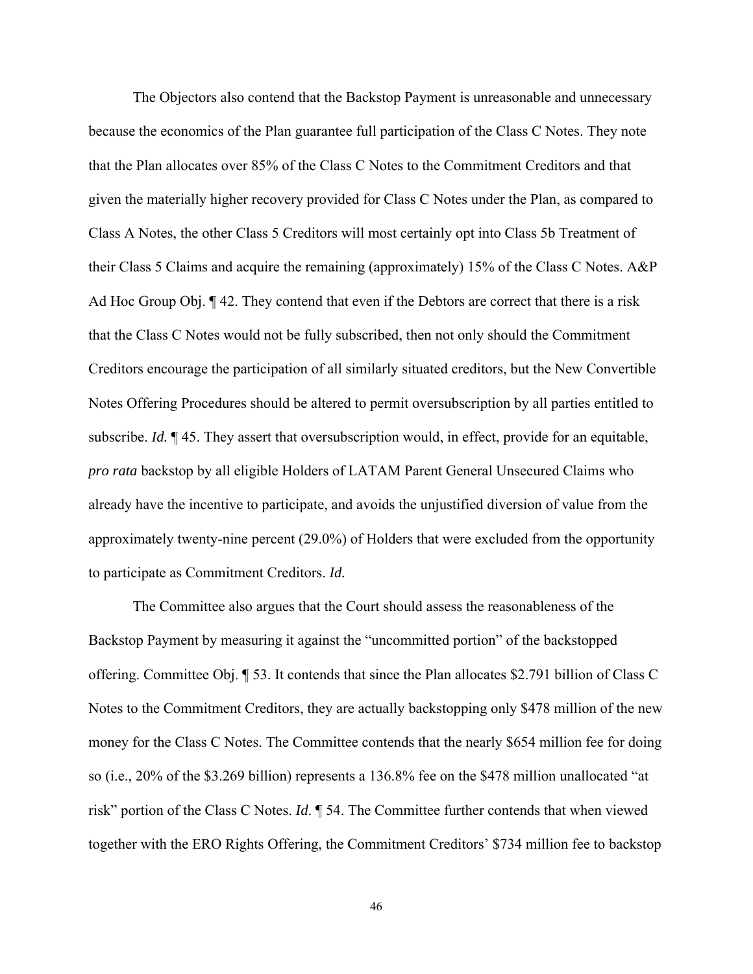The Objectors also contend that the Backstop Payment is unreasonable and unnecessary because the economics of the Plan guarantee full participation of the Class C Notes. They note that the Plan allocates over 85% of the Class C Notes to the Commitment Creditors and that given the materially higher recovery provided for Class C Notes under the Plan, as compared to Class A Notes, the other Class 5 Creditors will most certainly opt into Class 5b Treatment of their Class 5 Claims and acquire the remaining (approximately) 15% of the Class C Notes. A&P Ad Hoc Group Obj. ¶ 42. They contend that even if the Debtors are correct that there is a risk that the Class C Notes would not be fully subscribed, then not only should the Commitment Creditors encourage the participation of all similarly situated creditors, but the New Convertible Notes Offering Procedures should be altered to permit oversubscription by all parties entitled to subscribe. *Id.* ¶ 45. They assert that oversubscription would, in effect, provide for an equitable, *pro rata* backstop by all eligible Holders of LATAM Parent General Unsecured Claims who already have the incentive to participate, and avoids the unjustified diversion of value from the approximately twenty-nine percent (29.0%) of Holders that were excluded from the opportunity to participate as Commitment Creditors. *Id.*

 The Committee also argues that the Court should assess the reasonableness of the Backstop Payment by measuring it against the "uncommitted portion" of the backstopped offering. Committee Obj. ¶ 53. It contends that since the Plan allocates \$2.791 billion of Class C Notes to the Commitment Creditors, they are actually backstopping only \$478 million of the new money for the Class C Notes. The Committee contends that the nearly \$654 million fee for doing so (i.e., 20% of the \$3.269 billion) represents a 136.8% fee on the \$478 million unallocated "at risk" portion of the Class C Notes. *Id*. ¶ 54. The Committee further contends that when viewed together with the ERO Rights Offering, the Commitment Creditors' \$734 million fee to backstop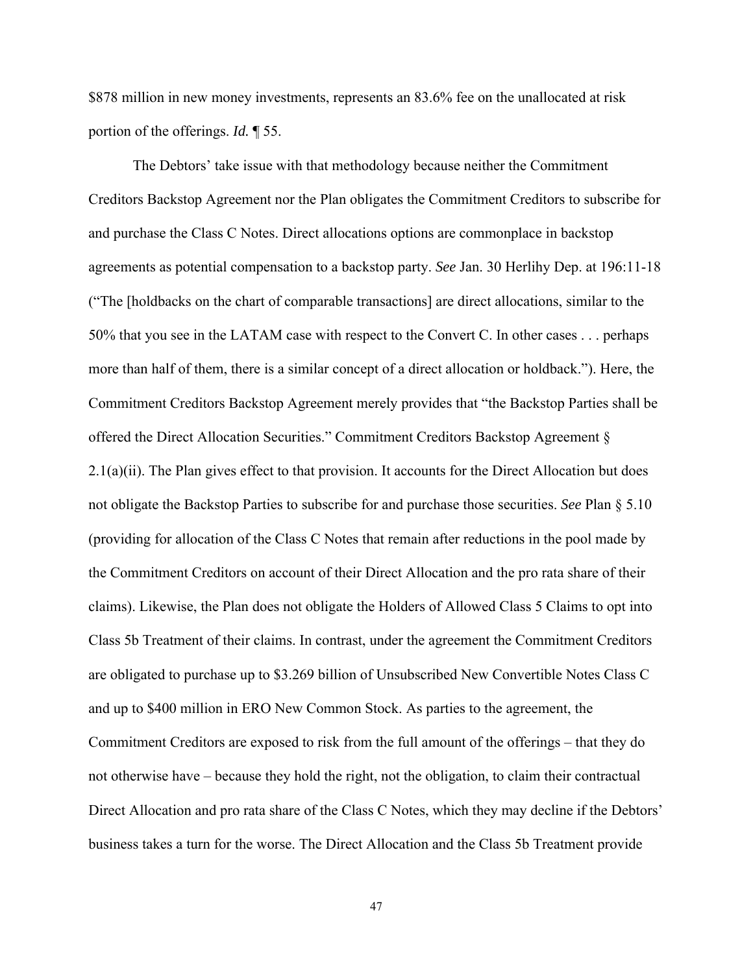\$878 million in new money investments, represents an 83.6% fee on the unallocated at risk portion of the offerings. *Id.* ¶ 55.

 The Debtors' take issue with that methodology because neither the Commitment Creditors Backstop Agreement nor the Plan obligates the Commitment Creditors to subscribe for and purchase the Class C Notes. Direct allocations options are commonplace in backstop agreements as potential compensation to a backstop party. *See* Jan. 30 Herlihy Dep. at 196:11-18 ("The [holdbacks on the chart of comparable transactions] are direct allocations, similar to the 50% that you see in the LATAM case with respect to the Convert C. In other cases . . . perhaps more than half of them, there is a similar concept of a direct allocation or holdback."). Here, the Commitment Creditors Backstop Agreement merely provides that "the Backstop Parties shall be offered the Direct Allocation Securities." Commitment Creditors Backstop Agreement § 2.1(a)(ii). The Plan gives effect to that provision. It accounts for the Direct Allocation but does not obligate the Backstop Parties to subscribe for and purchase those securities. *See* Plan § 5.10 (providing for allocation of the Class C Notes that remain after reductions in the pool made by the Commitment Creditors on account of their Direct Allocation and the pro rata share of their claims). Likewise, the Plan does not obligate the Holders of Allowed Class 5 Claims to opt into Class 5b Treatment of their claims. In contrast, under the agreement the Commitment Creditors are obligated to purchase up to \$3.269 billion of Unsubscribed New Convertible Notes Class C and up to \$400 million in ERO New Common Stock. As parties to the agreement, the Commitment Creditors are exposed to risk from the full amount of the offerings – that they do not otherwise have – because they hold the right, not the obligation, to claim their contractual Direct Allocation and pro rata share of the Class C Notes, which they may decline if the Debtors' business takes a turn for the worse. The Direct Allocation and the Class 5b Treatment provide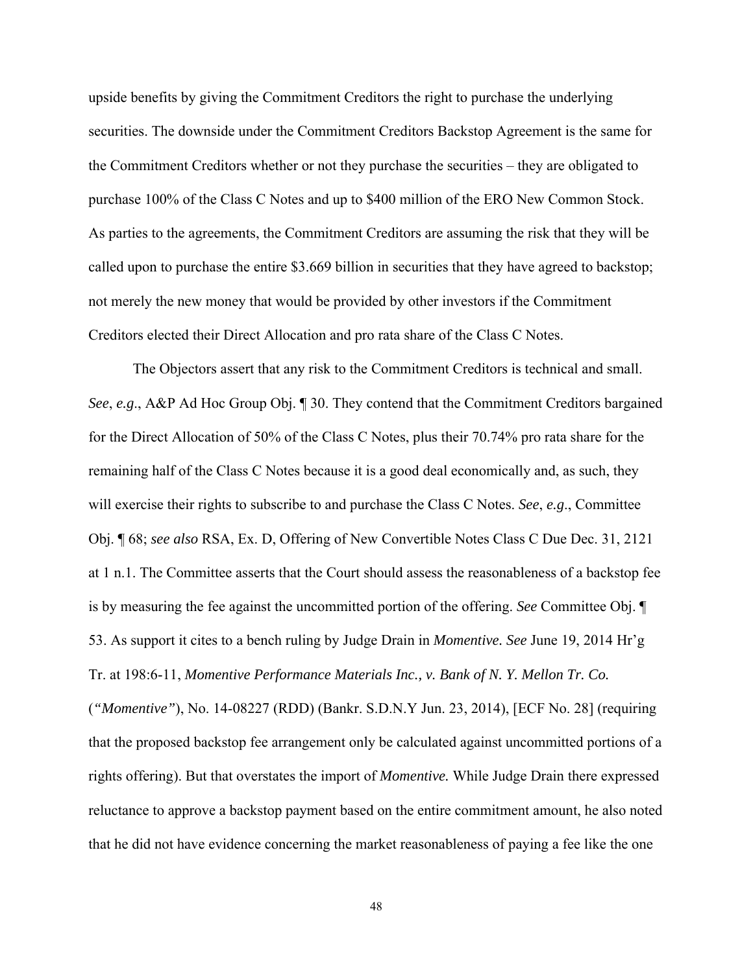upside benefits by giving the Commitment Creditors the right to purchase the underlying securities. The downside under the Commitment Creditors Backstop Agreement is the same for the Commitment Creditors whether or not they purchase the securities – they are obligated to purchase 100% of the Class C Notes and up to \$400 million of the ERO New Common Stock. As parties to the agreements, the Commitment Creditors are assuming the risk that they will be called upon to purchase the entire \$3.669 billion in securities that they have agreed to backstop; not merely the new money that would be provided by other investors if the Commitment Creditors elected their Direct Allocation and pro rata share of the Class C Notes.

 The Objectors assert that any risk to the Commitment Creditors is technical and small. *See*, *e.g*., A&P Ad Hoc Group Obj. ¶ 30. They contend that the Commitment Creditors bargained for the Direct Allocation of 50% of the Class C Notes, plus their 70.74% pro rata share for the remaining half of the Class C Notes because it is a good deal economically and, as such, they will exercise their rights to subscribe to and purchase the Class C Notes. *See*, *e.g*., Committee Obj. ¶ 68; *see also* RSA, Ex. D, Offering of New Convertible Notes Class C Due Dec. 31, 2121 at 1 n.1. The Committee asserts that the Court should assess the reasonableness of a backstop fee is by measuring the fee against the uncommitted portion of the offering. *See* Committee Obj. ¶ 53. As support it cites to a bench ruling by Judge Drain in *Momentive. See* June 19, 2014 Hr'g Tr. at 198:6-11, *Momentive Performance Materials Inc., v. Bank of N. Y. Mellon Tr. Co.* 

(*"Momentive"*), No. 14-08227 (RDD) (Bankr. S.D.N.Y Jun. 23, 2014), [ECF No. 28] (requiring that the proposed backstop fee arrangement only be calculated against uncommitted portions of a rights offering). But that overstates the import of *Momentive.* While Judge Drain there expressed reluctance to approve a backstop payment based on the entire commitment amount, he also noted that he did not have evidence concerning the market reasonableness of paying a fee like the one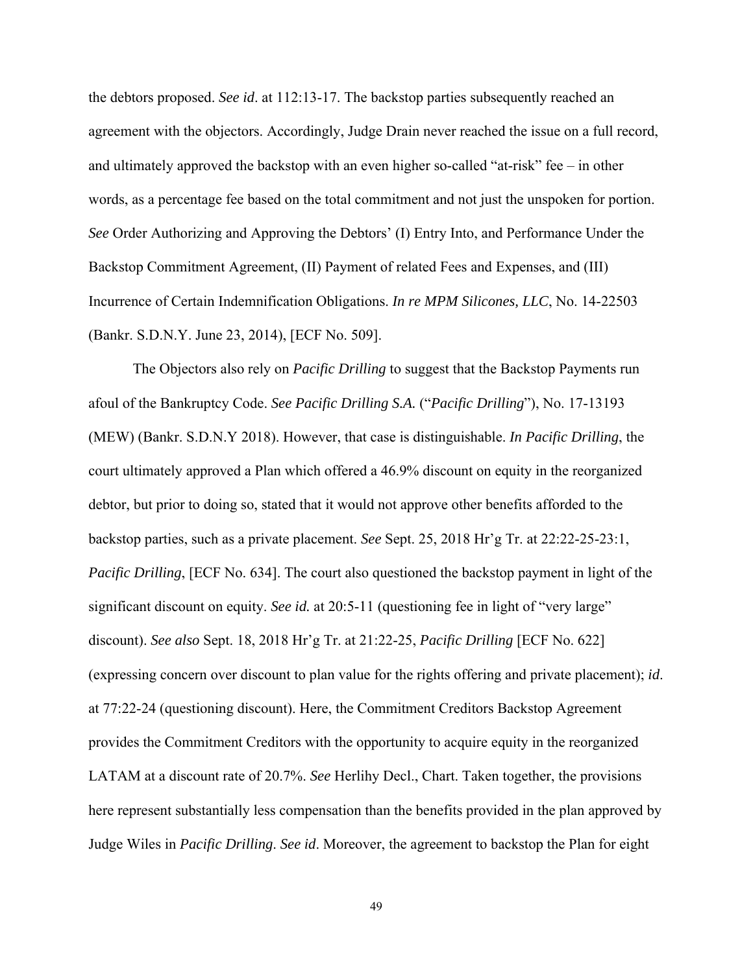the debtors proposed. *See id*. at 112:13-17. The backstop parties subsequently reached an agreement with the objectors. Accordingly, Judge Drain never reached the issue on a full record, and ultimately approved the backstop with an even higher so-called "at-risk" fee – in other words, as a percentage fee based on the total commitment and not just the unspoken for portion. *See* Order Authorizing and Approving the Debtors' (I) Entry Into, and Performance Under the Backstop Commitment Agreement, (II) Payment of related Fees and Expenses, and (III) Incurrence of Certain Indemnification Obligations. *In re MPM Silicones, LLC*, No. 14-22503 (Bankr. S.D.N.Y. June 23, 2014), [ECF No. 509].

The Objectors also rely on *Pacific Drilling* to suggest that the Backstop Payments run afoul of the Bankruptcy Code. *See Pacific Drilling S.A.* ("*Pacific Drilling*"), No. 17-13193 (MEW) (Bankr. S.D.N.Y 2018). However, that case is distinguishable. *In Pacific Drilling*, the court ultimately approved a Plan which offered a 46.9% discount on equity in the reorganized debtor, but prior to doing so, stated that it would not approve other benefits afforded to the backstop parties, such as a private placement. *See* Sept. 25, 2018 Hr'g Tr. at 22:22-25-23:1, *Pacific Drilling*, [ECF No. 634]. The court also questioned the backstop payment in light of the significant discount on equity. See id. at 20:5-11 (questioning fee in light of "very large" discount). *See also* Sept. 18, 2018 Hr'g Tr. at 21:22-25, *Pacific Drilling* [ECF No. 622] (expressing concern over discount to plan value for the rights offering and private placement); *id*. at 77:22-24 (questioning discount). Here, the Commitment Creditors Backstop Agreement provides the Commitment Creditors with the opportunity to acquire equity in the reorganized LATAM at a discount rate of 20.7%. *See* Herlihy Decl., Chart. Taken together, the provisions here represent substantially less compensation than the benefits provided in the plan approved by Judge Wiles in *Pacific Drilling*. *See id*. Moreover, the agreement to backstop the Plan for eight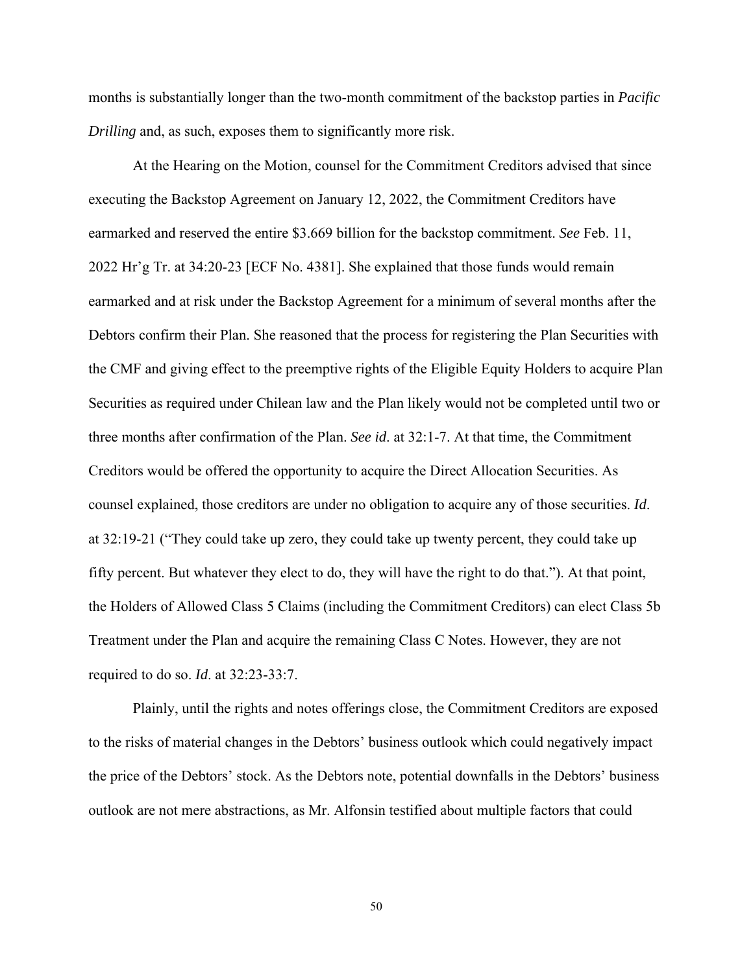months is substantially longer than the two-month commitment of the backstop parties in *Pacific Drilling* and, as such, exposes them to significantly more risk.

 At the Hearing on the Motion, counsel for the Commitment Creditors advised that since executing the Backstop Agreement on January 12, 2022, the Commitment Creditors have earmarked and reserved the entire \$3.669 billion for the backstop commitment. *See* Feb. 11, 2022 Hr'g Tr. at 34:20-23 [ECF No. 4381]. She explained that those funds would remain earmarked and at risk under the Backstop Agreement for a minimum of several months after the Debtors confirm their Plan. She reasoned that the process for registering the Plan Securities with the CMF and giving effect to the preemptive rights of the Eligible Equity Holders to acquire Plan Securities as required under Chilean law and the Plan likely would not be completed until two or three months after confirmation of the Plan. *See id*. at 32:1-7. At that time, the Commitment Creditors would be offered the opportunity to acquire the Direct Allocation Securities. As counsel explained, those creditors are under no obligation to acquire any of those securities. *Id*. at 32:19-21 ("They could take up zero, they could take up twenty percent, they could take up fifty percent. But whatever they elect to do, they will have the right to do that."). At that point, the Holders of Allowed Class 5 Claims (including the Commitment Creditors) can elect Class 5b Treatment under the Plan and acquire the remaining Class C Notes. However, they are not required to do so. *Id*. at 32:23-33:7.

Plainly, until the rights and notes offerings close, the Commitment Creditors are exposed to the risks of material changes in the Debtors' business outlook which could negatively impact the price of the Debtors' stock. As the Debtors note, potential downfalls in the Debtors' business outlook are not mere abstractions, as Mr. Alfonsin testified about multiple factors that could

50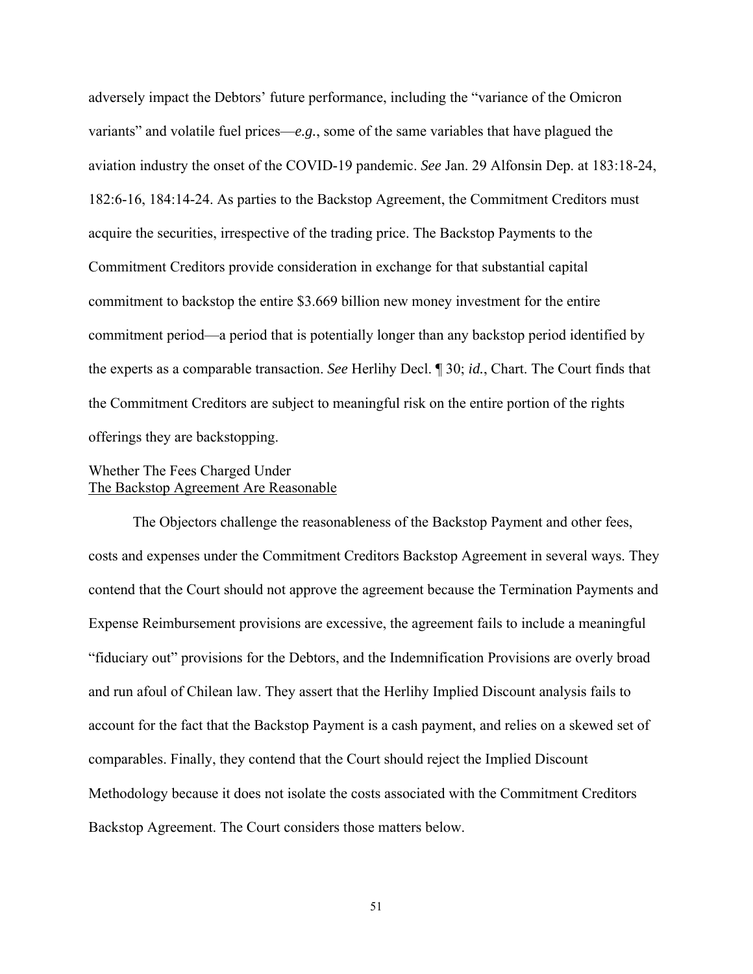adversely impact the Debtors' future performance, including the "variance of the Omicron variants" and volatile fuel prices—*e.g.*, some of the same variables that have plagued the aviation industry the onset of the COVID-19 pandemic. *See* Jan. 29 Alfonsin Dep. at 183:18-24, 182:6-16, 184:14-24. As parties to the Backstop Agreement, the Commitment Creditors must acquire the securities, irrespective of the trading price. The Backstop Payments to the Commitment Creditors provide consideration in exchange for that substantial capital commitment to backstop the entire \$3.669 billion new money investment for the entire commitment period—a period that is potentially longer than any backstop period identified by the experts as a comparable transaction. *See* Herlihy Decl. ¶ 30; *id.*, Chart. The Court finds that the Commitment Creditors are subject to meaningful risk on the entire portion of the rights offerings they are backstopping.

# Whether The Fees Charged Under The Backstop Agreement Are Reasonable

 The Objectors challenge the reasonableness of the Backstop Payment and other fees, costs and expenses under the Commitment Creditors Backstop Agreement in several ways. They contend that the Court should not approve the agreement because the Termination Payments and Expense Reimbursement provisions are excessive, the agreement fails to include a meaningful "fiduciary out" provisions for the Debtors, and the Indemnification Provisions are overly broad and run afoul of Chilean law. They assert that the Herlihy Implied Discount analysis fails to account for the fact that the Backstop Payment is a cash payment, and relies on a skewed set of comparables. Finally, they contend that the Court should reject the Implied Discount Methodology because it does not isolate the costs associated with the Commitment Creditors Backstop Agreement. The Court considers those matters below.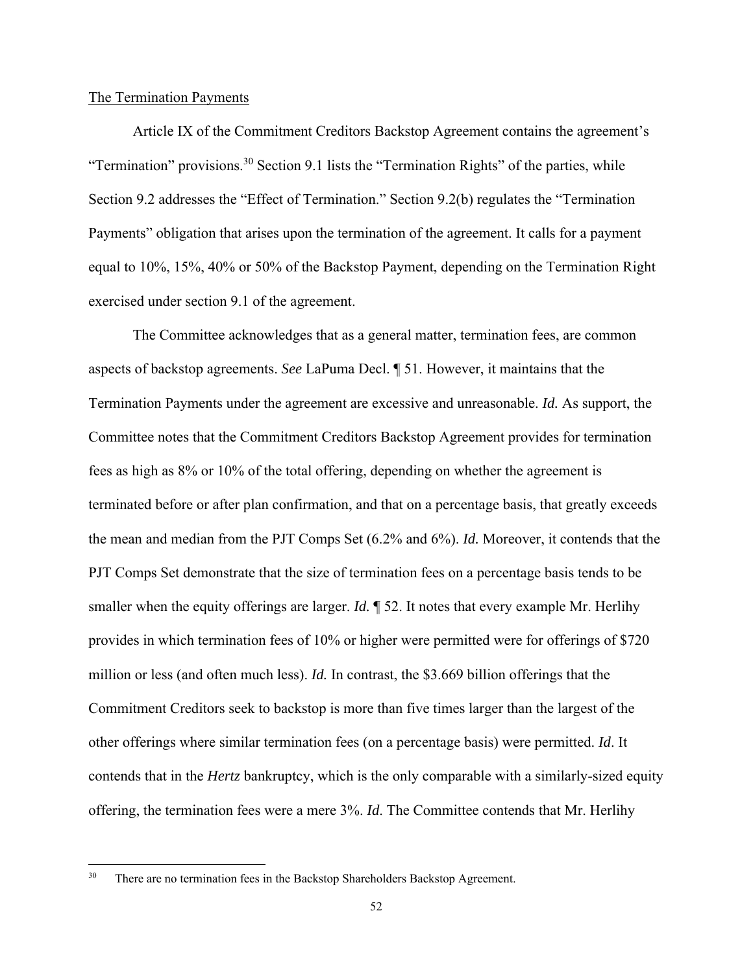## The Termination Payments

 Article IX of the Commitment Creditors Backstop Agreement contains the agreement's "Termination" provisions.<sup>30</sup> Section 9.1 lists the "Termination Rights" of the parties, while Section 9.2 addresses the "Effect of Termination." Section 9.2(b) regulates the "Termination Payments" obligation that arises upon the termination of the agreement. It calls for a payment equal to 10%, 15%, 40% or 50% of the Backstop Payment, depending on the Termination Right exercised under section 9.1 of the agreement.

 The Committee acknowledges that as a general matter, termination fees, are common aspects of backstop agreements. *See* LaPuma Decl. ¶ 51. However, it maintains that the Termination Payments under the agreement are excessive and unreasonable. *Id.* As support, the Committee notes that the Commitment Creditors Backstop Agreement provides for termination fees as high as 8% or 10% of the total offering, depending on whether the agreement is terminated before or after plan confirmation, and that on a percentage basis, that greatly exceeds the mean and median from the PJT Comps Set (6.2% and 6%). *Id.* Moreover, it contends that the PJT Comps Set demonstrate that the size of termination fees on a percentage basis tends to be smaller when the equity offerings are larger. *Id.* ¶ 52. It notes that every example Mr. Herlihy provides in which termination fees of 10% or higher were permitted were for offerings of \$720 million or less (and often much less). *Id.* In contrast, the \$3.669 billion offerings that the Commitment Creditors seek to backstop is more than five times larger than the largest of the other offerings where similar termination fees (on a percentage basis) were permitted. *Id*. It contends that in the *Hertz* bankruptcy, which is the only comparable with a similarly-sized equity offering, the termination fees were a mere 3%. *Id*. The Committee contends that Mr. Herlihy

<sup>&</sup>lt;sup>30</sup> There are no termination fees in the Backstop Shareholders Backstop Agreement.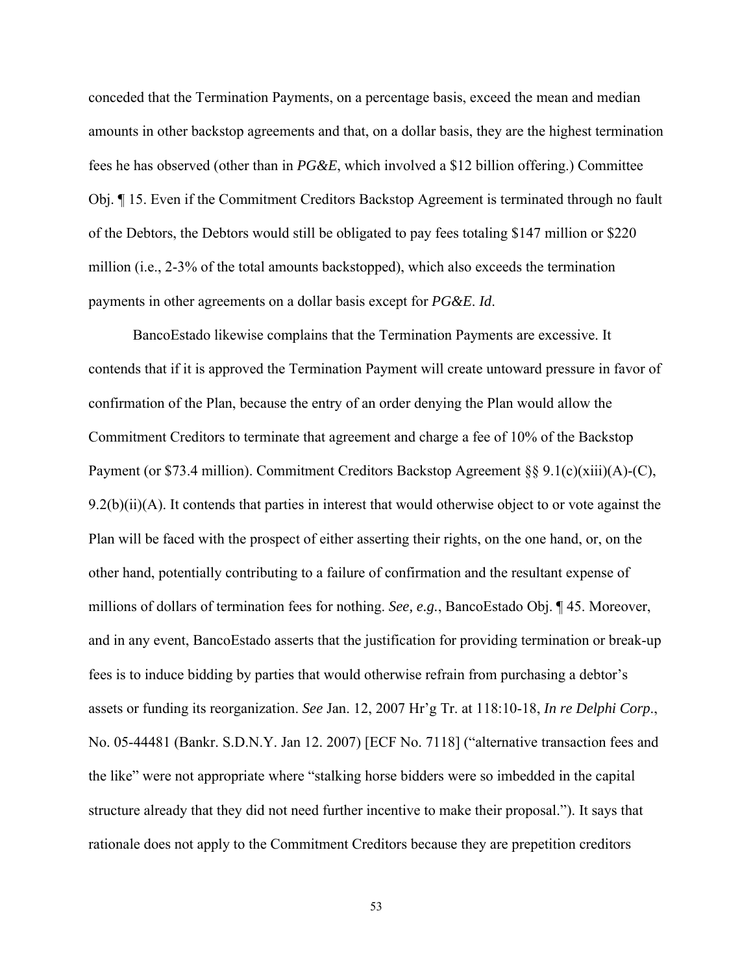conceded that the Termination Payments, on a percentage basis, exceed the mean and median amounts in other backstop agreements and that, on a dollar basis, they are the highest termination fees he has observed (other than in *PG&E*, which involved a \$12 billion offering.) Committee Obj. ¶ 15. Even if the Commitment Creditors Backstop Agreement is terminated through no fault of the Debtors, the Debtors would still be obligated to pay fees totaling \$147 million or \$220 million (i.e., 2-3% of the total amounts backstopped), which also exceeds the termination payments in other agreements on a dollar basis except for *PG&E*. *Id*.

 BancoEstado likewise complains that the Termination Payments are excessive. It contends that if it is approved the Termination Payment will create untoward pressure in favor of confirmation of the Plan, because the entry of an order denying the Plan would allow the Commitment Creditors to terminate that agreement and charge a fee of 10% of the Backstop Payment (or \$73.4 million). Commitment Creditors Backstop Agreement  $\S$ § 9.1(c)(xiii)(A)-(C),  $9.2(b)(ii)(A)$ . It contends that parties in interest that would otherwise object to or vote against the Plan will be faced with the prospect of either asserting their rights, on the one hand, or, on the other hand, potentially contributing to a failure of confirmation and the resultant expense of millions of dollars of termination fees for nothing. *See, e.g.*, BancoEstado Obj. ¶ 45. Moreover, and in any event, BancoEstado asserts that the justification for providing termination or break-up fees is to induce bidding by parties that would otherwise refrain from purchasing a debtor's assets or funding its reorganization. *See* Jan. 12, 2007 Hr'g Tr. at 118:10-18, *In re Delphi Corp*., No. 05-44481 (Bankr. S.D.N.Y. Jan 12. 2007) [ECF No. 7118] ("alternative transaction fees and the like" were not appropriate where "stalking horse bidders were so imbedded in the capital structure already that they did not need further incentive to make their proposal."). It says that rationale does not apply to the Commitment Creditors because they are prepetition creditors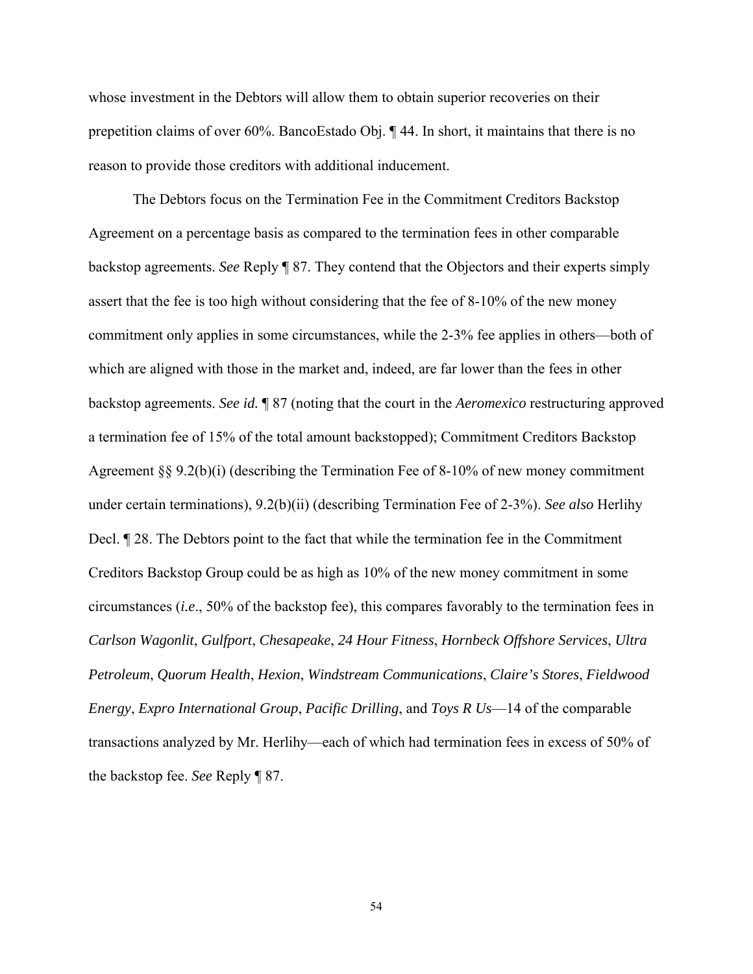whose investment in the Debtors will allow them to obtain superior recoveries on their prepetition claims of over 60%. BancoEstado Obj. ¶ 44. In short, it maintains that there is no reason to provide those creditors with additional inducement.

 The Debtors focus on the Termination Fee in the Commitment Creditors Backstop Agreement on a percentage basis as compared to the termination fees in other comparable backstop agreements. *See* Reply ¶ 87. They contend that the Objectors and their experts simply assert that the fee is too high without considering that the fee of 8-10% of the new money commitment only applies in some circumstances, while the 2-3% fee applies in others—both of which are aligned with those in the market and, indeed, are far lower than the fees in other backstop agreements. *See id.* ¶ 87 (noting that the court in the *Aeromexico* restructuring approved a termination fee of 15% of the total amount backstopped); Commitment Creditors Backstop Agreement §§ 9.2(b)(i) (describing the Termination Fee of 8-10% of new money commitment under certain terminations), 9.2(b)(ii) (describing Termination Fee of 2-3%). *See also* Herlihy Decl. ¶ 28. The Debtors point to the fact that while the termination fee in the Commitment Creditors Backstop Group could be as high as 10% of the new money commitment in some circumstances (*i.e*., 50% of the backstop fee), this compares favorably to the termination fees in *Carlson Wagonlit*, *Gulfport*, *Chesapeake*, *24 Hour Fitness*, *Hornbeck Offshore Services*, *Ultra Petroleum*, *Quorum Health*, *Hexion*, *Windstream Communications*, *Claire's Stores*, *Fieldwood Energy*, *Expro International Group*, *Pacific Drilling*, and *Toys R Us*—14 of the comparable transactions analyzed by Mr. Herlihy—each of which had termination fees in excess of 50% of the backstop fee. *See* Reply ¶ 87.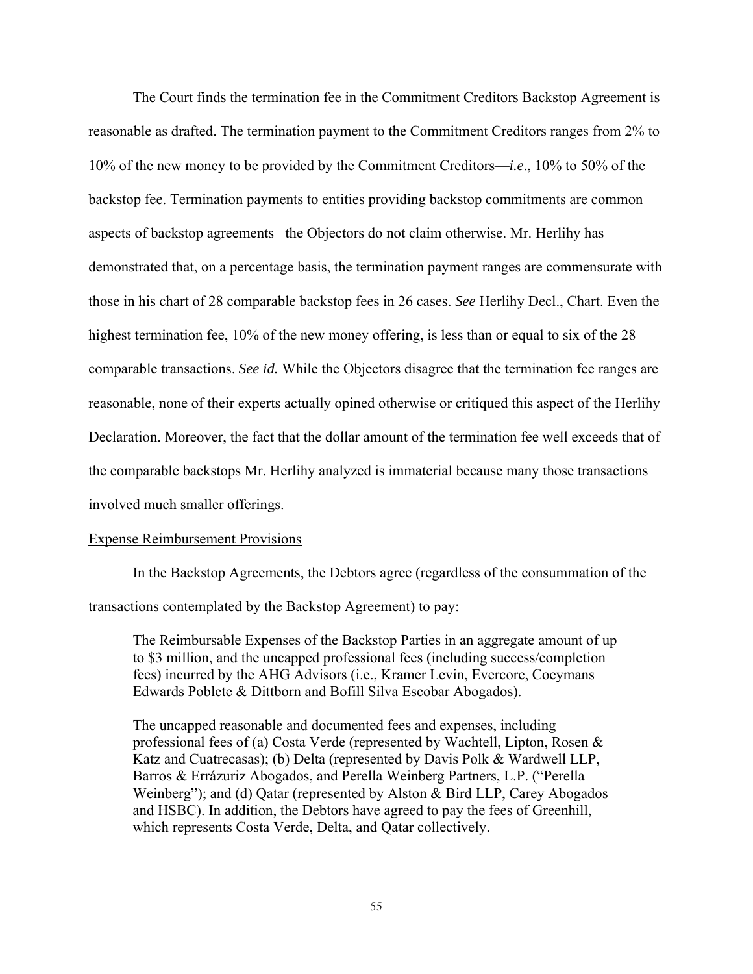The Court finds the termination fee in the Commitment Creditors Backstop Agreement is reasonable as drafted. The termination payment to the Commitment Creditors ranges from 2% to 10% of the new money to be provided by the Commitment Creditors—*i.e*., 10% to 50% of the backstop fee. Termination payments to entities providing backstop commitments are common aspects of backstop agreements– the Objectors do not claim otherwise. Mr. Herlihy has demonstrated that, on a percentage basis, the termination payment ranges are commensurate with those in his chart of 28 comparable backstop fees in 26 cases. *See* Herlihy Decl., Chart. Even the highest termination fee, 10% of the new money offering, is less than or equal to six of the 28 comparable transactions. *See id.* While the Objectors disagree that the termination fee ranges are reasonable, none of their experts actually opined otherwise or critiqued this aspect of the Herlihy Declaration. Moreover, the fact that the dollar amount of the termination fee well exceeds that of the comparable backstops Mr. Herlihy analyzed is immaterial because many those transactions involved much smaller offerings.

#### Expense Reimbursement Provisions

 In the Backstop Agreements, the Debtors agree (regardless of the consummation of the transactions contemplated by the Backstop Agreement) to pay:

The Reimbursable Expenses of the Backstop Parties in an aggregate amount of up to \$3 million, and the uncapped professional fees (including success/completion fees) incurred by the AHG Advisors (i.e., Kramer Levin, Evercore, Coeymans Edwards Poblete & Dittborn and Bofill Silva Escobar Abogados).

The uncapped reasonable and documented fees and expenses, including professional fees of (a) Costa Verde (represented by Wachtell, Lipton, Rosen  $\&$ Katz and Cuatrecasas); (b) Delta (represented by Davis Polk & Wardwell LLP, Barros & Errázuriz Abogados, and Perella Weinberg Partners, L.P. ("Perella Weinberg"); and (d) Qatar (represented by Alston & Bird LLP, Carey Abogados and HSBC). In addition, the Debtors have agreed to pay the fees of Greenhill, which represents Costa Verde, Delta, and Qatar collectively.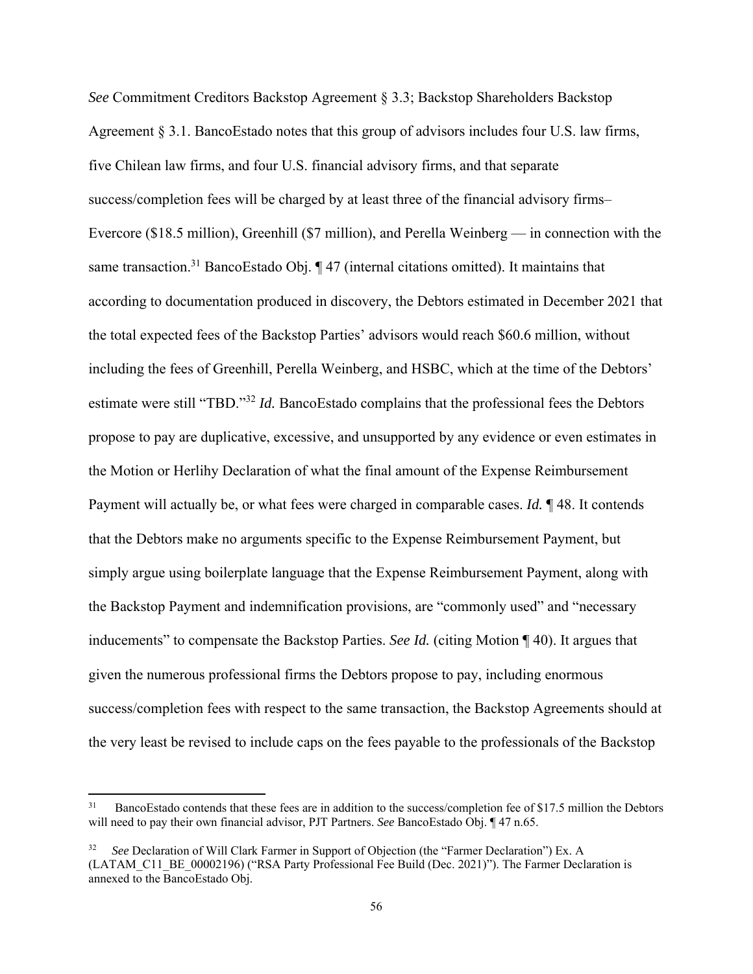*See* Commitment Creditors Backstop Agreement § 3.3; Backstop Shareholders Backstop Agreement § 3.1. BancoEstado notes that this group of advisors includes four U.S. law firms, five Chilean law firms, and four U.S. financial advisory firms, and that separate success/completion fees will be charged by at least three of the financial advisory firms– Evercore (\$18.5 million), Greenhill (\$7 million), and Perella Weinberg — in connection with the same transaction.<sup>31</sup> BancoEstado Obj. ¶ 47 (internal citations omitted). It maintains that according to documentation produced in discovery, the Debtors estimated in December 2021 that the total expected fees of the Backstop Parties' advisors would reach \$60.6 million, without including the fees of Greenhill, Perella Weinberg, and HSBC, which at the time of the Debtors' estimate were still "TBD."<sup>32</sup> *Id.* BancoEstado complains that the professional fees the Debtors propose to pay are duplicative, excessive, and unsupported by any evidence or even estimates in the Motion or Herlihy Declaration of what the final amount of the Expense Reimbursement Payment will actually be, or what fees were charged in comparable cases. *Id.* ¶ 48. It contends that the Debtors make no arguments specific to the Expense Reimbursement Payment, but simply argue using boilerplate language that the Expense Reimbursement Payment, along with the Backstop Payment and indemnification provisions, are "commonly used" and "necessary inducements" to compensate the Backstop Parties. *See Id.* (citing Motion ¶ 40). It argues that given the numerous professional firms the Debtors propose to pay, including enormous success/completion fees with respect to the same transaction, the Backstop Agreements should at the very least be revised to include caps on the fees payable to the professionals of the Backstop

<sup>&</sup>lt;sup>31</sup> BancoEstado contends that these fees are in addition to the success/completion fee of \$17.5 million the Debtors will need to pay their own financial advisor, PJT Partners. *See* BancoEstado Obj. ¶ 47 n.65.

<sup>32</sup> *See* Declaration of Will Clark Farmer in Support of Objection (the "Farmer Declaration") Ex. A (LATAM\_C11\_BE\_00002196) ("RSA Party Professional Fee Build (Dec. 2021)"). The Farmer Declaration is annexed to the BancoEstado Obj.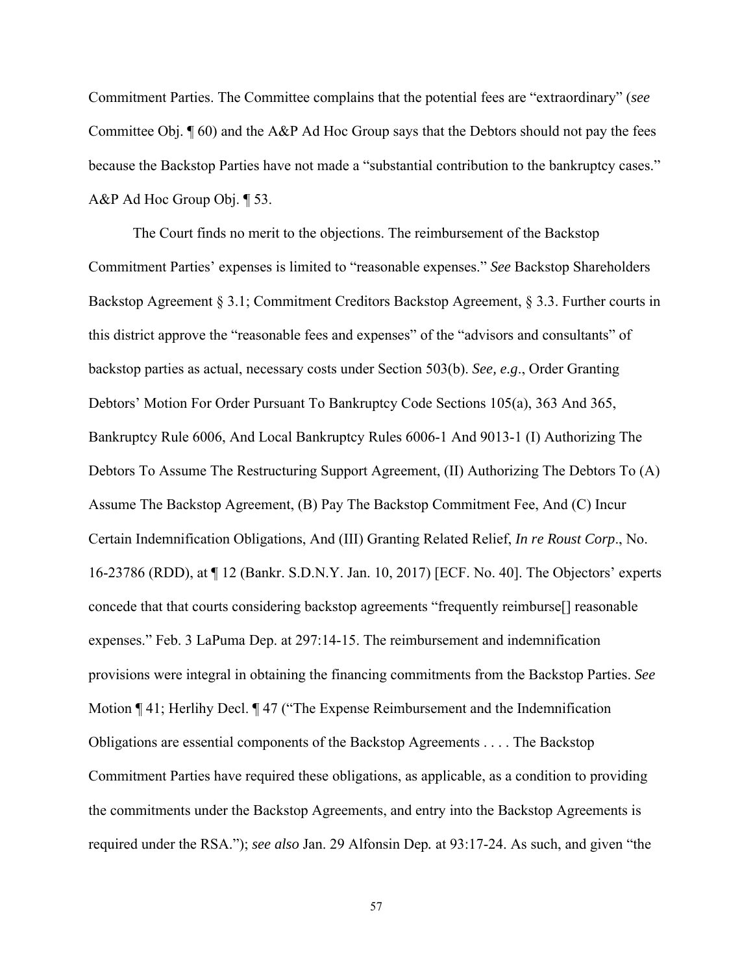Commitment Parties. The Committee complains that the potential fees are "extraordinary" (*see* Committee Obj. ¶ 60) and the A&P Ad Hoc Group says that the Debtors should not pay the fees because the Backstop Parties have not made a "substantial contribution to the bankruptcy cases." A&P Ad Hoc Group Obj. ¶ 53.

 The Court finds no merit to the objections. The reimbursement of the Backstop Commitment Parties' expenses is limited to "reasonable expenses." *See* Backstop Shareholders Backstop Agreement § 3.1; Commitment Creditors Backstop Agreement, § 3.3. Further courts in this district approve the "reasonable fees and expenses" of the "advisors and consultants" of backstop parties as actual, necessary costs under Section 503(b). *See, e.g*., Order Granting Debtors' Motion For Order Pursuant To Bankruptcy Code Sections 105(a), 363 And 365, Bankruptcy Rule 6006, And Local Bankruptcy Rules 6006-1 And 9013-1 (I) Authorizing The Debtors To Assume The Restructuring Support Agreement, (II) Authorizing The Debtors To (A) Assume The Backstop Agreement, (B) Pay The Backstop Commitment Fee, And (C) Incur Certain Indemnification Obligations, And (III) Granting Related Relief, *In re Roust Corp*., No. 16-23786 (RDD), at ¶ 12 (Bankr. S.D.N.Y. Jan. 10, 2017) [ECF. No. 40]. The Objectors' experts concede that that courts considering backstop agreements "frequently reimburse[] reasonable expenses." Feb. 3 LaPuma Dep. at 297:14-15. The reimbursement and indemnification provisions were integral in obtaining the financing commitments from the Backstop Parties. *See*  Motion ¶ 41; Herlihy Decl. ¶ 47 ("The Expense Reimbursement and the Indemnification Obligations are essential components of the Backstop Agreements . . . . The Backstop Commitment Parties have required these obligations, as applicable, as a condition to providing the commitments under the Backstop Agreements, and entry into the Backstop Agreements is required under the RSA."); *see also* Jan. 29 Alfonsin Dep*.* at 93:17-24. As such, and given "the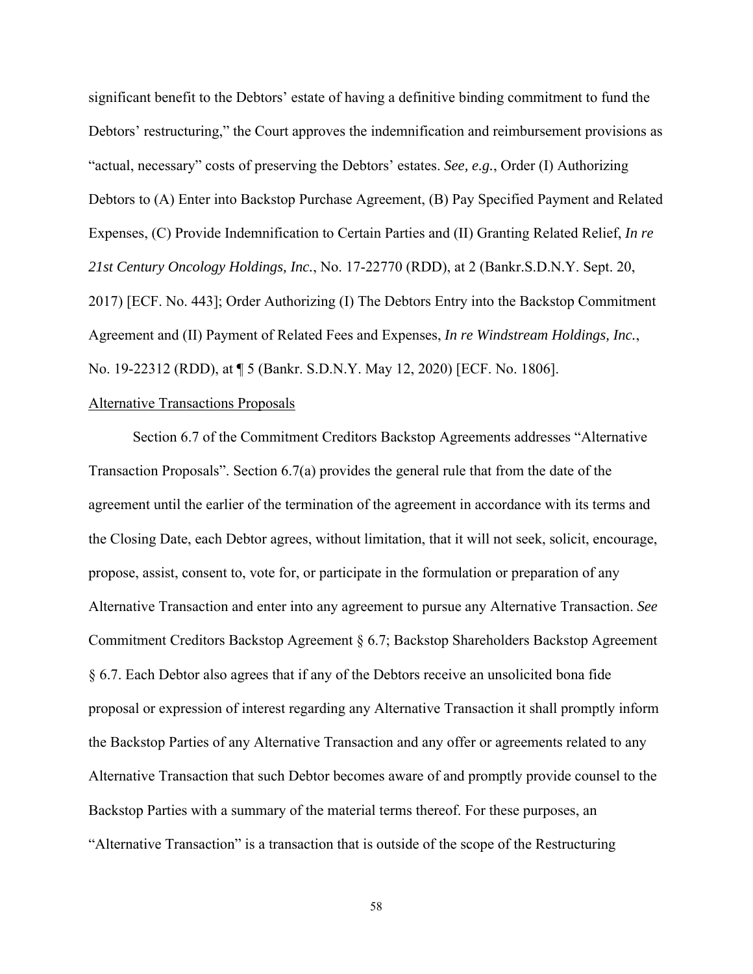significant benefit to the Debtors' estate of having a definitive binding commitment to fund the Debtors' restructuring," the Court approves the indemnification and reimbursement provisions as "actual, necessary" costs of preserving the Debtors' estates. *See, e.g.*, Order (I) Authorizing Debtors to (A) Enter into Backstop Purchase Agreement, (B) Pay Specified Payment and Related Expenses, (C) Provide Indemnification to Certain Parties and (II) Granting Related Relief, *In re 21st Century Oncology Holdings, Inc.*, No. 17-22770 (RDD), at 2 (Bankr.S.D.N.Y. Sept. 20, 2017) [ECF. No. 443]; Order Authorizing (I) The Debtors Entry into the Backstop Commitment Agreement and (II) Payment of Related Fees and Expenses, *In re Windstream Holdings, Inc.*, No. 19-22312 (RDD), at ¶ 5 (Bankr. S.D.N.Y. May 12, 2020) [ECF. No. 1806].

#### Alternative Transactions Proposals

 Section 6.7 of the Commitment Creditors Backstop Agreements addresses "Alternative Transaction Proposals". Section 6.7(a) provides the general rule that from the date of the agreement until the earlier of the termination of the agreement in accordance with its terms and the Closing Date, each Debtor agrees, without limitation, that it will not seek, solicit, encourage, propose, assist, consent to, vote for, or participate in the formulation or preparation of any Alternative Transaction and enter into any agreement to pursue any Alternative Transaction. *See*  Commitment Creditors Backstop Agreement § 6.7; Backstop Shareholders Backstop Agreement § 6.7. Each Debtor also agrees that if any of the Debtors receive an unsolicited bona fide proposal or expression of interest regarding any Alternative Transaction it shall promptly inform the Backstop Parties of any Alternative Transaction and any offer or agreements related to any Alternative Transaction that such Debtor becomes aware of and promptly provide counsel to the Backstop Parties with a summary of the material terms thereof. For these purposes, an "Alternative Transaction" is a transaction that is outside of the scope of the Restructuring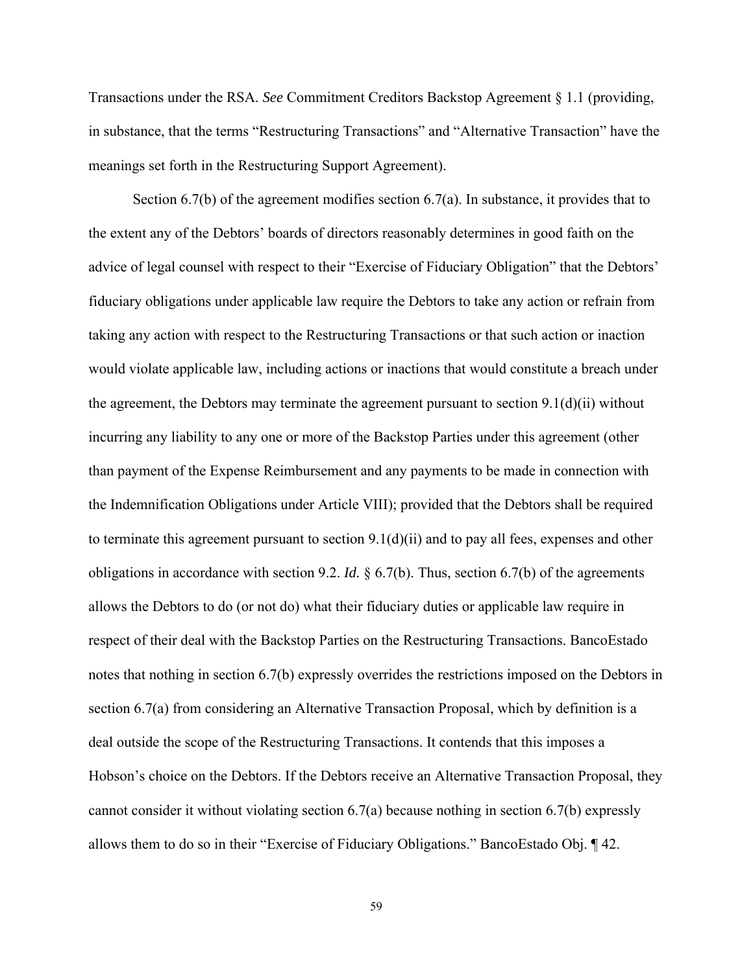Transactions under the RSA. *See* Commitment Creditors Backstop Agreement § 1.1 (providing, in substance, that the terms "Restructuring Transactions" and "Alternative Transaction" have the meanings set forth in the Restructuring Support Agreement).

 Section 6.7(b) of the agreement modifies section 6.7(a). In substance, it provides that to the extent any of the Debtors' boards of directors reasonably determines in good faith on the advice of legal counsel with respect to their "Exercise of Fiduciary Obligation" that the Debtors' fiduciary obligations under applicable law require the Debtors to take any action or refrain from taking any action with respect to the Restructuring Transactions or that such action or inaction would violate applicable law, including actions or inactions that would constitute a breach under the agreement, the Debtors may terminate the agreement pursuant to section  $9.1(d)(ii)$  without incurring any liability to any one or more of the Backstop Parties under this agreement (other than payment of the Expense Reimbursement and any payments to be made in connection with the Indemnification Obligations under Article VIII); provided that the Debtors shall be required to terminate this agreement pursuant to section  $9.1(d)(ii)$  and to pay all fees, expenses and other obligations in accordance with section 9.2. *Id.* § 6.7(b). Thus, section 6.7(b) of the agreements allows the Debtors to do (or not do) what their fiduciary duties or applicable law require in respect of their deal with the Backstop Parties on the Restructuring Transactions. BancoEstado notes that nothing in section 6.7(b) expressly overrides the restrictions imposed on the Debtors in section 6.7(a) from considering an Alternative Transaction Proposal, which by definition is a deal outside the scope of the Restructuring Transactions. It contends that this imposes a Hobson's choice on the Debtors. If the Debtors receive an Alternative Transaction Proposal, they cannot consider it without violating section 6.7(a) because nothing in section 6.7(b) expressly allows them to do so in their "Exercise of Fiduciary Obligations." BancoEstado Obj. ¶ 42.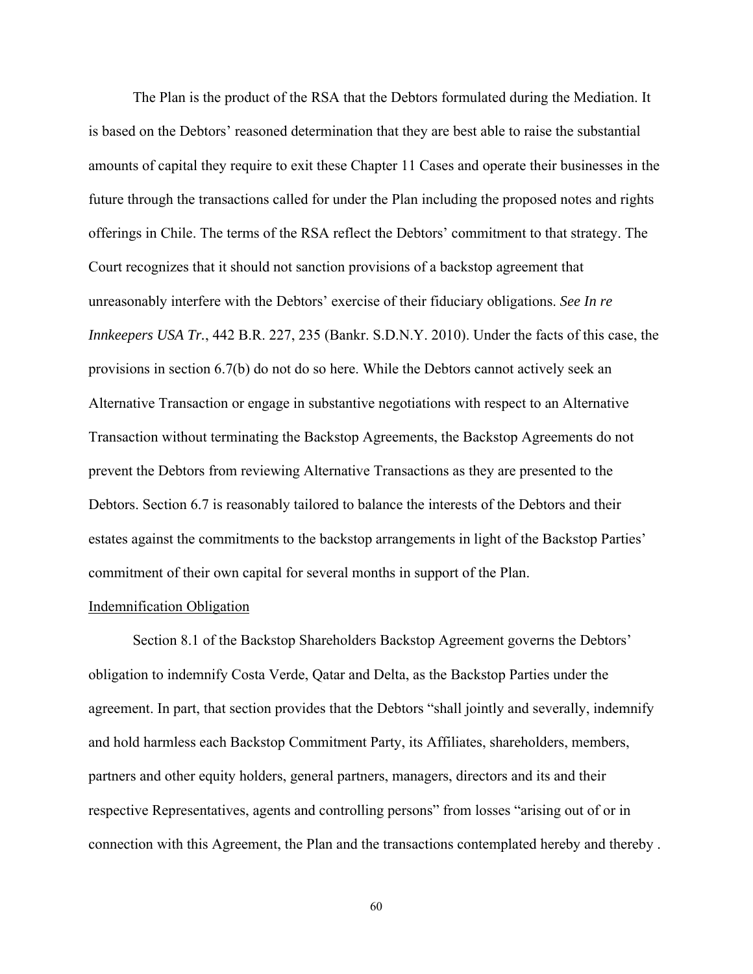The Plan is the product of the RSA that the Debtors formulated during the Mediation. It is based on the Debtors' reasoned determination that they are best able to raise the substantial amounts of capital they require to exit these Chapter 11 Cases and operate their businesses in the future through the transactions called for under the Plan including the proposed notes and rights offerings in Chile. The terms of the RSA reflect the Debtors' commitment to that strategy. The Court recognizes that it should not sanction provisions of a backstop agreement that unreasonably interfere with the Debtors' exercise of their fiduciary obligations. *See In re Innkeepers USA Tr.*, 442 B.R. 227, 235 (Bankr. S.D.N.Y. 2010). Under the facts of this case, the provisions in section 6.7(b) do not do so here. While the Debtors cannot actively seek an Alternative Transaction or engage in substantive negotiations with respect to an Alternative Transaction without terminating the Backstop Agreements, the Backstop Agreements do not prevent the Debtors from reviewing Alternative Transactions as they are presented to the Debtors. Section 6.7 is reasonably tailored to balance the interests of the Debtors and their estates against the commitments to the backstop arrangements in light of the Backstop Parties' commitment of their own capital for several months in support of the Plan.

### Indemnification Obligation

 Section 8.1 of the Backstop Shareholders Backstop Agreement governs the Debtors' obligation to indemnify Costa Verde, Qatar and Delta, as the Backstop Parties under the agreement. In part, that section provides that the Debtors "shall jointly and severally, indemnify and hold harmless each Backstop Commitment Party, its Affiliates, shareholders, members, partners and other equity holders, general partners, managers, directors and its and their respective Representatives, agents and controlling persons" from losses "arising out of or in connection with this Agreement, the Plan and the transactions contemplated hereby and thereby .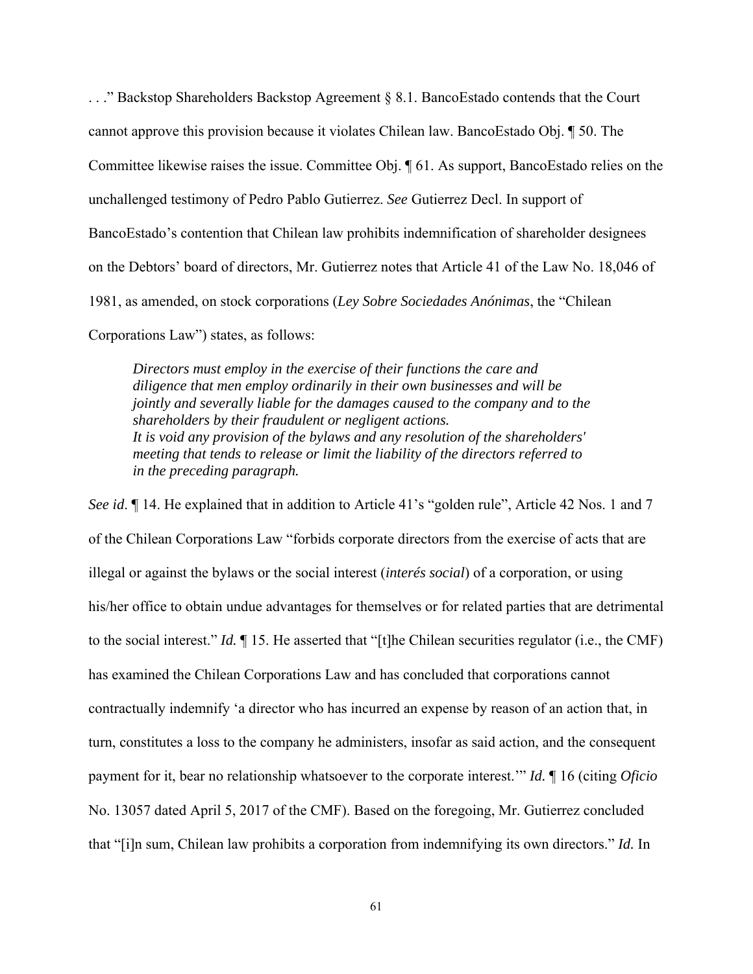. . ." Backstop Shareholders Backstop Agreement § 8.1. BancoEstado contends that the Court cannot approve this provision because it violates Chilean law. BancoEstado Obj. ¶ 50. The Committee likewise raises the issue. Committee Obj. ¶ 61. As support, BancoEstado relies on the unchallenged testimony of Pedro Pablo Gutierrez. *See* Gutierrez Decl. In support of BancoEstado's contention that Chilean law prohibits indemnification of shareholder designees on the Debtors' board of directors, Mr. Gutierrez notes that Article 41 of the Law No. 18,046 of 1981, as amended, on stock corporations (*Ley Sobre Sociedades Anónimas*, the "Chilean Corporations Law") states, as follows:

*Directors must employ in the exercise of their functions the care and diligence that men employ ordinarily in their own businesses and will be jointly and severally liable for the damages caused to the company and to the shareholders by their fraudulent or negligent actions. It is void any provision of the bylaws and any resolution of the shareholders' meeting that tends to release or limit the liability of the directors referred to in the preceding paragraph.*

*See id.* 14. He explained that in addition to Article 41's "golden rule", Article 42 Nos. 1 and 7 of the Chilean Corporations Law "forbids corporate directors from the exercise of acts that are illegal or against the bylaws or the social interest (*interés social*) of a corporation, or using his/her office to obtain undue advantages for themselves or for related parties that are detrimental to the social interest." *Id.* ¶ 15. He asserted that "[t]he Chilean securities regulator (i.e., the CMF) has examined the Chilean Corporations Law and has concluded that corporations cannot contractually indemnify 'a director who has incurred an expense by reason of an action that, in turn, constitutes a loss to the company he administers, insofar as said action, and the consequent payment for it, bear no relationship whatsoever to the corporate interest.'" *Id.* ¶ 16 (citing *Oficio*  No. 13057 dated April 5, 2017 of the CMF). Based on the foregoing, Mr. Gutierrez concluded that "[i]n sum, Chilean law prohibits a corporation from indemnifying its own directors." *Id.* In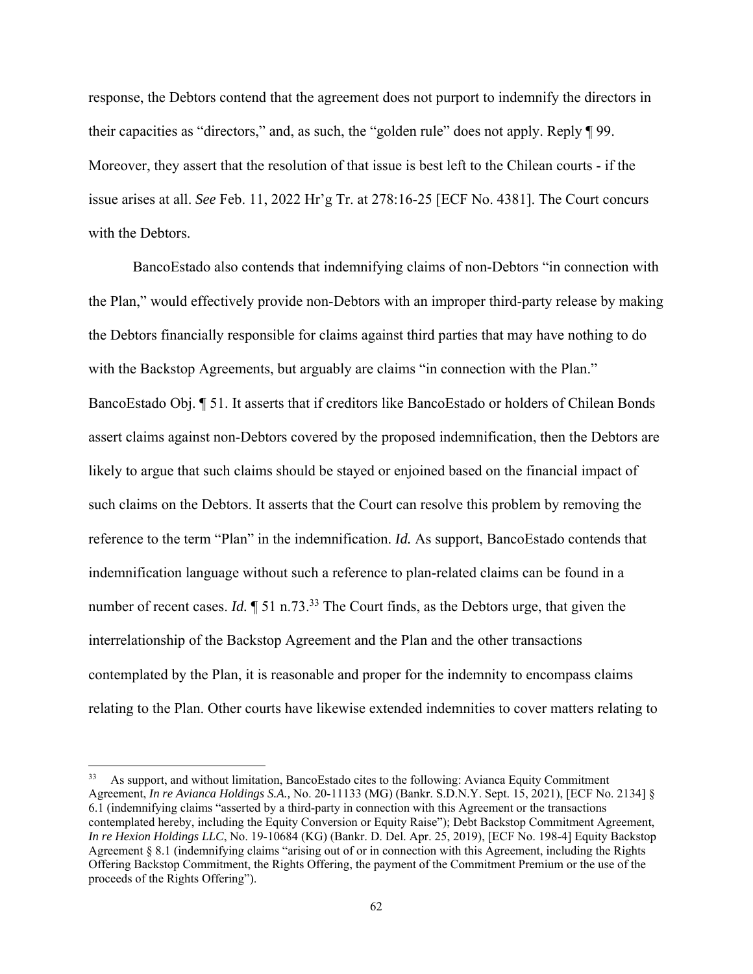response, the Debtors contend that the agreement does not purport to indemnify the directors in their capacities as "directors," and, as such, the "golden rule" does not apply. Reply ¶ 99. Moreover, they assert that the resolution of that issue is best left to the Chilean courts - if the issue arises at all. *See* Feb. 11, 2022 Hr'g Tr. at 278:16-25 [ECF No. 4381]. The Court concurs with the Debtors.

 BancoEstado also contends that indemnifying claims of non-Debtors "in connection with the Plan," would effectively provide non-Debtors with an improper third-party release by making the Debtors financially responsible for claims against third parties that may have nothing to do with the Backstop Agreements, but arguably are claims "in connection with the Plan." BancoEstado Obj. ¶ 51. It asserts that if creditors like BancoEstado or holders of Chilean Bonds assert claims against non-Debtors covered by the proposed indemnification, then the Debtors are likely to argue that such claims should be stayed or enjoined based on the financial impact of such claims on the Debtors. It asserts that the Court can resolve this problem by removing the reference to the term "Plan" in the indemnification. *Id.* As support, BancoEstado contends that indemnification language without such a reference to plan-related claims can be found in a number of recent cases. *Id.*  $\sqrt{ }$  51 n.73.<sup>33</sup> The Court finds, as the Debtors urge, that given the interrelationship of the Backstop Agreement and the Plan and the other transactions contemplated by the Plan, it is reasonable and proper for the indemnity to encompass claims relating to the Plan. Other courts have likewise extended indemnities to cover matters relating to

<sup>&</sup>lt;sup>33</sup> As support, and without limitation, BancoEstado cites to the following: Avianca Equity Commitment Agreement, *In re Avianca Holdings S.A.,* No. 20-11133 (MG) (Bankr. S.D.N.Y. Sept. 15, 2021), [ECF No. 2134] § 6.1 (indemnifying claims "asserted by a third-party in connection with this Agreement or the transactions contemplated hereby, including the Equity Conversion or Equity Raise"); Debt Backstop Commitment Agreement, *In re Hexion Holdings LLC*, No. 19-10684 (KG) (Bankr. D. Del. Apr. 25, 2019), [ECF No. 198-4] Equity Backstop Agreement § 8.1 (indemnifying claims "arising out of or in connection with this Agreement, including the Rights Offering Backstop Commitment, the Rights Offering, the payment of the Commitment Premium or the use of the proceeds of the Rights Offering").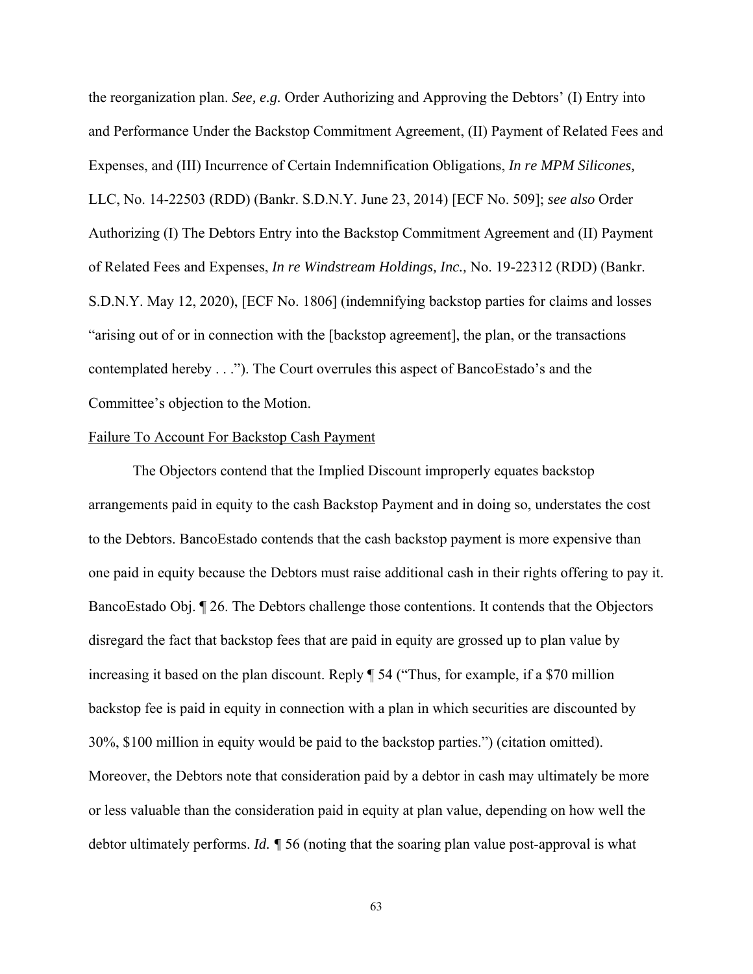the reorganization plan. *See, e.g.* Order Authorizing and Approving the Debtors' (I) Entry into and Performance Under the Backstop Commitment Agreement, (II) Payment of Related Fees and Expenses, and (III) Incurrence of Certain Indemnification Obligations, *In re MPM Silicones,*  LLC, No. 14-22503 (RDD) (Bankr. S.D.N.Y. June 23, 2014) [ECF No. 509]; *see also* Order Authorizing (I) The Debtors Entry into the Backstop Commitment Agreement and (II) Payment of Related Fees and Expenses, *In re Windstream Holdings, Inc.,* No. 19-22312 (RDD) (Bankr. S.D.N.Y. May 12, 2020), [ECF No. 1806] (indemnifying backstop parties for claims and losses "arising out of or in connection with the [backstop agreement], the plan, or the transactions contemplated hereby . . ."). The Court overrules this aspect of BancoEstado's and the Committee's objection to the Motion.

## Failure To Account For Backstop Cash Payment

The Objectors contend that the Implied Discount improperly equates backstop arrangements paid in equity to the cash Backstop Payment and in doing so, understates the cost to the Debtors. BancoEstado contends that the cash backstop payment is more expensive than one paid in equity because the Debtors must raise additional cash in their rights offering to pay it. BancoEstado Obj. ¶ 26. The Debtors challenge those contentions. It contends that the Objectors disregard the fact that backstop fees that are paid in equity are grossed up to plan value by increasing it based on the plan discount. Reply ¶ 54 ("Thus, for example, if a \$70 million backstop fee is paid in equity in connection with a plan in which securities are discounted by 30%, \$100 million in equity would be paid to the backstop parties.") (citation omitted). Moreover, the Debtors note that consideration paid by a debtor in cash may ultimately be more or less valuable than the consideration paid in equity at plan value, depending on how well the debtor ultimately performs. *Id. ¶* 56 (noting that the soaring plan value post-approval is what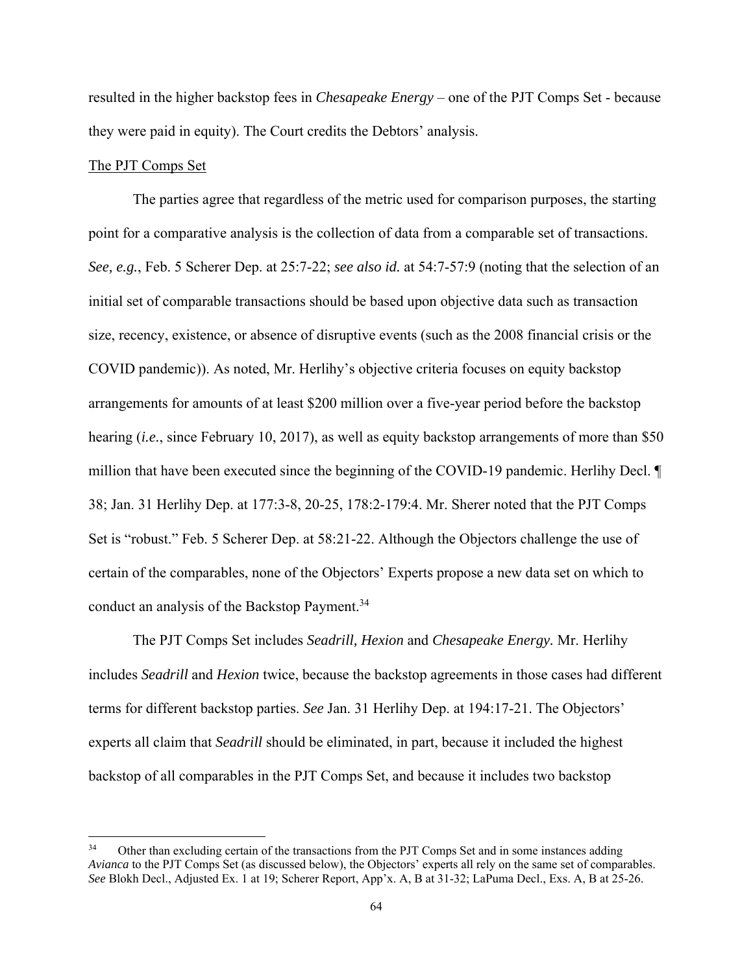resulted in the higher backstop fees in *Chesapeake Energy* – one of the PJT Comps Set - because they were paid in equity). The Court credits the Debtors' analysis.

# The PJT Comps Set

 The parties agree that regardless of the metric used for comparison purposes, the starting point for a comparative analysis is the collection of data from a comparable set of transactions. *See, e.g.*, Feb. 5 Scherer Dep. at 25:7-22; *see also id.* at 54:7-57:9 (noting that the selection of an initial set of comparable transactions should be based upon objective data such as transaction size, recency, existence, or absence of disruptive events (such as the 2008 financial crisis or the COVID pandemic)). As noted, Mr. Herlihy's objective criteria focuses on equity backstop arrangements for amounts of at least \$200 million over a five-year period before the backstop hearing (*i.e.*, since February 10, 2017), as well as equity backstop arrangements of more than \$50 million that have been executed since the beginning of the COVID-19 pandemic. Herlihy Decl. ¶ 38; Jan. 31 Herlihy Dep. at 177:3-8, 20-25, 178:2-179:4. Mr. Sherer noted that the PJT Comps Set is "robust." Feb. 5 Scherer Dep. at 58:21-22. Although the Objectors challenge the use of certain of the comparables, none of the Objectors' Experts propose a new data set on which to conduct an analysis of the Backstop Payment.<sup>34</sup>

 The PJT Comps Set includes *Seadrill, Hexion* and *Chesapeake Energy.* Mr. Herlihy includes *Seadrill* and *Hexion* twice, because the backstop agreements in those cases had different terms for different backstop parties. *See* Jan. 31 Herlihy Dep. at 194:17-21. The Objectors' experts all claim that *Seadrill* should be eliminated, in part, because it included the highest backstop of all comparables in the PJT Comps Set, and because it includes two backstop

<sup>&</sup>lt;sup>34</sup> Other than excluding certain of the transactions from the PJT Comps Set and in some instances adding *Avianca* to the PJT Comps Set (as discussed below), the Objectors' experts all rely on the same set of comparables. *See* Blokh Decl., Adjusted Ex. 1 at 19; Scherer Report, App'x. A, B at 31-32; LaPuma Decl., Exs. A, B at 25-26.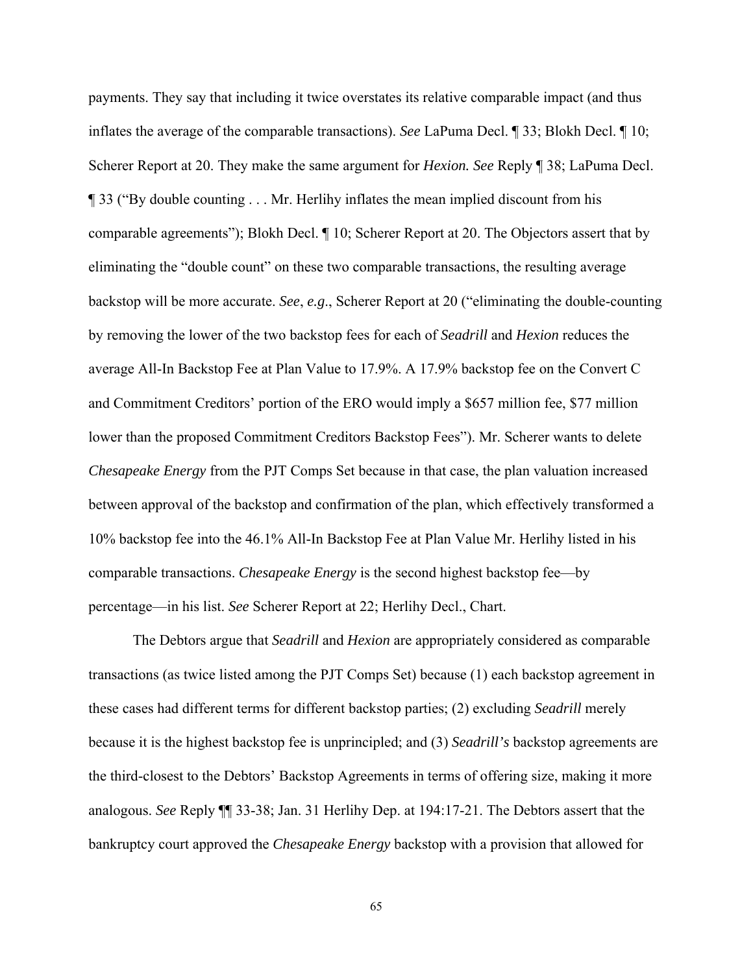payments. They say that including it twice overstates its relative comparable impact (and thus inflates the average of the comparable transactions). *See* LaPuma Decl. ¶ 33; Blokh Decl. ¶ 10; Scherer Report at 20. They make the same argument for *Hexion. See* Reply ¶ 38; LaPuma Decl. ¶ 33 ("By double counting . . . Mr. Herlihy inflates the mean implied discount from his comparable agreements"); Blokh Decl. ¶ 10; Scherer Report at 20. The Objectors assert that by eliminating the "double count" on these two comparable transactions, the resulting average backstop will be more accurate. *See*, *e.g*., Scherer Report at 20 ("eliminating the double-counting by removing the lower of the two backstop fees for each of *Seadrill* and *Hexion* reduces the average All-In Backstop Fee at Plan Value to 17.9%. A 17.9% backstop fee on the Convert C and Commitment Creditors' portion of the ERO would imply a \$657 million fee, \$77 million lower than the proposed Commitment Creditors Backstop Fees"). Mr. Scherer wants to delete *Chesapeake Energy* from the PJT Comps Set because in that case, the plan valuation increased between approval of the backstop and confirmation of the plan, which effectively transformed a 10% backstop fee into the 46.1% All-In Backstop Fee at Plan Value Mr. Herlihy listed in his comparable transactions. *Chesapeake Energy* is the second highest backstop fee—by percentage—in his list. *See* Scherer Report at 22; Herlihy Decl., Chart.

 The Debtors argue that *Seadrill* and *Hexion* are appropriately considered as comparable transactions (as twice listed among the PJT Comps Set) because (1) each backstop agreement in these cases had different terms for different backstop parties; (2) excluding *Seadrill* merely because it is the highest backstop fee is unprincipled; and (3) *Seadrill's* backstop agreements are the third-closest to the Debtors' Backstop Agreements in terms of offering size, making it more analogous. *See* Reply ¶¶ 33-38; Jan. 31 Herlihy Dep. at 194:17-21. The Debtors assert that the bankruptcy court approved the *Chesapeake Energy* backstop with a provision that allowed for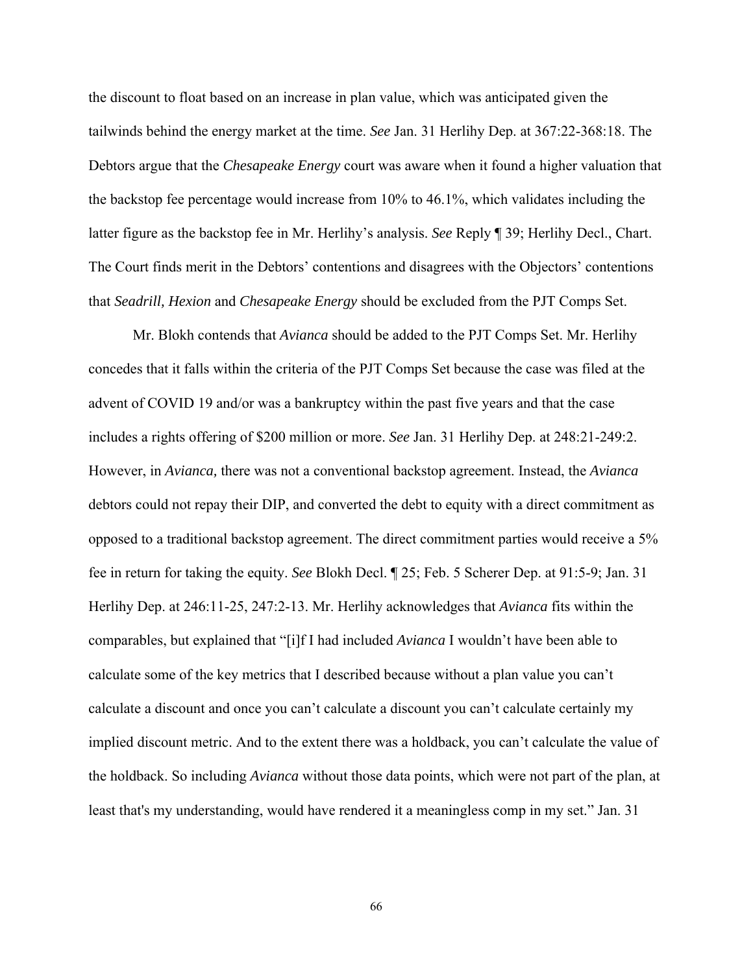the discount to float based on an increase in plan value, which was anticipated given the tailwinds behind the energy market at the time. *See* Jan. 31 Herlihy Dep. at 367:22-368:18. The Debtors argue that the *Chesapeake Energy* court was aware when it found a higher valuation that the backstop fee percentage would increase from 10% to 46.1%, which validates including the latter figure as the backstop fee in Mr. Herlihy's analysis. *See* Reply ¶ 39; Herlihy Decl., Chart. The Court finds merit in the Debtors' contentions and disagrees with the Objectors' contentions that *Seadrill, Hexion* and *Chesapeake Energy* should be excluded from the PJT Comps Set.

 Mr. Blokh contends that *Avianca* should be added to the PJT Comps Set. Mr. Herlihy concedes that it falls within the criteria of the PJT Comps Set because the case was filed at the advent of COVID 19 and/or was a bankruptcy within the past five years and that the case includes a rights offering of \$200 million or more. *See* Jan. 31 Herlihy Dep. at 248:21-249:2. However, in *Avianca,* there was not a conventional backstop agreement. Instead, the *Avianca* debtors could not repay their DIP, and converted the debt to equity with a direct commitment as opposed to a traditional backstop agreement. The direct commitment parties would receive a 5% fee in return for taking the equity. *See* Blokh Decl. ¶ 25; Feb. 5 Scherer Dep. at 91:5-9; Jan. 31 Herlihy Dep. at 246:11-25, 247:2-13. Mr. Herlihy acknowledges that *Avianca* fits within the comparables, but explained that "[i]f I had included *Avianca* I wouldn't have been able to calculate some of the key metrics that I described because without a plan value you can't calculate a discount and once you can't calculate a discount you can't calculate certainly my implied discount metric. And to the extent there was a holdback, you can't calculate the value of the holdback. So including *Avianca* without those data points, which were not part of the plan, at least that's my understanding, would have rendered it a meaningless comp in my set." Jan. 31

66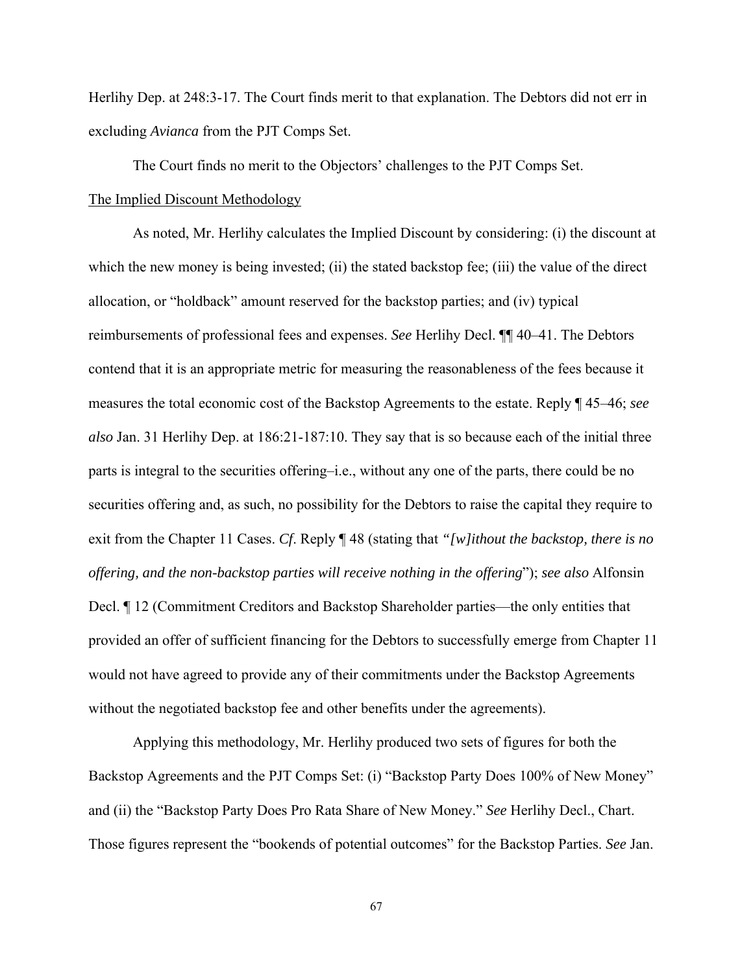Herlihy Dep. at 248:3-17. The Court finds merit to that explanation. The Debtors did not err in excluding *Avianca* from the PJT Comps Set.

The Court finds no merit to the Objectors' challenges to the PJT Comps Set.

# The Implied Discount Methodology

 As noted, Mr. Herlihy calculates the Implied Discount by considering: (i) the discount at which the new money is being invested; (ii) the stated backstop fee; (iii) the value of the direct allocation, or "holdback" amount reserved for the backstop parties; and (iv) typical reimbursements of professional fees and expenses. *See* Herlihy Decl. ¶¶ 40–41. The Debtors contend that it is an appropriate metric for measuring the reasonableness of the fees because it measures the total economic cost of the Backstop Agreements to the estate. Reply ¶ 45–46; *see also* Jan. 31 Herlihy Dep. at 186:21-187:10. They say that is so because each of the initial three parts is integral to the securities offering–i.e., without any one of the parts, there could be no securities offering and, as such, no possibility for the Debtors to raise the capital they require to exit from the Chapter 11 Cases. *Cf*. Reply ¶ 48 (stating that *"[w]ithout the backstop, there is no offering, and the non-backstop parties will receive nothing in the offering*"); *see also* Alfonsin Decl. ¶ 12 (Commitment Creditors and Backstop Shareholder parties—the only entities that provided an offer of sufficient financing for the Debtors to successfully emerge from Chapter 11 would not have agreed to provide any of their commitments under the Backstop Agreements without the negotiated backstop fee and other benefits under the agreements).

Applying this methodology, Mr. Herlihy produced two sets of figures for both the Backstop Agreements and the PJT Comps Set: (i) "Backstop Party Does 100% of New Money" and (ii) the "Backstop Party Does Pro Rata Share of New Money." *See* Herlihy Decl., Chart. Those figures represent the "bookends of potential outcomes" for the Backstop Parties. *See* Jan.

67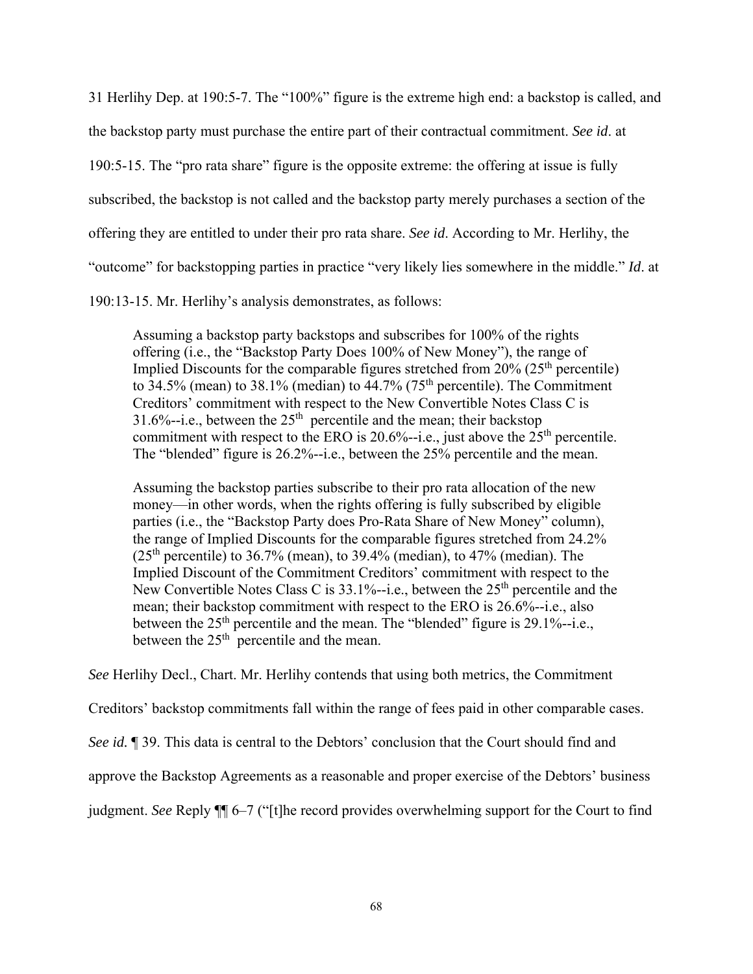31 Herlihy Dep. at 190:5-7. The "100%" figure is the extreme high end: a backstop is called, and the backstop party must purchase the entire part of their contractual commitment. *See id*. at 190:5-15. The "pro rata share" figure is the opposite extreme: the offering at issue is fully subscribed, the backstop is not called and the backstop party merely purchases a section of the offering they are entitled to under their pro rata share. *See id*. According to Mr. Herlihy, the "outcome" for backstopping parties in practice "very likely lies somewhere in the middle." *Id*. at

190:13-15. Mr. Herlihy's analysis demonstrates, as follows:

Assuming a backstop party backstops and subscribes for 100% of the rights offering (i.e., the "Backstop Party Does 100% of New Money"), the range of Implied Discounts for the comparable figures stretched from  $20\%$  ( $25<sup>th</sup>$  percentile) to  $34.5\%$  (mean) to  $38.1\%$  (median) to  $44.7\%$  ( $75<sup>th</sup>$  percentile). The Commitment Creditors' commitment with respect to the New Convertible Notes Class C is 31.6%--i.e., between the  $25<sup>th</sup>$  percentile and the mean; their backstop commitment with respect to the ERO is  $20.6\%$ --i.e., just above the  $25<sup>th</sup>$  percentile. The "blended" figure is 26.2%--i.e., between the 25% percentile and the mean.

Assuming the backstop parties subscribe to their pro rata allocation of the new money—in other words, when the rights offering is fully subscribed by eligible parties (i.e., the "Backstop Party does Pro-Rata Share of New Money" column), the range of Implied Discounts for the comparable figures stretched from 24.2%  $(25<sup>th</sup>$  percentile) to 36.7% (mean), to 39.4% (median), to 47% (median). The Implied Discount of the Commitment Creditors' commitment with respect to the New Convertible Notes Class C is  $33.1\%$ --i.e., between the  $25<sup>th</sup>$  percentile and the mean; their backstop commitment with respect to the ERO is 26.6%--i.e., also between the  $25<sup>th</sup>$  percentile and the mean. The "blended" figure is 29.1%--i.e., between the  $25<sup>th</sup>$  percentile and the mean.

*See* Herlihy Decl., Chart. Mr. Herlihy contends that using both metrics, the Commitment

Creditors' backstop commitments fall within the range of fees paid in other comparable cases.

*See id.* ¶ 39. This data is central to the Debtors' conclusion that the Court should find and

approve the Backstop Agreements as a reasonable and proper exercise of the Debtors' business

judgment. *See* Reply ¶¶ 6–7 ("[t]he record provides overwhelming support for the Court to find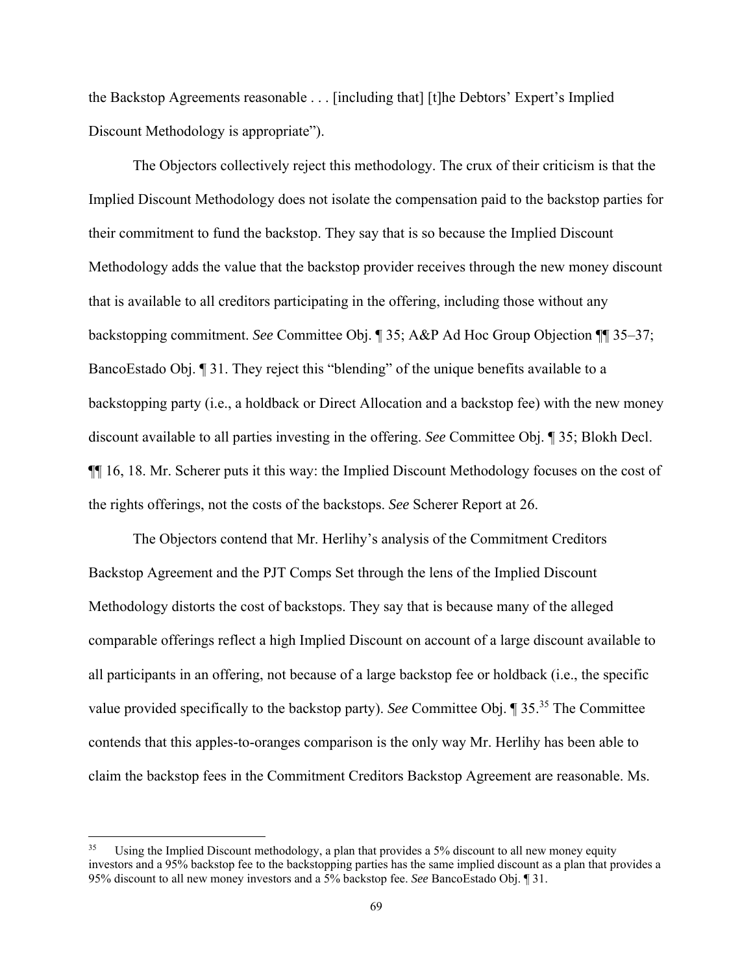the Backstop Agreements reasonable . . . [including that] [t]he Debtors' Expert's Implied Discount Methodology is appropriate").

The Objectors collectively reject this methodology. The crux of their criticism is that the Implied Discount Methodology does not isolate the compensation paid to the backstop parties for their commitment to fund the backstop. They say that is so because the Implied Discount Methodology adds the value that the backstop provider receives through the new money discount that is available to all creditors participating in the offering, including those without any backstopping commitment. *See* Committee Obj. ¶ 35; A&P Ad Hoc Group Objection ¶¶ 35–37; BancoEstado Obj. ¶ 31. They reject this "blending" of the unique benefits available to a backstopping party (i.e., a holdback or Direct Allocation and a backstop fee) with the new money discount available to all parties investing in the offering. *See* Committee Obj. ¶ 35; Blokh Decl. ¶¶ 16, 18. Mr. Scherer puts it this way: the Implied Discount Methodology focuses on the cost of the rights offerings, not the costs of the backstops. *See* Scherer Report at 26.

The Objectors contend that Mr. Herlihy's analysis of the Commitment Creditors Backstop Agreement and the PJT Comps Set through the lens of the Implied Discount Methodology distorts the cost of backstops. They say that is because many of the alleged comparable offerings reflect a high Implied Discount on account of a large discount available to all participants in an offering, not because of a large backstop fee or holdback (i.e., the specific value provided specifically to the backstop party). *See* Committee Obj. ¶ 35.35 The Committee contends that this apples-to-oranges comparison is the only way Mr. Herlihy has been able to claim the backstop fees in the Commitment Creditors Backstop Agreement are reasonable. Ms.

<sup>&</sup>lt;sup>35</sup> Using the Implied Discount methodology, a plan that provides a 5% discount to all new money equity investors and a 95% backstop fee to the backstopping parties has the same implied discount as a plan that provides a 95% discount to all new money investors and a 5% backstop fee. *See* BancoEstado Obj. ¶ 31.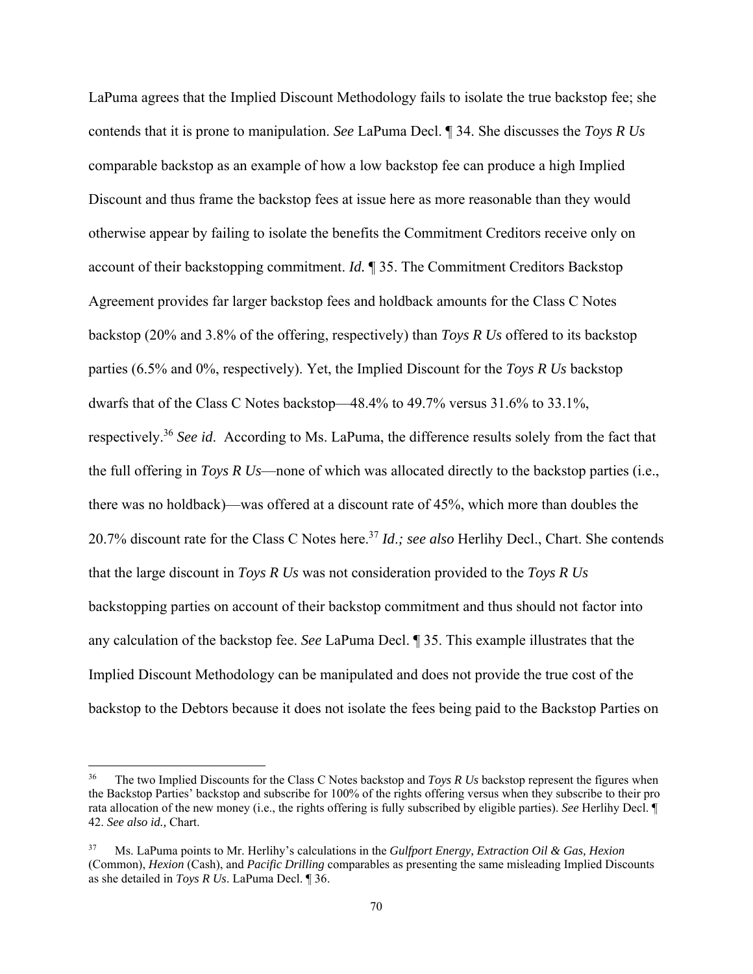LaPuma agrees that the Implied Discount Methodology fails to isolate the true backstop fee; she contends that it is prone to manipulation. *See* LaPuma Decl. ¶ 34. She discusses the *Toys R Us* comparable backstop as an example of how a low backstop fee can produce a high Implied Discount and thus frame the backstop fees at issue here as more reasonable than they would otherwise appear by failing to isolate the benefits the Commitment Creditors receive only on account of their backstopping commitment. *Id.* ¶ 35. The Commitment Creditors Backstop Agreement provides far larger backstop fees and holdback amounts for the Class C Notes backstop (20% and 3.8% of the offering, respectively) than *Toys R Us* offered to its backstop parties (6.5% and 0%, respectively). Yet, the Implied Discount for the *Toys R Us* backstop dwarfs that of the Class C Notes backstop—48.4% to 49.7% versus 31.6% to 33.1%, respectively.36 *See id*. According to Ms. LaPuma, the difference results solely from the fact that the full offering in *Toys R Us*—none of which was allocated directly to the backstop parties (i.e., there was no holdback)—was offered at a discount rate of 45%, which more than doubles the 20.7% discount rate for the Class C Notes here.37 *Id*.*; see also* Herlihy Decl., Chart. She contends that the large discount in *Toys R Us* was not consideration provided to the *Toys R Us* backstopping parties on account of their backstop commitment and thus should not factor into any calculation of the backstop fee. *See* LaPuma Decl. ¶ 35. This example illustrates that the Implied Discount Methodology can be manipulated and does not provide the true cost of the backstop to the Debtors because it does not isolate the fees being paid to the Backstop Parties on

<sup>&</sup>lt;sup>36</sup> The two Implied Discounts for the Class C Notes backstop and *Toys R Us* backstop represent the figures when the Backstop Parties' backstop and subscribe for 100% of the rights offering versus when they subscribe to their pro rata allocation of the new money (i.e., the rights offering is fully subscribed by eligible parties). *See* Herlihy Decl. ¶ 42. *See also id.,* Chart.

<sup>37</sup> Ms. LaPuma points to Mr. Herlihy's calculations in the *Gulfport Energy, Extraction Oil & Gas, Hexion* (Common), *Hexion* (Cash), and *Pacific Drilling* comparables as presenting the same misleading Implied Discounts as she detailed in *Toys R Us*. LaPuma Decl. ¶ 36.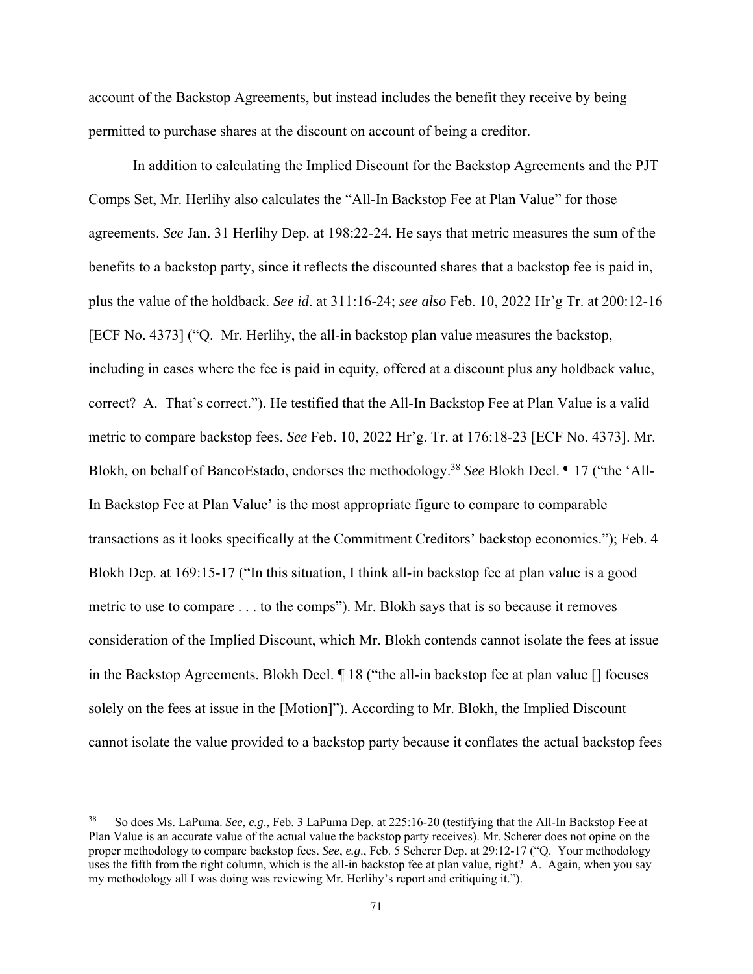account of the Backstop Agreements, but instead includes the benefit they receive by being permitted to purchase shares at the discount on account of being a creditor.

In addition to calculating the Implied Discount for the Backstop Agreements and the PJT Comps Set, Mr. Herlihy also calculates the "All-In Backstop Fee at Plan Value" for those agreements. *See* Jan. 31 Herlihy Dep. at 198:22-24. He says that metric measures the sum of the benefits to a backstop party, since it reflects the discounted shares that a backstop fee is paid in, plus the value of the holdback. *See id*. at 311:16-24; *see also* Feb. 10, 2022 Hr'g Tr. at 200:12-16 [ECF No. 4373] ("Q. Mr. Herlihy, the all-in backstop plan value measures the backstop, including in cases where the fee is paid in equity, offered at a discount plus any holdback value, correct? A. That's correct."). He testified that the All-In Backstop Fee at Plan Value is a valid metric to compare backstop fees. *See* Feb. 10, 2022 Hr'g. Tr. at 176:18-23 [ECF No. 4373]. Mr. Blokh, on behalf of BancoEstado, endorses the methodology.38 *See* Blokh Decl. ¶ 17 ("the 'All-In Backstop Fee at Plan Value' is the most appropriate figure to compare to comparable transactions as it looks specifically at the Commitment Creditors' backstop economics."); Feb. 4 Blokh Dep. at 169:15-17 ("In this situation, I think all-in backstop fee at plan value is a good metric to use to compare . . . to the comps"). Mr. Blokh says that is so because it removes consideration of the Implied Discount, which Mr. Blokh contends cannot isolate the fees at issue in the Backstop Agreements. Blokh Decl. ¶ 18 ("the all-in backstop fee at plan value [] focuses solely on the fees at issue in the [Motion]"). According to Mr. Blokh, the Implied Discount cannot isolate the value provided to a backstop party because it conflates the actual backstop fees

<sup>38</sup> So does Ms. LaPuma. *See*, *e.g*., Feb. 3 LaPuma Dep. at 225:16-20 (testifying that the All-In Backstop Fee at Plan Value is an accurate value of the actual value the backstop party receives). Mr. Scherer does not opine on the proper methodology to compare backstop fees. *See*, *e.g*., Feb. 5 Scherer Dep. at 29:12-17 ("Q. Your methodology uses the fifth from the right column, which is the all-in backstop fee at plan value, right? A. Again, when you say my methodology all I was doing was reviewing Mr. Herlihy's report and critiquing it.").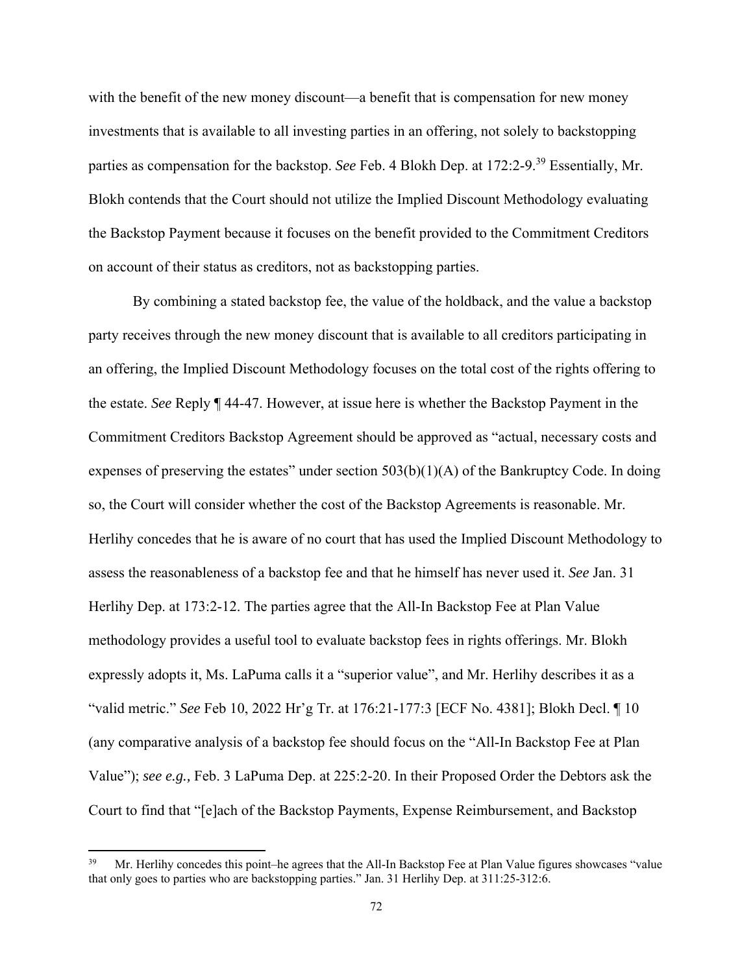with the benefit of the new money discount—a benefit that is compensation for new money investments that is available to all investing parties in an offering, not solely to backstopping parties as compensation for the backstop. *See* Feb. 4 Blokh Dep. at 172:2-9.39 Essentially, Mr. Blokh contends that the Court should not utilize the Implied Discount Methodology evaluating the Backstop Payment because it focuses on the benefit provided to the Commitment Creditors on account of their status as creditors, not as backstopping parties.

By combining a stated backstop fee, the value of the holdback, and the value a backstop party receives through the new money discount that is available to all creditors participating in an offering, the Implied Discount Methodology focuses on the total cost of the rights offering to the estate. *See* Reply ¶ 44-47. However, at issue here is whether the Backstop Payment in the Commitment Creditors Backstop Agreement should be approved as "actual, necessary costs and expenses of preserving the estates" under section  $503(b)(1)(A)$  of the Bankruptcy Code. In doing so, the Court will consider whether the cost of the Backstop Agreements is reasonable. Mr. Herlihy concedes that he is aware of no court that has used the Implied Discount Methodology to assess the reasonableness of a backstop fee and that he himself has never used it. *See* Jan. 31 Herlihy Dep. at 173:2-12. The parties agree that the All-In Backstop Fee at Plan Value methodology provides a useful tool to evaluate backstop fees in rights offerings. Mr. Blokh expressly adopts it, Ms. LaPuma calls it a "superior value", and Mr. Herlihy describes it as a "valid metric." *See* Feb 10, 2022 Hr'g Tr. at 176:21-177:3 [ECF No. 4381]; Blokh Decl. ¶ 10 (any comparative analysis of a backstop fee should focus on the "All-In Backstop Fee at Plan Value"); *see e.g.,* Feb. 3 LaPuma Dep. at 225:2-20. In their Proposed Order the Debtors ask the Court to find that "[e]ach of the Backstop Payments, Expense Reimbursement, and Backstop

<sup>39</sup> Mr. Herlihy concedes this point–he agrees that the All-In Backstop Fee at Plan Value figures showcases "value that only goes to parties who are backstopping parties." Jan. 31 Herlihy Dep. at 311:25-312:6.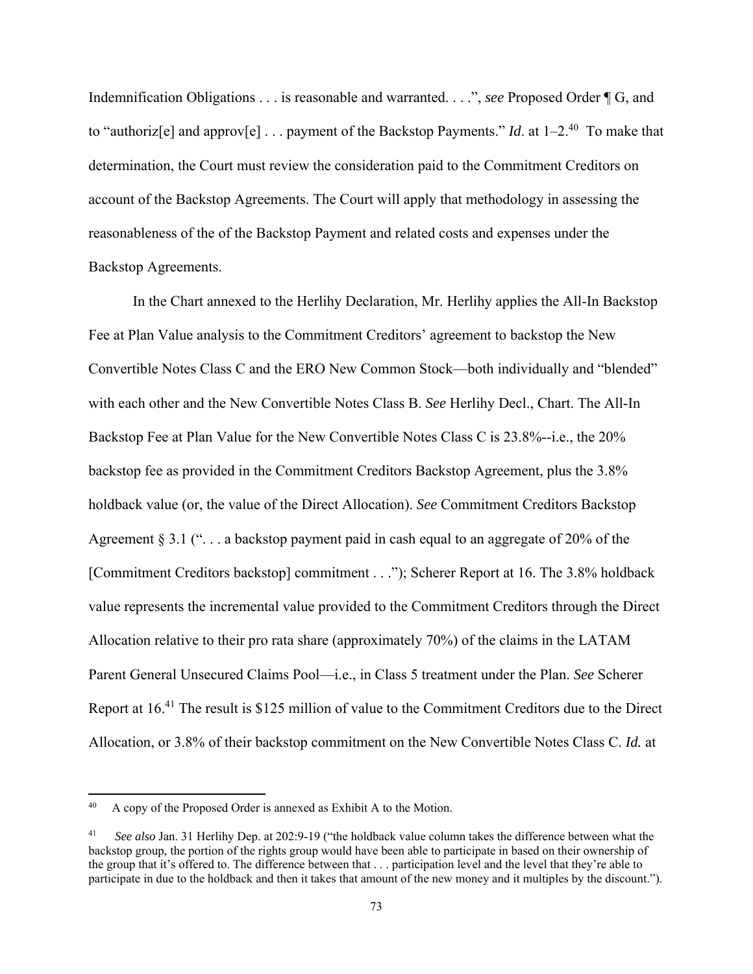Indemnification Obligations . . . is reasonable and warranted. . . .", *see* Proposed Order ¶ G, and to "authoriz<sup>[e]</sup> and approv<sup>[e]</sup> . . . payment of the Backstop Payments." *Id*. at  $1-2^{40}$  To make that determination, the Court must review the consideration paid to the Commitment Creditors on account of the Backstop Agreements. The Court will apply that methodology in assessing the reasonableness of the of the Backstop Payment and related costs and expenses under the Backstop Agreements.

In the Chart annexed to the Herlihy Declaration, Mr. Herlihy applies the All-In Backstop Fee at Plan Value analysis to the Commitment Creditors' agreement to backstop the New Convertible Notes Class C and the ERO New Common Stock—both individually and "blended" with each other and the New Convertible Notes Class B. *See* Herlihy Decl., Chart. The All-In Backstop Fee at Plan Value for the New Convertible Notes Class C is 23.8%--i.e., the 20% backstop fee as provided in the Commitment Creditors Backstop Agreement, plus the 3.8% holdback value (or, the value of the Direct Allocation). *See* Commitment Creditors Backstop Agreement § 3.1 (" $\dots$  a backstop payment paid in cash equal to an aggregate of 20% of the [Commitment Creditors backstop] commitment . . ."); Scherer Report at 16. The 3.8% holdback value represents the incremental value provided to the Commitment Creditors through the Direct Allocation relative to their pro rata share (approximately 70%) of the claims in the LATAM Parent General Unsecured Claims Pool—i.e., in Class 5 treatment under the Plan. *See* Scherer Report at 16.41 The result is \$125 million of value to the Commitment Creditors due to the Direct Allocation, or 3.8% of their backstop commitment on the New Convertible Notes Class C. *Id.* at

<sup>40</sup> A copy of the Proposed Order is annexed as Exhibit A to the Motion.

<sup>41</sup> *See also* Jan. 31 Herlihy Dep. at 202:9-19 ("the holdback value column takes the difference between what the backstop group, the portion of the rights group would have been able to participate in based on their ownership of the group that it's offered to. The difference between that . . . participation level and the level that they're able to participate in due to the holdback and then it takes that amount of the new money and it multiples by the discount.").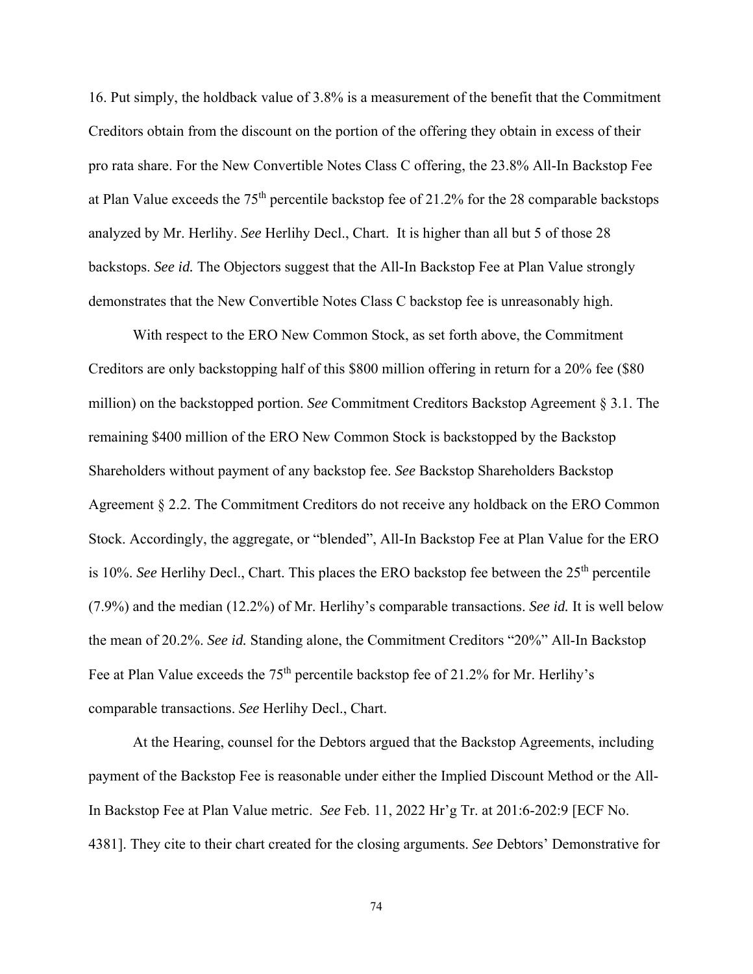16. Put simply, the holdback value of 3.8% is a measurement of the benefit that the Commitment Creditors obtain from the discount on the portion of the offering they obtain in excess of their pro rata share. For the New Convertible Notes Class C offering, the 23.8% All-In Backstop Fee at Plan Value exceeds the 75th percentile backstop fee of 21.2% for the 28 comparable backstops analyzed by Mr. Herlihy. *See* Herlihy Decl., Chart. It is higher than all but 5 of those 28 backstops. *See id.* The Objectors suggest that the All-In Backstop Fee at Plan Value strongly demonstrates that the New Convertible Notes Class C backstop fee is unreasonably high.

 With respect to the ERO New Common Stock, as set forth above, the Commitment Creditors are only backstopping half of this \$800 million offering in return for a 20% fee (\$80 million) on the backstopped portion. *See* Commitment Creditors Backstop Agreement § 3.1. The remaining \$400 million of the ERO New Common Stock is backstopped by the Backstop Shareholders without payment of any backstop fee. *See* Backstop Shareholders Backstop Agreement § 2.2. The Commitment Creditors do not receive any holdback on the ERO Common Stock. Accordingly, the aggregate, or "blended", All-In Backstop Fee at Plan Value for the ERO is 10%. *See* Herlihy Decl., Chart. This places the ERO backstop fee between the 25<sup>th</sup> percentile (7.9%) and the median (12.2%) of Mr. Herlihy's comparable transactions. *See id.* It is well below the mean of 20.2%. *See id.* Standing alone, the Commitment Creditors "20%" All-In Backstop Fee at Plan Value exceeds the 75<sup>th</sup> percentile backstop fee of 21.2% for Mr. Herlihy's comparable transactions. *See* Herlihy Decl., Chart.

 At the Hearing, counsel for the Debtors argued that the Backstop Agreements, including payment of the Backstop Fee is reasonable under either the Implied Discount Method or the All-In Backstop Fee at Plan Value metric. *See* Feb. 11, 2022 Hr'g Tr. at 201:6-202:9 [ECF No. 4381]. They cite to their chart created for the closing arguments. *See* Debtors' Demonstrative for

74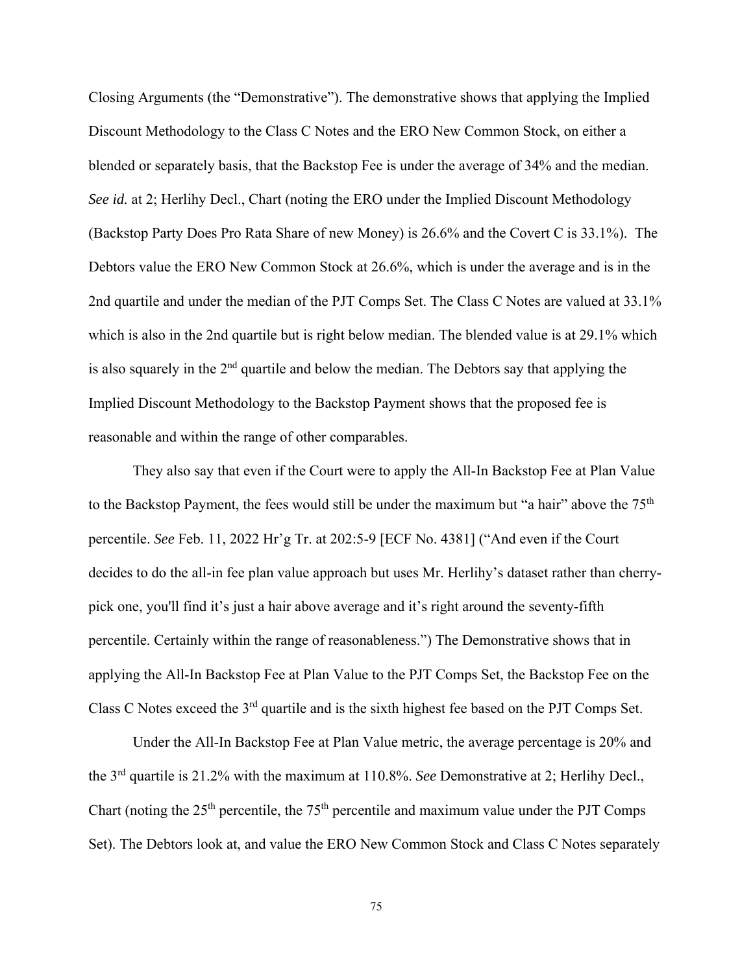Closing Arguments (the "Demonstrative"). The demonstrative shows that applying the Implied Discount Methodology to the Class C Notes and the ERO New Common Stock, on either a blended or separately basis, that the Backstop Fee is under the average of 34% and the median. *See id.* at 2; Herlihy Decl., Chart (noting the ERO under the Implied Discount Methodology (Backstop Party Does Pro Rata Share of new Money) is 26.6% and the Covert C is 33.1%). The Debtors value the ERO New Common Stock at 26.6%, which is under the average and is in the 2nd quartile and under the median of the PJT Comps Set. The Class C Notes are valued at 33.1% which is also in the 2nd quartile but is right below median. The blended value is at 29.1% which is also squarely in the  $2<sup>nd</sup>$  quartile and below the median. The Debtors say that applying the Implied Discount Methodology to the Backstop Payment shows that the proposed fee is reasonable and within the range of other comparables.

They also say that even if the Court were to apply the All-In Backstop Fee at Plan Value to the Backstop Payment, the fees would still be under the maximum but "a hair" above the  $75<sup>th</sup>$ percentile. *See* Feb. 11, 2022 Hr'g Tr. at 202:5-9 [ECF No. 4381] ("And even if the Court decides to do the all-in fee plan value approach but uses Mr. Herlihy's dataset rather than cherrypick one, you'll find it's just a hair above average and it's right around the seventy-fifth percentile. Certainly within the range of reasonableness.") The Demonstrative shows that in applying the All-In Backstop Fee at Plan Value to the PJT Comps Set, the Backstop Fee on the Class C Notes exceed the 3rd quartile and is the sixth highest fee based on the PJT Comps Set.

Under the All-In Backstop Fee at Plan Value metric, the average percentage is 20% and the 3rd quartile is 21.2% with the maximum at 110.8%. *See* Demonstrative at 2; Herlihy Decl., Chart (noting the  $25<sup>th</sup>$  percentile, the  $75<sup>th</sup>$  percentile and maximum value under the PJT Comps Set). The Debtors look at, and value the ERO New Common Stock and Class C Notes separately

75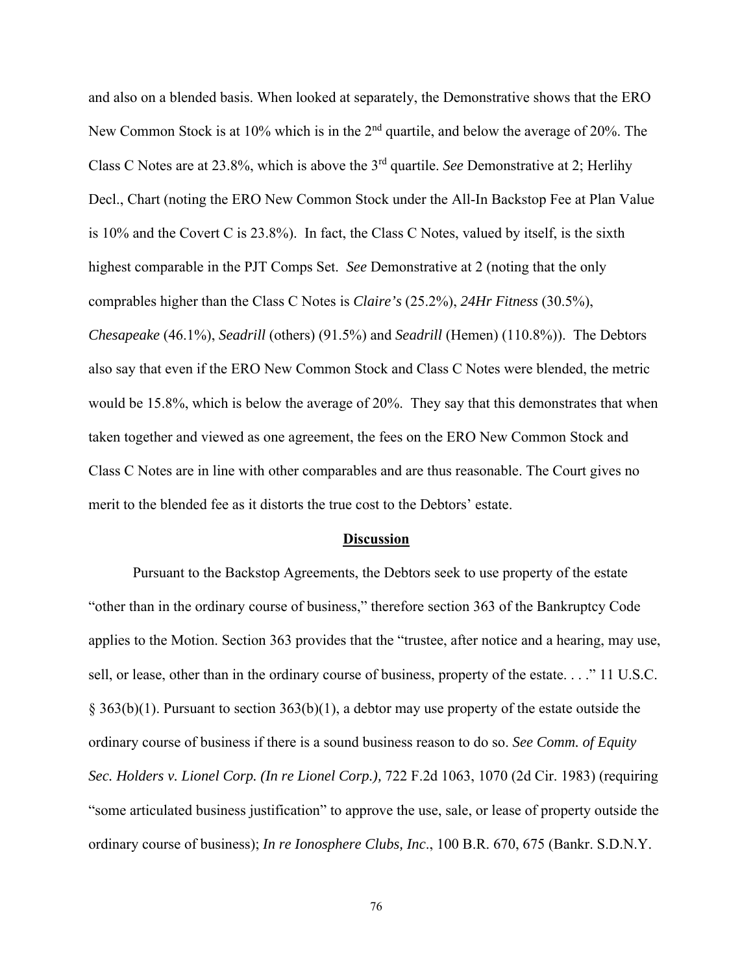and also on a blended basis. When looked at separately, the Demonstrative shows that the ERO New Common Stock is at 10% which is in the 2<sup>nd</sup> quartile, and below the average of 20%. The Class C Notes are at 23.8%, which is above the 3rd quartile. *See* Demonstrative at 2; Herlihy Decl., Chart (noting the ERO New Common Stock under the All-In Backstop Fee at Plan Value is 10% and the Covert C is 23.8%). In fact, the Class C Notes, valued by itself, is the sixth highest comparable in the PJT Comps Set. *See* Demonstrative at 2 (noting that the only comprables higher than the Class C Notes is *Claire's* (25.2%), *24Hr Fitness* (30.5%), *Chesapeake* (46.1%), *Seadrill* (others) (91.5%) and *Seadrill* (Hemen) (110.8%)). The Debtors also say that even if the ERO New Common Stock and Class C Notes were blended, the metric would be 15.8%, which is below the average of 20%. They say that this demonstrates that when taken together and viewed as one agreement, the fees on the ERO New Common Stock and Class C Notes are in line with other comparables and are thus reasonable. The Court gives no merit to the blended fee as it distorts the true cost to the Debtors' estate.

## **Discussion**

 Pursuant to the Backstop Agreements, the Debtors seek to use property of the estate "other than in the ordinary course of business," therefore section 363 of the Bankruptcy Code applies to the Motion. Section 363 provides that the "trustee, after notice and a hearing, may use, sell, or lease, other than in the ordinary course of business, property of the estate. . . ." 11 U.S.C. § 363(b)(1). Pursuant to section 363(b)(1), a debtor may use property of the estate outside the ordinary course of business if there is a sound business reason to do so. *See Comm. of Equity Sec. Holders v. Lionel Corp. (In re Lionel Corp.),* 722 F.2d 1063, 1070 (2d Cir. 1983) (requiring "some articulated business justification" to approve the use, sale, or lease of property outside the ordinary course of business); *In re Ionosphere Clubs, Inc*., 100 B.R. 670, 675 (Bankr. S.D.N.Y.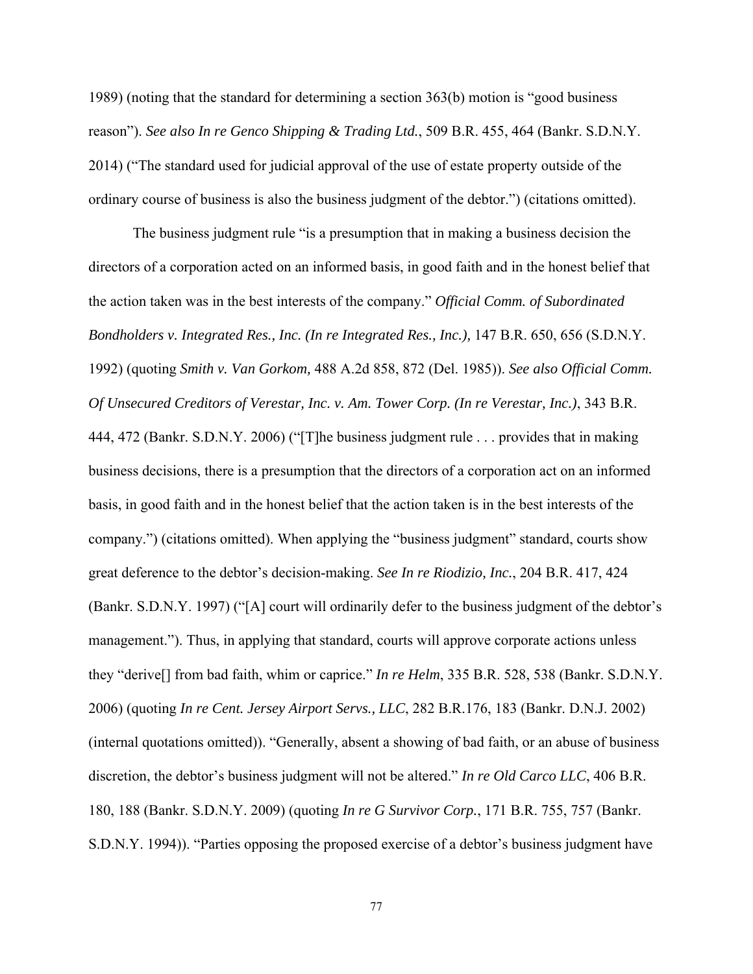1989) (noting that the standard for determining a section 363(b) motion is "good business reason"). *See also In re Genco Shipping & Trading Ltd.*, 509 B.R. 455, 464 (Bankr. S.D.N.Y. 2014) ("The standard used for judicial approval of the use of estate property outside of the ordinary course of business is also the business judgment of the debtor.") (citations omitted).

 The business judgment rule "is a presumption that in making a business decision the directors of a corporation acted on an informed basis, in good faith and in the honest belief that the action taken was in the best interests of the company." *Official Comm. of Subordinated Bondholders v. Integrated Res., Inc. (In re Integrated Res., Inc.),* 147 B.R. 650, 656 (S.D.N.Y. 1992) (quoting *Smith v. Van Gorkom,* 488 A.2d 858, 872 (Del. 1985)). *See also Official Comm. Of Unsecured Creditors of Verestar, Inc. v. Am. Tower Corp. (In re Verestar, Inc.)*, 343 B.R. 444, 472 (Bankr. S.D.N.Y. 2006) ("[T]he business judgment rule . . . provides that in making business decisions, there is a presumption that the directors of a corporation act on an informed basis, in good faith and in the honest belief that the action taken is in the best interests of the company.") (citations omitted). When applying the "business judgment" standard, courts show great deference to the debtor's decision-making. *See In re Riodizio, Inc.*, 204 B.R. 417, 424 (Bankr. S.D.N.Y. 1997) ("[A] court will ordinarily defer to the business judgment of the debtor's management."). Thus, in applying that standard, courts will approve corporate actions unless they "derive[] from bad faith, whim or caprice." *In re Helm*, 335 B.R. 528, 538 (Bankr. S.D.N.Y. 2006) (quoting *In re Cent. Jersey Airport Servs., LLC*, 282 B.R.176, 183 (Bankr. D.N.J. 2002) (internal quotations omitted)). "Generally, absent a showing of bad faith, or an abuse of business discretion, the debtor's business judgment will not be altered." *In re Old Carco LLC*, 406 B.R. 180, 188 (Bankr. S.D.N.Y. 2009) (quoting *In re G Survivor Corp.*, 171 B.R. 755, 757 (Bankr. S.D.N.Y. 1994)). "Parties opposing the proposed exercise of a debtor's business judgment have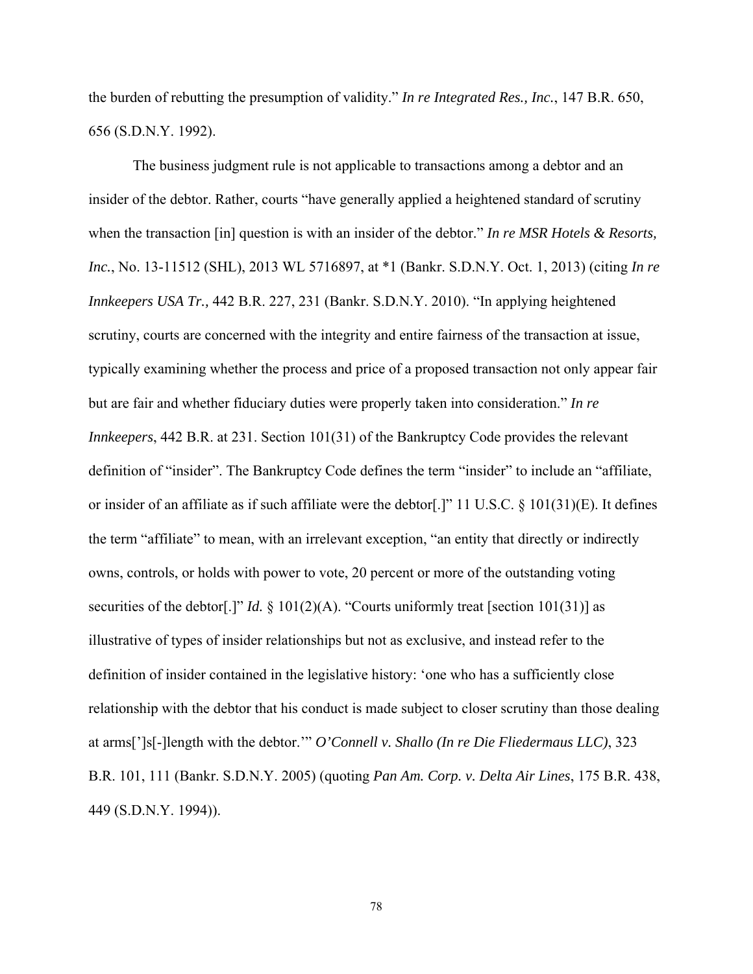the burden of rebutting the presumption of validity." *In re Integrated Res., Inc.*, 147 B.R. 650, 656 (S.D.N.Y. 1992).

 The business judgment rule is not applicable to transactions among a debtor and an insider of the debtor. Rather, courts "have generally applied a heightened standard of scrutiny when the transaction [in] question is with an insider of the debtor." *In re MSR Hotels & Resorts, Inc.*, No. 13-11512 (SHL), 2013 WL 5716897, at \*1 (Bankr. S.D.N.Y. Oct. 1, 2013) (citing *In re Innkeepers USA Tr.,* 442 B.R. 227, 231 (Bankr. S.D.N.Y. 2010). "In applying heightened scrutiny, courts are concerned with the integrity and entire fairness of the transaction at issue, typically examining whether the process and price of a proposed transaction not only appear fair but are fair and whether fiduciary duties were properly taken into consideration." *In re Innkeepers*, 442 B.R. at 231. Section 101(31) of the Bankruptcy Code provides the relevant definition of "insider". The Bankruptcy Code defines the term "insider" to include an "affiliate, or insider of an affiliate as if such affiliate were the debtor[.]" 11 U.S.C. § 101(31)(E). It defines the term "affiliate" to mean, with an irrelevant exception, "an entity that directly or indirectly owns, controls, or holds with power to vote, 20 percent or more of the outstanding voting securities of the debtor[.]" *Id.*  $\S 101(2)(A)$ . "Courts uniformly treat [section 101(31)] as illustrative of types of insider relationships but not as exclusive, and instead refer to the definition of insider contained in the legislative history: 'one who has a sufficiently close relationship with the debtor that his conduct is made subject to closer scrutiny than those dealing at arms[']s[-]length with the debtor.'" *O'Connell v. Shallo (In re Die Fliedermaus LLC)*, 323 B.R. 101, 111 (Bankr. S.D.N.Y. 2005) (quoting *Pan Am. Corp. v. Delta Air Lines*, 175 B.R. 438, 449 (S.D.N.Y. 1994)).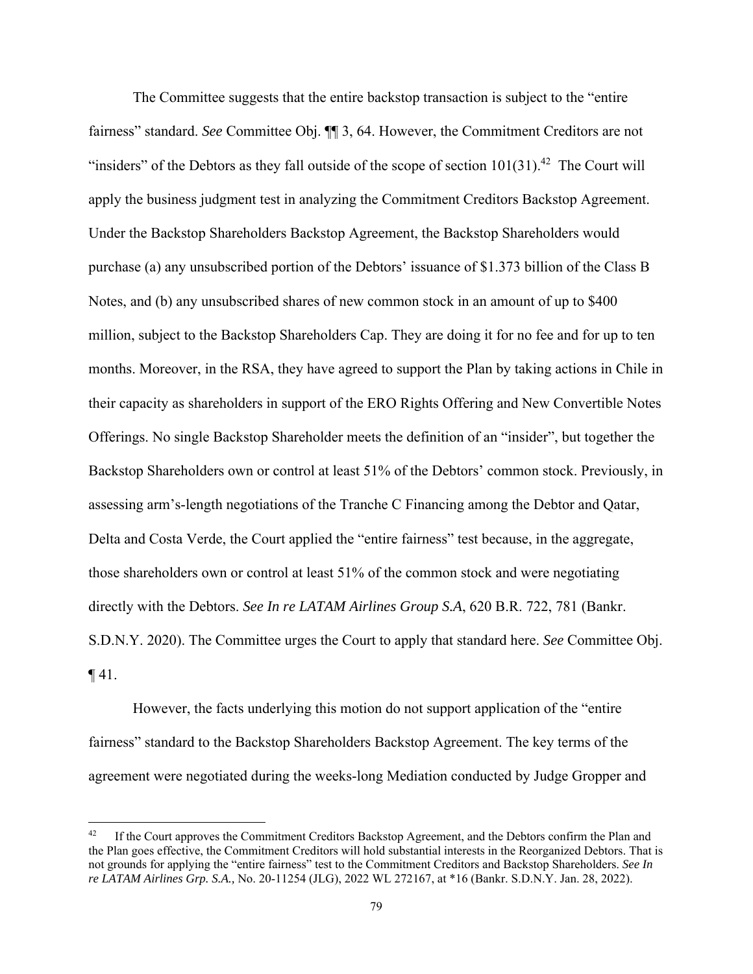The Committee suggests that the entire backstop transaction is subject to the "entire fairness" standard. *See* Committee Obj. ¶¶ 3, 64. However, the Commitment Creditors are not "insiders" of the Debtors as they fall outside of the scope of section  $101(31)$ .<sup>42</sup> The Court will apply the business judgment test in analyzing the Commitment Creditors Backstop Agreement. Under the Backstop Shareholders Backstop Agreement, the Backstop Shareholders would purchase (a) any unsubscribed portion of the Debtors' issuance of \$1.373 billion of the Class B Notes, and (b) any unsubscribed shares of new common stock in an amount of up to \$400 million, subject to the Backstop Shareholders Cap. They are doing it for no fee and for up to ten months. Moreover, in the RSA, they have agreed to support the Plan by taking actions in Chile in their capacity as shareholders in support of the ERO Rights Offering and New Convertible Notes Offerings. No single Backstop Shareholder meets the definition of an "insider", but together the Backstop Shareholders own or control at least 51% of the Debtors' common stock. Previously, in assessing arm's-length negotiations of the Tranche C Financing among the Debtor and Qatar, Delta and Costa Verde, the Court applied the "entire fairness" test because, in the aggregate, those shareholders own or control at least 51% of the common stock and were negotiating directly with the Debtors. *See In re LATAM Airlines Group S.A*, 620 B.R. 722, 781 (Bankr. S.D.N.Y. 2020). The Committee urges the Court to apply that standard here. *See* Committee Obj.  $\P$ 41.

However, the facts underlying this motion do not support application of the "entire fairness" standard to the Backstop Shareholders Backstop Agreement. The key terms of the agreement were negotiated during the weeks-long Mediation conducted by Judge Gropper and

<sup>&</sup>lt;sup>42</sup> If the Court approves the Commitment Creditors Backstop Agreement, and the Debtors confirm the Plan and the Plan goes effective, the Commitment Creditors will hold substantial interests in the Reorganized Debtors. That is not grounds for applying the "entire fairness" test to the Commitment Creditors and Backstop Shareholders. *See In re LATAM Airlines Grp. S.A.,* No. 20-11254 (JLG), 2022 WL 272167, at \*16 (Bankr. S.D.N.Y. Jan. 28, 2022).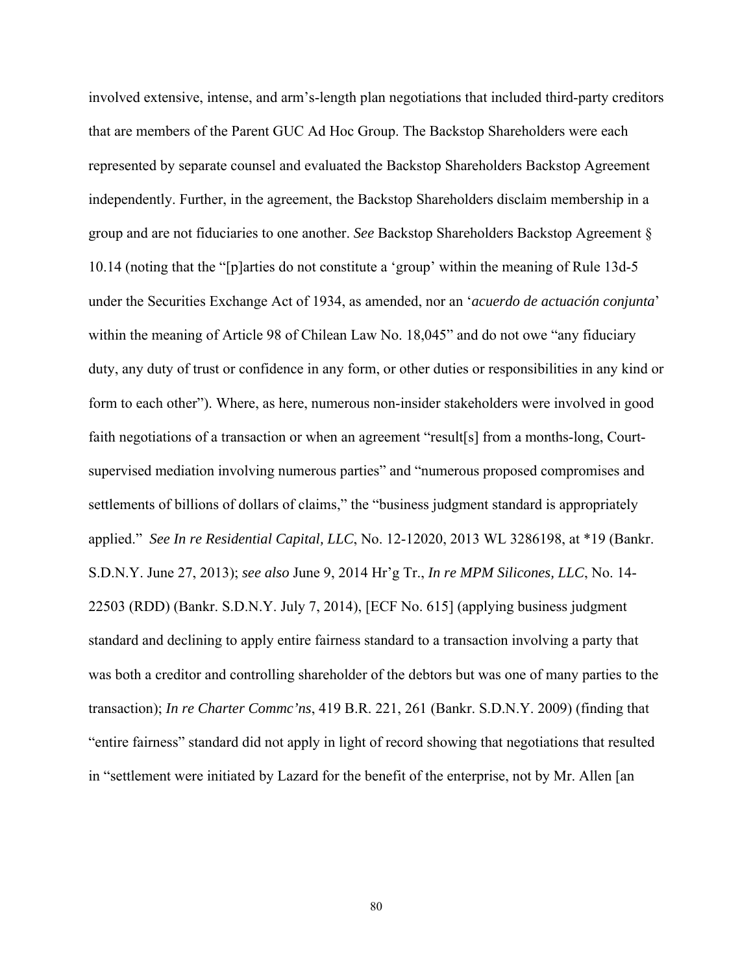involved extensive, intense, and arm's-length plan negotiations that included third-party creditors that are members of the Parent GUC Ad Hoc Group. The Backstop Shareholders were each represented by separate counsel and evaluated the Backstop Shareholders Backstop Agreement independently. Further, in the agreement, the Backstop Shareholders disclaim membership in a group and are not fiduciaries to one another. *See* Backstop Shareholders Backstop Agreement § 10.14 (noting that the "[p]arties do not constitute a 'group' within the meaning of Rule 13d-5 under the Securities Exchange Act of 1934, as amended, nor an '*acuerdo de actuación conjunta*' within the meaning of Article 98 of Chilean Law No. 18,045" and do not owe "any fiduciary duty, any duty of trust or confidence in any form, or other duties or responsibilities in any kind or form to each other"). Where, as here, numerous non-insider stakeholders were involved in good faith negotiations of a transaction or when an agreement "result[s] from a months-long, Courtsupervised mediation involving numerous parties" and "numerous proposed compromises and settlements of billions of dollars of claims," the "business judgment standard is appropriately applied." *See In re Residential Capital, LLC*, No. 12-12020, 2013 WL 3286198, at \*19 (Bankr. S.D.N.Y. June 27, 2013); *see also* June 9, 2014 Hr'g Tr., *In re MPM Silicones, LLC*, No. 14- 22503 (RDD) (Bankr. S.D.N.Y. July 7, 2014), [ECF No. 615] (applying business judgment standard and declining to apply entire fairness standard to a transaction involving a party that was both a creditor and controlling shareholder of the debtors but was one of many parties to the transaction); *In re Charter Commc'ns*, 419 B.R. 221, 261 (Bankr. S.D.N.Y. 2009) (finding that "entire fairness" standard did not apply in light of record showing that negotiations that resulted in "settlement were initiated by Lazard for the benefit of the enterprise, not by Mr. Allen [an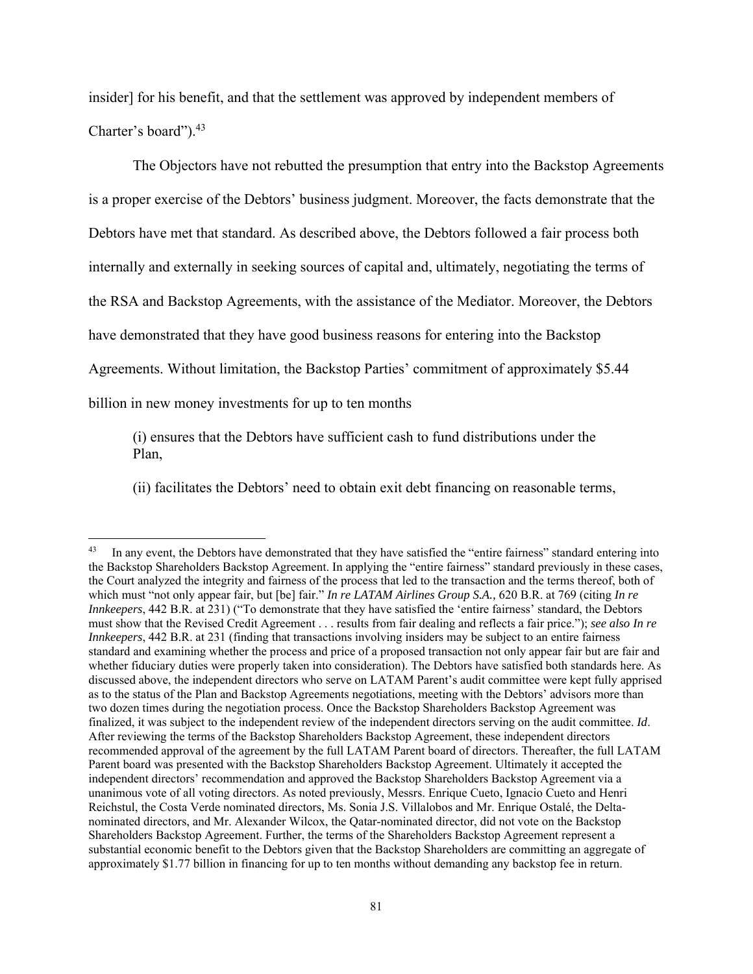insider] for his benefit, and that the settlement was approved by independent members of Charter's board").<sup>43</sup>

 The Objectors have not rebutted the presumption that entry into the Backstop Agreements is a proper exercise of the Debtors' business judgment. Moreover, the facts demonstrate that the Debtors have met that standard. As described above, the Debtors followed a fair process both internally and externally in seeking sources of capital and, ultimately, negotiating the terms of the RSA and Backstop Agreements, with the assistance of the Mediator. Moreover, the Debtors have demonstrated that they have good business reasons for entering into the Backstop Agreements. Without limitation, the Backstop Parties' commitment of approximately \$5.44 billion in new money investments for up to ten months

(i) ensures that the Debtors have sufficient cash to fund distributions under the Plan,

(ii) facilitates the Debtors' need to obtain exit debt financing on reasonable terms,

<sup>&</sup>lt;sup>43</sup> In any event, the Debtors have demonstrated that they have satisfied the "entire fairness" standard entering into the Backstop Shareholders Backstop Agreement. In applying the "entire fairness" standard previously in these cases, the Court analyzed the integrity and fairness of the process that led to the transaction and the terms thereof, both of which must "not only appear fair, but [be] fair." *In re LATAM Airlines Group S.A.,* 620 B.R. at 769 (citing *In re Innkeepers*, 442 B.R. at 231) ("To demonstrate that they have satisfied the 'entire fairness' standard, the Debtors must show that the Revised Credit Agreement . . . results from fair dealing and reflects a fair price."); *see also In re Innkeepers*, 442 B.R. at 231 (finding that transactions involving insiders may be subject to an entire fairness standard and examining whether the process and price of a proposed transaction not only appear fair but are fair and whether fiduciary duties were properly taken into consideration). The Debtors have satisfied both standards here. As discussed above, the independent directors who serve on LATAM Parent's audit committee were kept fully apprised as to the status of the Plan and Backstop Agreements negotiations, meeting with the Debtors' advisors more than two dozen times during the negotiation process. Once the Backstop Shareholders Backstop Agreement was finalized, it was subject to the independent review of the independent directors serving on the audit committee. *Id*. After reviewing the terms of the Backstop Shareholders Backstop Agreement, these independent directors recommended approval of the agreement by the full LATAM Parent board of directors. Thereafter, the full LATAM Parent board was presented with the Backstop Shareholders Backstop Agreement. Ultimately it accepted the independent directors' recommendation and approved the Backstop Shareholders Backstop Agreement via a unanimous vote of all voting directors. As noted previously, Messrs. Enrique Cueto, Ignacio Cueto and Henri Reichstul, the Costa Verde nominated directors, Ms. Sonia J.S. Villalobos and Mr. Enrique Ostalé, the Deltanominated directors, and Mr. Alexander Wilcox, the Qatar-nominated director, did not vote on the Backstop Shareholders Backstop Agreement. Further, the terms of the Shareholders Backstop Agreement represent a substantial economic benefit to the Debtors given that the Backstop Shareholders are committing an aggregate of approximately \$1.77 billion in financing for up to ten months without demanding any backstop fee in return.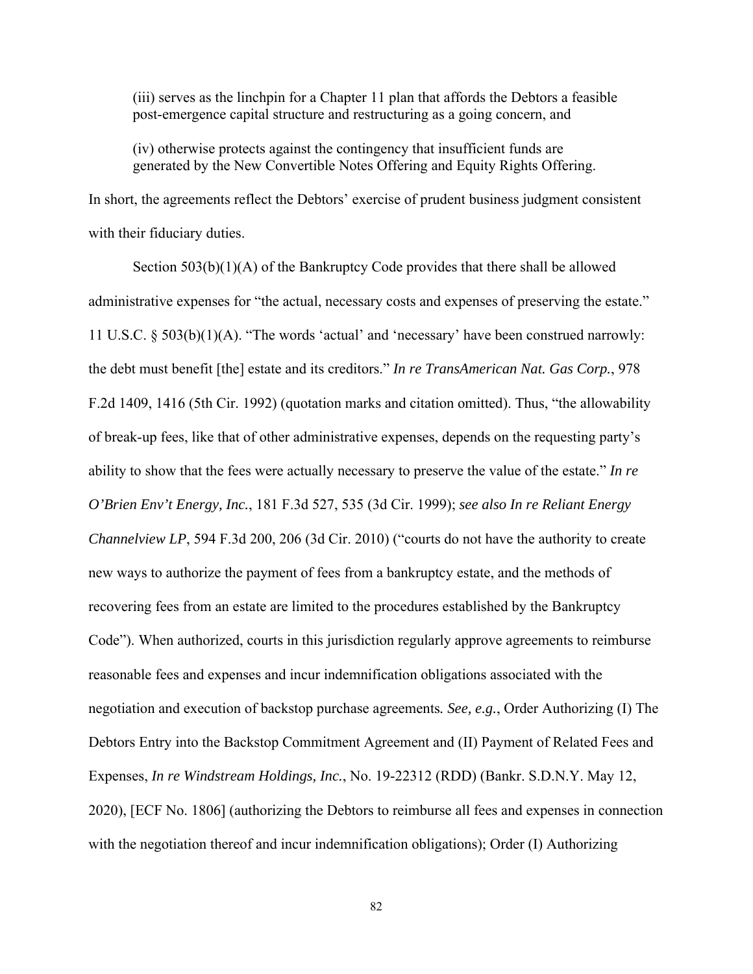(iii) serves as the linchpin for a Chapter 11 plan that affords the Debtors a feasible post-emergence capital structure and restructuring as a going concern, and

(iv) otherwise protects against the contingency that insufficient funds are generated by the New Convertible Notes Offering and Equity Rights Offering.

In short, the agreements reflect the Debtors' exercise of prudent business judgment consistent with their fiduciary duties.

 Section 503(b)(1)(A) of the Bankruptcy Code provides that there shall be allowed administrative expenses for "the actual, necessary costs and expenses of preserving the estate." 11 U.S.C. § 503(b)(1)(A). "The words 'actual' and 'necessary' have been construed narrowly: the debt must benefit [the] estate and its creditors." *In re TransAmerican Nat. Gas Corp.*, 978 F.2d 1409, 1416 (5th Cir. 1992) (quotation marks and citation omitted). Thus, "the allowability of break-up fees, like that of other administrative expenses, depends on the requesting party's ability to show that the fees were actually necessary to preserve the value of the estate." *In re O'Brien Env't Energy, Inc.*, 181 F.3d 527, 535 (3d Cir. 1999); *see also In re Reliant Energy Channelview LP*, 594 F.3d 200, 206 (3d Cir. 2010) ("courts do not have the authority to create new ways to authorize the payment of fees from a bankruptcy estate, and the methods of recovering fees from an estate are limited to the procedures established by the Bankruptcy Code"). When authorized, courts in this jurisdiction regularly approve agreements to reimburse reasonable fees and expenses and incur indemnification obligations associated with the negotiation and execution of backstop purchase agreements*. See, e.g.*, Order Authorizing (I) The Debtors Entry into the Backstop Commitment Agreement and (II) Payment of Related Fees and Expenses, *In re Windstream Holdings, Inc.*, No. 19-22312 (RDD) (Bankr. S.D.N.Y. May 12, 2020), [ECF No. 1806] (authorizing the Debtors to reimburse all fees and expenses in connection with the negotiation thereof and incur indemnification obligations); Order (I) Authorizing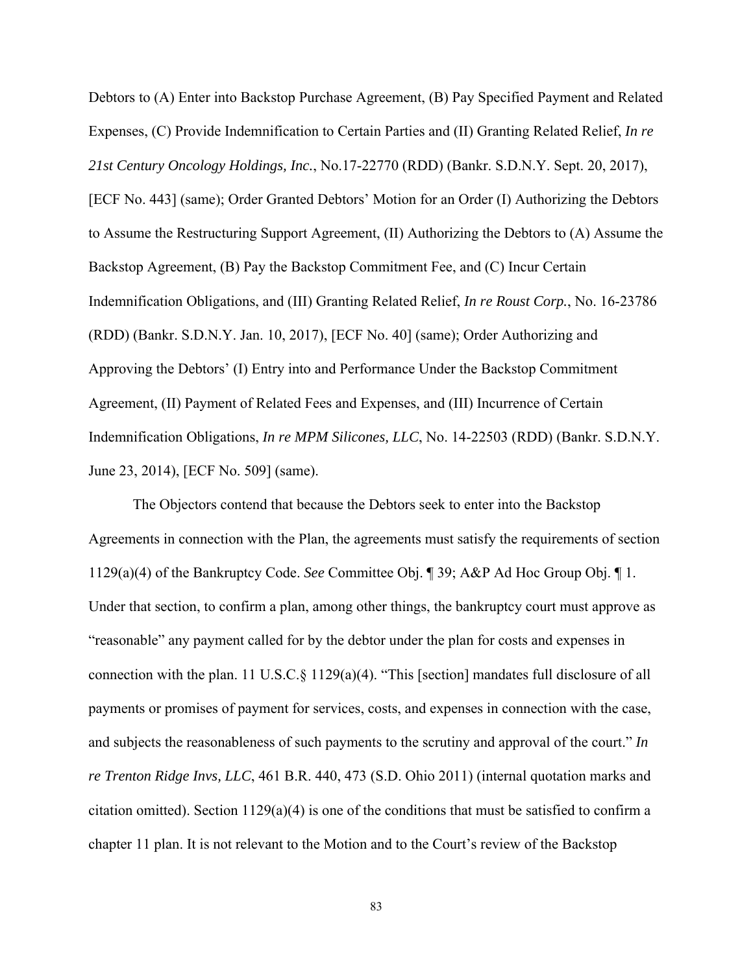Debtors to (A) Enter into Backstop Purchase Agreement, (B) Pay Specified Payment and Related Expenses, (C) Provide Indemnification to Certain Parties and (II) Granting Related Relief, *In re 21st Century Oncology Holdings, Inc.*, No.17-22770 (RDD) (Bankr. S.D.N.Y. Sept. 20, 2017), [ECF No. 443] (same); Order Granted Debtors' Motion for an Order (I) Authorizing the Debtors to Assume the Restructuring Support Agreement, (II) Authorizing the Debtors to (A) Assume the Backstop Agreement, (B) Pay the Backstop Commitment Fee, and (C) Incur Certain Indemnification Obligations, and (III) Granting Related Relief, *In re Roust Corp.*, No. 16-23786 (RDD) (Bankr. S.D.N.Y. Jan. 10, 2017), [ECF No. 40] (same); Order Authorizing and Approving the Debtors' (I) Entry into and Performance Under the Backstop Commitment Agreement, (II) Payment of Related Fees and Expenses, and (III) Incurrence of Certain Indemnification Obligations, *In re MPM Silicones, LLC*, No. 14-22503 (RDD) (Bankr. S.D.N.Y. June 23, 2014), [ECF No. 509] (same).

 The Objectors contend that because the Debtors seek to enter into the Backstop Agreements in connection with the Plan, the agreements must satisfy the requirements of section 1129(a)(4) of the Bankruptcy Code. *See* Committee Obj. ¶ 39; A&P Ad Hoc Group Obj. ¶ 1. Under that section, to confirm a plan, among other things, the bankruptcy court must approve as "reasonable" any payment called for by the debtor under the plan for costs and expenses in connection with the plan. 11 U.S.C.§ 1129(a)(4). "This [section] mandates full disclosure of all payments or promises of payment for services, costs, and expenses in connection with the case, and subjects the reasonableness of such payments to the scrutiny and approval of the court." *In re Trenton Ridge Invs, LLC*, 461 B.R. 440, 473 (S.D. Ohio 2011) (internal quotation marks and citation omitted). Section  $1129(a)(4)$  is one of the conditions that must be satisfied to confirm a chapter 11 plan. It is not relevant to the Motion and to the Court's review of the Backstop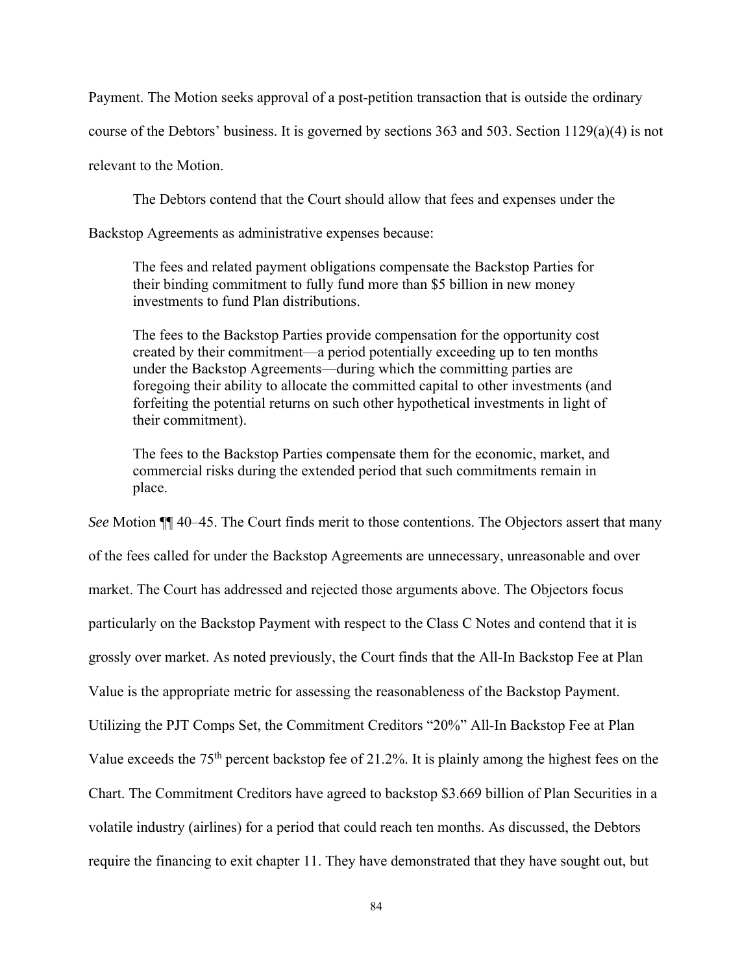Payment. The Motion seeks approval of a post-petition transaction that is outside the ordinary

course of the Debtors' business. It is governed by sections  $363$  and  $503$ . Section  $1129(a)(4)$  is not

relevant to the Motion.

The Debtors contend that the Court should allow that fees and expenses under the

Backstop Agreements as administrative expenses because:

The fees and related payment obligations compensate the Backstop Parties for their binding commitment to fully fund more than \$5 billion in new money investments to fund Plan distributions.

The fees to the Backstop Parties provide compensation for the opportunity cost created by their commitment—a period potentially exceeding up to ten months under the Backstop Agreements—during which the committing parties are foregoing their ability to allocate the committed capital to other investments (and forfeiting the potential returns on such other hypothetical investments in light of their commitment).

The fees to the Backstop Parties compensate them for the economic, market, and commercial risks during the extended period that such commitments remain in place.

*See* Motion ¶¶ 40–45. The Court finds merit to those contentions. The Objectors assert that many of the fees called for under the Backstop Agreements are unnecessary, unreasonable and over market. The Court has addressed and rejected those arguments above. The Objectors focus particularly on the Backstop Payment with respect to the Class C Notes and contend that it is grossly over market. As noted previously, the Court finds that the All-In Backstop Fee at Plan Value is the appropriate metric for assessing the reasonableness of the Backstop Payment. Utilizing the PJT Comps Set, the Commitment Creditors "20%" All-In Backstop Fee at Plan Value exceeds the 75th percent backstop fee of 21.2%. It is plainly among the highest fees on the Chart. The Commitment Creditors have agreed to backstop \$3.669 billion of Plan Securities in a volatile industry (airlines) for a period that could reach ten months. As discussed, the Debtors require the financing to exit chapter 11. They have demonstrated that they have sought out, but